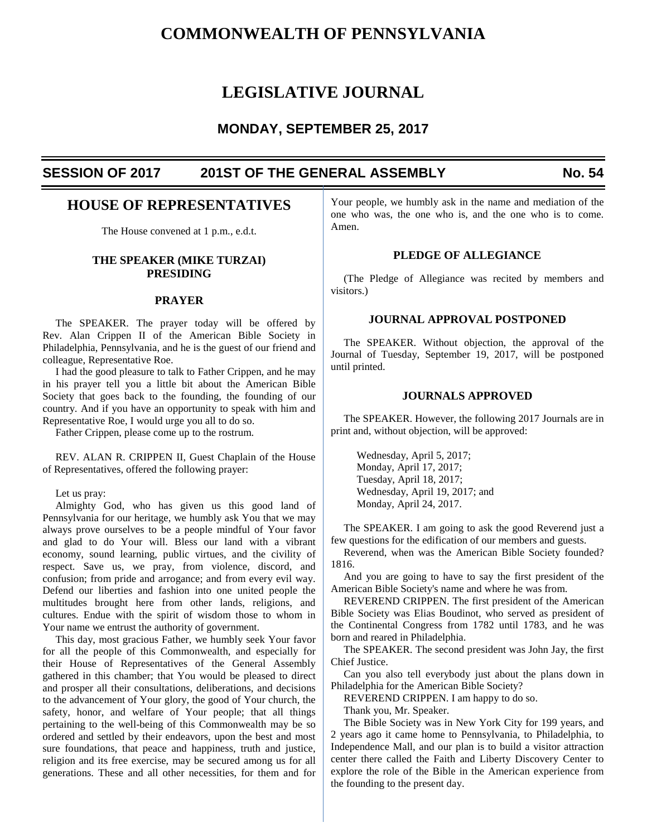# **COMMONWEALTH OF PENNSYLVANIA**

# **LEGISLATIVE JOURNAL**

# **MONDAY, SEPTEMBER 25, 2017**

# **SESSION OF 2017 201ST OF THE GENERAL ASSEMBLY No. 54**

# **HOUSE OF REPRESENTATIVES**

The House convened at 1 p.m., e.d.t.

# **THE SPEAKER (MIKE TURZAI) PRESIDING**

#### **PRAYER**

 The SPEAKER. The prayer today will be offered by Rev. Alan Crippen II of the American Bible Society in Philadelphia, Pennsylvania, and he is the guest of our friend and colleague, Representative Roe.

 I had the good pleasure to talk to Father Crippen, and he may in his prayer tell you a little bit about the American Bible Society that goes back to the founding, the founding of our country. And if you have an opportunity to speak with him and Representative Roe, I would urge you all to do so.

Father Crippen, please come up to the rostrum.

 REV. ALAN R. CRIPPEN II, Guest Chaplain of the House of Representatives, offered the following prayer:

Let us pray:

 Almighty God, who has given us this good land of Pennsylvania for our heritage, we humbly ask You that we may always prove ourselves to be a people mindful of Your favor and glad to do Your will. Bless our land with a vibrant economy, sound learning, public virtues, and the civility of respect. Save us, we pray, from violence, discord, and confusion; from pride and arrogance; and from every evil way. Defend our liberties and fashion into one united people the multitudes brought here from other lands, religions, and cultures. Endue with the spirit of wisdom those to whom in Your name we entrust the authority of government.

 This day, most gracious Father, we humbly seek Your favor for all the people of this Commonwealth, and especially for their House of Representatives of the General Assembly gathered in this chamber; that You would be pleased to direct and prosper all their consultations, deliberations, and decisions to the advancement of Your glory, the good of Your church, the safety, honor, and welfare of Your people; that all things pertaining to the well-being of this Commonwealth may be so ordered and settled by their endeavors, upon the best and most sure foundations, that peace and happiness, truth and justice, religion and its free exercise, may be secured among us for all generations. These and all other necessities, for them and for Your people, we humbly ask in the name and mediation of the one who was, the one who is, and the one who is to come. Amen.

# **PLEDGE OF ALLEGIANCE**

 (The Pledge of Allegiance was recited by members and visitors.)

# **JOURNAL APPROVAL POSTPONED**

 The SPEAKER. Without objection, the approval of the Journal of Tuesday, September 19, 2017, will be postponed until printed.

# **JOURNALS APPROVED**

 The SPEAKER. However, the following 2017 Journals are in print and, without objection, will be approved:

 Wednesday, April 5, 2017; Monday, April 17, 2017; Tuesday, April 18, 2017; Wednesday, April 19, 2017; and Monday, April 24, 2017.

 The SPEAKER. I am going to ask the good Reverend just a few questions for the edification of our members and guests.

 Reverend, when was the American Bible Society founded? 1816.

 And you are going to have to say the first president of the American Bible Society's name and where he was from.

 REVEREND CRIPPEN. The first president of the American Bible Society was Elias Boudinot, who served as president of the Continental Congress from 1782 until 1783, and he was born and reared in Philadelphia.

 The SPEAKER. The second president was John Jay, the first Chief Justice.

 Can you also tell everybody just about the plans down in Philadelphia for the American Bible Society?

REVEREND CRIPPEN. I am happy to do so.

Thank you, Mr. Speaker.

 The Bible Society was in New York City for 199 years, and 2 years ago it came home to Pennsylvania, to Philadelphia, to Independence Mall, and our plan is to build a visitor attraction center there called the Faith and Liberty Discovery Center to explore the role of the Bible in the American experience from the founding to the present day.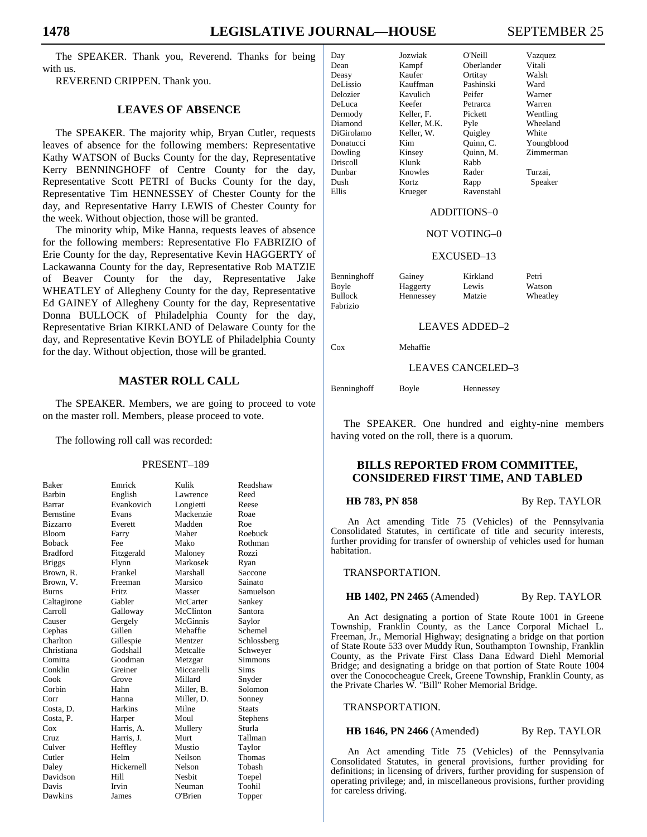The SPEAKER. Thank you, Reverend. Thanks for being with us.

REVEREND CRIPPEN. Thank you.

# **LEAVES OF ABSENCE**

 The SPEAKER. The majority whip, Bryan Cutler, requests leaves of absence for the following members: Representative Kathy WATSON of Bucks County for the day, Representative Kerry BENNINGHOFF of Centre County for the day, Representative Scott PETRI of Bucks County for the day, Representative Tim HENNESSEY of Chester County for the day, and Representative Harry LEWIS of Chester County for the week. Without objection, those will be granted.

 The minority whip, Mike Hanna, requests leaves of absence for the following members: Representative Flo FABRIZIO of Erie County for the day, Representative Kevin HAGGERTY of Lackawanna County for the day, Representative Rob MATZIE of Beaver County for the day, Representative Jake WHEATLEY of Allegheny County for the day, Representative Ed GAINEY of Allegheny County for the day, Representative Donna BULLOCK of Philadelphia County for the day, Representative Brian KIRKLAND of Delaware County for the day, and Representative Kevin BOYLE of Philadelphia County for the day. Without objection, those will be granted.

# **MASTER ROLL CALL**

 The SPEAKER. Members, we are going to proceed to vote on the master roll. Members, please proceed to vote.

The following roll call was recorded:

#### PRESENT–189

| <b>Baker</b>     | Emrick     | Kulik      | Readshaw      |
|------------------|------------|------------|---------------|
| <b>Barbin</b>    | English    | Lawrence   | Reed          |
| <b>Barrar</b>    | Evankovich | Longietti  | Reese         |
| <b>Bernstine</b> | Evans      | Mackenzie  | Roae          |
| <b>Bizzarro</b>  | Everett    | Madden     | Roe           |
| <b>Bloom</b>     | Farry      | Maher      | Roebuck       |
| <b>Boback</b>    | Fee        | Mako       | Rothman       |
| <b>Bradford</b>  | Fitzgerald | Maloney    | Rozzi         |
| <b>Briggs</b>    | Flynn      | Markosek   | Ryan          |
| Brown, R.        | Frankel    | Marshall   | Saccone       |
| Brown, V.        | Freeman    | Marsico    | Sainato       |
| <b>Burns</b>     | Fritz      | Masser     | Samuelson     |
| Caltagirone      | Gabler     | McCarter   | Sankey        |
| Carroll          | Galloway   | McClinton  | Santora       |
| Causer           | Gergely    | McGinnis   | Saylor        |
| Cephas           | Gillen     | Mehaffie   | Schemel       |
| Charlton         | Gillespie  | Mentzer    | Schlossberg   |
| Christiana       | Godshall   | Metcalfe   | Schweyer      |
| Comitta          | Goodman    | Metzgar    | Simmons       |
| Conklin          | Greiner    | Miccarelli | Sims          |
| Cook             | Grove      | Millard    | Snyder        |
| Corbin           | Hahn       | Miller, B. | Solomon       |
| Corr             | Hanna      | Miller, D. | Sonney        |
| Costa, D.        | Harkins    | Milne      | <b>Staats</b> |
| Costa, P.        | Harper     | Moul       | Stephens      |
| Cox              | Harris, A. | Mullery    | Sturla        |
| Cruz             | Harris, J. | Murt       | Tallman       |
| Culver           | Heffley    | Mustio     | Taylor        |
| Cutler           | Helm       | Neilson    | <b>Thomas</b> |
| Daley            | Hickernell | Nelson     | Tobash        |
| Davidson         | Hill       | Nesbit     | Toepel        |
| Davis            | Irvin      | Neuman     | Toohil        |
| Dawkins          | James      | O'Brien    | Topper        |

| Day        | Jozwiak      | O'Neill    | Vazquez    |
|------------|--------------|------------|------------|
| Dean       | Kampf        | Oberlander | Vitali     |
| Deasy      | Kaufer       | Ortitay    | Walsh      |
| DeLissio   | Kauffman     | Pashinski  | Ward       |
| Delozier   | Kavulich     | Peifer     | Warner     |
| DeLuca     | Keefer       | Petrarca   | Warren     |
| Dermody    | Keller, F.   | Pickett    | Wentling   |
| Diamond    | Keller, M.K. | Pyle       | Wheeland   |
| DiGirolamo | Keller, W.   | Quigley    | White      |
| Donatucci  | Kim          | Ouinn, C.  | Youngblood |
| Dowling    | Kinsey       | Ouinn, M.  | Zimmerman  |
| Driscoll   | Klunk        | Rabb       |            |
| Dunbar     | Knowles      | Rader      | Turzai.    |
| Dush       | Kortz        | Rapp       | Speaker    |
| Ellis      | Krueger      | Ravenstahl |            |

#### ADDITIONS–0

#### NOT VOTING–0

#### EXCUSED–13

Benninghoff Gainey Kirkland Petri Boyle Haggerty Lewis Watson<br>Bullock Hennessey Matzie Wheatley Hennessey Fabrizio

#### LEAVES ADDED–2

Cox Mehaffie

LEAVES CANCELED–3

Benninghoff Boyle Hennessey

 The SPEAKER. One hundred and eighty-nine members having voted on the roll, there is a quorum.

# **BILLS REPORTED FROM COMMITTEE, CONSIDERED FIRST TIME, AND TABLED**

**HB 783, PN 858** By Rep. TAYLOR

An Act amending Title 75 (Vehicles) of the Pennsylvania Consolidated Statutes, in certificate of title and security interests, further providing for transfer of ownership of vehicles used for human habitation.

#### TRANSPORTATION.

#### **HB 1402, PN 2465** (Amended) By Rep. TAYLOR

An Act designating a portion of State Route 1001 in Greene Township, Franklin County, as the Lance Corporal Michael L. Freeman, Jr., Memorial Highway; designating a bridge on that portion of State Route 533 over Muddy Run, Southampton Township, Franklin County, as the Private First Class Dana Edward Diehl Memorial Bridge; and designating a bridge on that portion of State Route 1004 over the Conococheague Creek, Greene Township, Franklin County, as the Private Charles W. "Bill" Roher Memorial Bridge.

#### TRANSPORTATION.

#### **HB 1646, PN 2466** (Amended) By Rep. TAYLOR

An Act amending Title 75 (Vehicles) of the Pennsylvania Consolidated Statutes, in general provisions, further providing for definitions; in licensing of drivers, further providing for suspension of operating privilege; and, in miscellaneous provisions, further providing for careless driving.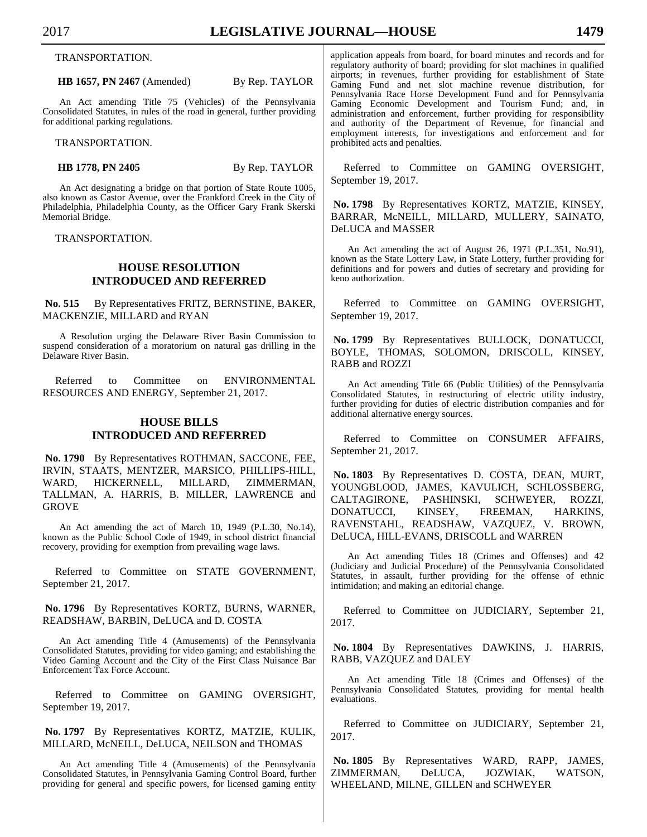TRANSPORTATION.

**HB 1657, PN 2467** (Amended) By Rep. TAYLOR

An Act amending Title 75 (Vehicles) of the Pennsylvania Consolidated Statutes, in rules of the road in general, further providing for additional parking regulations.

TRANSPORTATION.

**HB 1778, PN 2405** By Rep. TAYLOR

An Act designating a bridge on that portion of State Route 1005, also known as Castor Avenue, over the Frankford Creek in the City of Philadelphia, Philadelphia County, as the Officer Gary Frank Skerski Memorial Bridge.

TRANSPORTATION.

# **HOUSE RESOLUTION INTRODUCED AND REFERRED**

No. 515 By Representatives FRITZ, BERNSTINE, BAKER, MACKENZIE, MILLARD and RYAN

A Resolution urging the Delaware River Basin Commission to suspend consideration of a moratorium on natural gas drilling in the Delaware River Basin.

Referred to Committee on ENVIRONMENTAL RESOURCES AND ENERGY, September 21, 2017.

# **HOUSE BILLS INTRODUCED AND REFERRED**

 **No. 1790** By Representatives ROTHMAN, SACCONE, FEE, IRVIN, STAATS, MENTZER, MARSICO, PHILLIPS-HILL, WARD, HICKERNELL, MILLARD, ZIMMERMAN, TALLMAN, A. HARRIS, B. MILLER, LAWRENCE and GROVE

An Act amending the act of March 10, 1949 (P.L.30, No.14), known as the Public School Code of 1949, in school district financial recovery, providing for exemption from prevailing wage laws.

Referred to Committee on STATE GOVERNMENT, September 21, 2017.

## **No. 1796** By Representatives KORTZ, BURNS, WARNER, READSHAW, BARBIN, DeLUCA and D. COSTA

An Act amending Title 4 (Amusements) of the Pennsylvania Consolidated Statutes, providing for video gaming; and establishing the Video Gaming Account and the City of the First Class Nuisance Bar Enforcement Tax Force Account.

Referred to Committee on GAMING OVERSIGHT, September 19, 2017.

# **No. 1797** By Representatives KORTZ, MATZIE, KULIK, MILLARD, McNEILL, DeLUCA, NEILSON and THOMAS

An Act amending Title 4 (Amusements) of the Pennsylvania Consolidated Statutes, in Pennsylvania Gaming Control Board, further providing for general and specific powers, for licensed gaming entity application appeals from board, for board minutes and records and for regulatory authority of board; providing for slot machines in qualified airports; in revenues, further providing for establishment of State Gaming Fund and net slot machine revenue distribution, for Pennsylvania Race Horse Development Fund and for Pennsylvania Gaming Economic Development and Tourism Fund; and, in administration and enforcement, further providing for responsibility and authority of the Department of Revenue, for financial and employment interests, for investigations and enforcement and for prohibited acts and penalties.

Referred to Committee on GAMING OVERSIGHT, September 19, 2017.

 **No. 1798** By Representatives KORTZ, MATZIE, KINSEY, BARRAR, McNEILL, MILLARD, MULLERY, SAINATO, DeLUCA and MASSER

An Act amending the act of August 26, 1971 (P.L.351, No.91), known as the State Lottery Law, in State Lottery, further providing for definitions and for powers and duties of secretary and providing for keno authorization.

Referred to Committee on GAMING OVERSIGHT, September 19, 2017.

 **No. 1799** By Representatives BULLOCK, DONATUCCI, BOYLE, THOMAS, SOLOMON, DRISCOLL, KINSEY, RABB and ROZZI

An Act amending Title 66 (Public Utilities) of the Pennsylvania Consolidated Statutes, in restructuring of electric utility industry, further providing for duties of electric distribution companies and for additional alternative energy sources.

Referred to Committee on CONSUMER AFFAIRS, September 21, 2017.

 **No. 1803** By Representatives D. COSTA, DEAN, MURT, YOUNGBLOOD, JAMES, KAVULICH, SCHLOSSBERG, CALTAGIRONE, PASHINSKI, SCHWEYER, ROZZI, DONATUCCI, KINSEY, FREEMAN, HARKINS, RAVENSTAHL, READSHAW, VAZQUEZ, V. BROWN, DeLUCA, HILL-EVANS, DRISCOLL and WARREN

An Act amending Titles 18 (Crimes and Offenses) and 42 (Judiciary and Judicial Procedure) of the Pennsylvania Consolidated Statutes, in assault, further providing for the offense of ethnic intimidation; and making an editorial change.

Referred to Committee on JUDICIARY, September 21, 2017.

 **No. 1804** By Representatives DAWKINS, J. HARRIS, RABB, VAZQUEZ and DALEY

An Act amending Title 18 (Crimes and Offenses) of the Pennsylvania Consolidated Statutes, providing for mental health evaluations.

Referred to Committee on JUDICIARY, September 21, 2017.

 **No. 1805** By Representatives WARD, RAPP, JAMES, ZIMMERMAN, DeLUCA, JOZWIAK, WATSON, WHEELAND, MILNE, GILLEN and SCHWEYER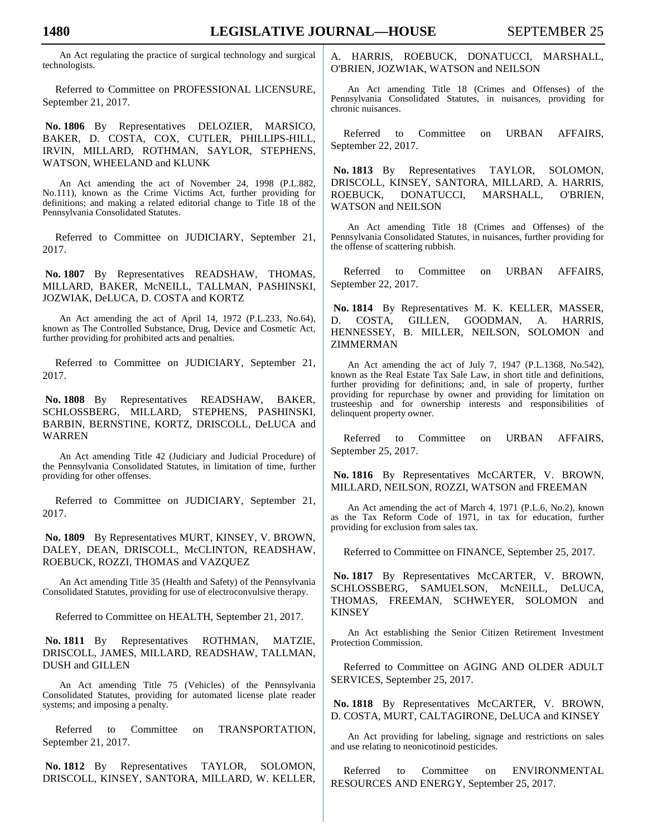An Act regulating the practice of surgical technology and surgical technologists.

Referred to Committee on PROFESSIONAL LICENSURE, September 21, 2017.

 **No. 1806** By Representatives DELOZIER, MARSICO, BAKER, D. COSTA, COX, CUTLER, PHILLIPS-HILL, IRVIN, MILLARD, ROTHMAN, SAYLOR, STEPHENS, WATSON, WHEELAND and KLUNK

An Act amending the act of November 24, 1998 (P.L.882, No.111), known as the Crime Victims Act, further providing for definitions; and making a related editorial change to Title 18 of the Pennsylvania Consolidated Statutes.

Referred to Committee on JUDICIARY, September 21, 2017.

 **No. 1807** By Representatives READSHAW, THOMAS, MILLARD, BAKER, McNEILL, TALLMAN, PASHINSKI, JOZWIAK, DeLUCA, D. COSTA and KORTZ

An Act amending the act of April 14, 1972 (P.L.233, No.64), known as The Controlled Substance, Drug, Device and Cosmetic Act, further providing for prohibited acts and penalties.

Referred to Committee on JUDICIARY, September 21, 2017.

 **No. 1808** By Representatives READSHAW, BAKER, SCHLOSSBERG, MILLARD, STEPHENS, PASHINSKI, BARBIN, BERNSTINE, KORTZ, DRISCOLL, DeLUCA and WARREN

An Act amending Title 42 (Judiciary and Judicial Procedure) of the Pennsylvania Consolidated Statutes, in limitation of time, further providing for other offenses.

Referred to Committee on JUDICIARY, September 21, 2017.

 **No. 1809** By Representatives MURT, KINSEY, V. BROWN, DALEY, DEAN, DRISCOLL, McCLINTON, READSHAW, ROEBUCK, ROZZI, THOMAS and VAZQUEZ

An Act amending Title 35 (Health and Safety) of the Pennsylvania Consolidated Statutes, providing for use of electroconvulsive therapy.

Referred to Committee on HEALTH, September 21, 2017.

 **No. 1811** By Representatives ROTHMAN, MATZIE, DRISCOLL, JAMES, MILLARD, READSHAW, TALLMAN, DUSH and GILLEN

An Act amending Title 75 (Vehicles) of the Pennsylvania Consolidated Statutes, providing for automated license plate reader systems; and imposing a penalty.

Referred to Committee on TRANSPORTATION, September 21, 2017.

 **No. 1812** By Representatives TAYLOR, SOLOMON, DRISCOLL, KINSEY, SANTORA, MILLARD, W. KELLER, A. HARRIS, ROEBUCK, DONATUCCI, MARSHALL, O'BRIEN, JOZWIAK, WATSON and NEILSON

An Act amending Title 18 (Crimes and Offenses) of the Pennsylvania Consolidated Statutes, in nuisances, providing for chronic nuisances.

Referred to Committee on URBAN AFFAIRS, September 22, 2017.

 **No. 1813** By Representatives TAYLOR, SOLOMON, DRISCOLL, KINSEY, SANTORA, MILLARD, A. HARRIS, ROEBUCK, DONATUCCI, MARSHALL, O'BRIEN, WATSON and NEILSON

An Act amending Title 18 (Crimes and Offenses) of the Pennsylvania Consolidated Statutes, in nuisances, further providing for the offense of scattering rubbish.

Referred to Committee on URBAN AFFAIRS, September 22, 2017.

 **No. 1814** By Representatives M. K. KELLER, MASSER, D. COSTA, GILLEN, GOODMAN, A. HARRIS, HENNESSEY, B. MILLER, NEILSON, SOLOMON and ZIMMERMAN

An Act amending the act of July 7, 1947 (P.L.1368, No.542), known as the Real Estate Tax Sale Law, in short title and definitions, further providing for definitions; and, in sale of property, further providing for repurchase by owner and providing for limitation on trusteeship and for ownership interests and responsibilities of delinquent property owner.

Referred to Committee on URBAN AFFAIRS, September 25, 2017.

 **No. 1816** By Representatives McCARTER, V. BROWN, MILLARD, NEILSON, ROZZI, WATSON and FREEMAN

An Act amending the act of March 4, 1971 (P.L.6, No.2), known as the Tax Reform Code of 1971, in tax for education, further providing for exclusion from sales tax.

Referred to Committee on FINANCE, September 25, 2017.

 **No. 1817** By Representatives McCARTER, V. BROWN, SCHLOSSBERG, SAMUELSON, McNEILL, DeLUCA, THOMAS, FREEMAN, SCHWEYER, SOLOMON and KINSEY

An Act establishing the Senior Citizen Retirement Investment Protection Commission.

Referred to Committee on AGING AND OLDER ADULT SERVICES, September 25, 2017.

 **No. 1818** By Representatives McCARTER, V. BROWN, D. COSTA, MURT, CALTAGIRONE, DeLUCA and KINSEY

An Act providing for labeling, signage and restrictions on sales and use relating to neonicotinoid pesticides.

Referred to Committee on ENVIRONMENTAL RESOURCES AND ENERGY, September 25, 2017.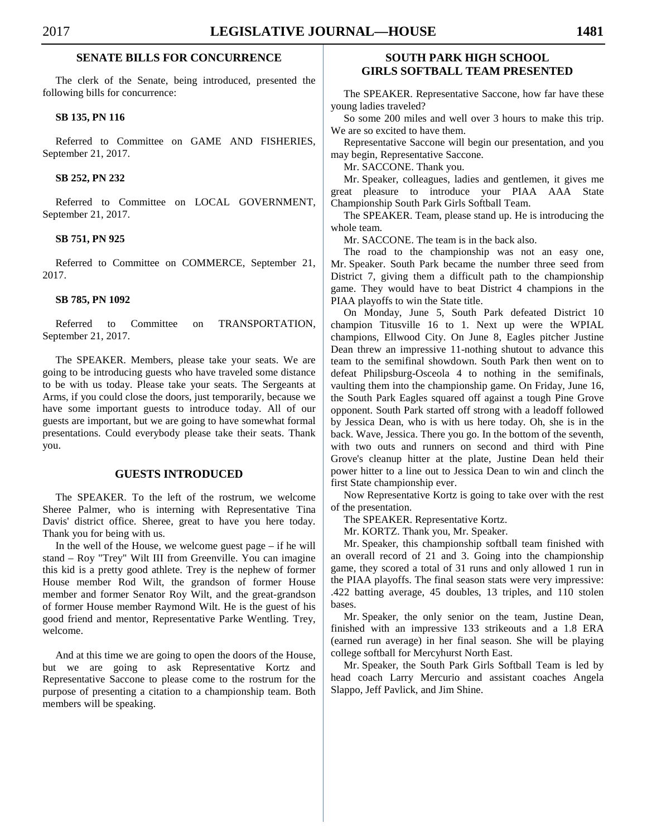# **SENATE BILLS FOR CONCURRENCE**

 The clerk of the Senate, being introduced, presented the following bills for concurrence:

## **SB 135, PN 116**

 Referred to Committee on GAME AND FISHERIES, September 21, 2017.

# **SB 252, PN 232**

 Referred to Committee on LOCAL GOVERNMENT, September 21, 2017.

#### **SB 751, PN 925**

 Referred to Committee on COMMERCE, September 21, 2017.

#### **SB 785, PN 1092**

 Referred to Committee on TRANSPORTATION, September 21, 2017.

 The SPEAKER. Members, please take your seats. We are going to be introducing guests who have traveled some distance to be with us today. Please take your seats. The Sergeants at Arms, if you could close the doors, just temporarily, because we have some important guests to introduce today. All of our guests are important, but we are going to have somewhat formal presentations. Could everybody please take their seats. Thank you.

# **GUESTS INTRODUCED**

 The SPEAKER. To the left of the rostrum, we welcome Sheree Palmer, who is interning with Representative Tina Davis' district office. Sheree, great to have you here today. Thank you for being with us.

 In the well of the House, we welcome guest page – if he will stand – Roy "Trey" Wilt III from Greenville. You can imagine this kid is a pretty good athlete. Trey is the nephew of former House member Rod Wilt, the grandson of former House member and former Senator Roy Wilt, and the great-grandson of former House member Raymond Wilt. He is the guest of his good friend and mentor, Representative Parke Wentling. Trey, welcome.

 And at this time we are going to open the doors of the House, but we are going to ask Representative Kortz and Representative Saccone to please come to the rostrum for the purpose of presenting a citation to a championship team. Both members will be speaking.

# **SOUTH PARK HIGH SCHOOL GIRLS SOFTBALL TEAM PRESENTED**

 The SPEAKER. Representative Saccone, how far have these young ladies traveled?

 So some 200 miles and well over 3 hours to make this trip. We are so excited to have them.

 Representative Saccone will begin our presentation, and you may begin, Representative Saccone.

Mr. SACCONE. Thank you.

 Mr. Speaker, colleagues, ladies and gentlemen, it gives me great pleasure to introduce your PIAA AAA State Championship South Park Girls Softball Team.

 The SPEAKER. Team, please stand up. He is introducing the whole team.

Mr. SACCONE. The team is in the back also.

 The road to the championship was not an easy one, Mr. Speaker. South Park became the number three seed from District 7, giving them a difficult path to the championship game. They would have to beat District 4 champions in the PIAA playoffs to win the State title.

 On Monday, June 5, South Park defeated District 10 champion Titusville 16 to 1. Next up were the WPIAL champions, Ellwood City. On June 8, Eagles pitcher Justine Dean threw an impressive 11-nothing shutout to advance this team to the semifinal showdown. South Park then went on to defeat Philipsburg-Osceola 4 to nothing in the semifinals, vaulting them into the championship game. On Friday, June 16, the South Park Eagles squared off against a tough Pine Grove opponent. South Park started off strong with a leadoff followed by Jessica Dean, who is with us here today. Oh, she is in the back. Wave, Jessica. There you go. In the bottom of the seventh, with two outs and runners on second and third with Pine Grove's cleanup hitter at the plate, Justine Dean held their power hitter to a line out to Jessica Dean to win and clinch the first State championship ever.

 Now Representative Kortz is going to take over with the rest of the presentation.

The SPEAKER. Representative Kortz.

Mr. KORTZ. Thank you, Mr. Speaker.

 Mr. Speaker, this championship softball team finished with an overall record of 21 and 3. Going into the championship game, they scored a total of 31 runs and only allowed 1 run in the PIAA playoffs. The final season stats were very impressive: .422 batting average, 45 doubles, 13 triples, and 110 stolen bases.

 Mr. Speaker, the only senior on the team, Justine Dean, finished with an impressive 133 strikeouts and a 1.8 ERA (earned run average) in her final season. She will be playing college softball for Mercyhurst North East.

 Mr. Speaker, the South Park Girls Softball Team is led by head coach Larry Mercurio and assistant coaches Angela Slappo, Jeff Pavlick, and Jim Shine.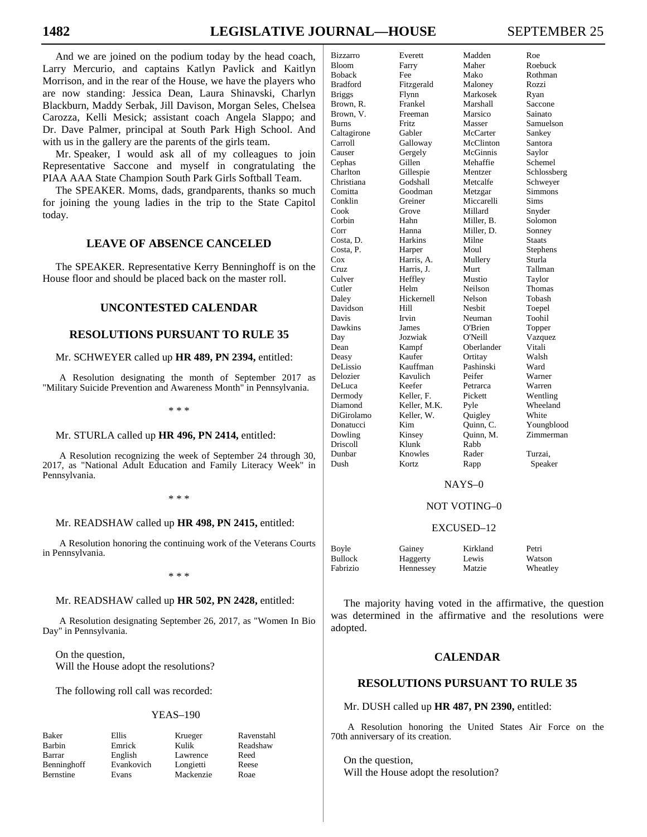And we are joined on the podium today by the head coach, Larry Mercurio, and captains Katlyn Pavlick and Kaitlyn Morrison, and in the rear of the House, we have the players who are now standing: Jessica Dean, Laura Shinavski, Charlyn Blackburn, Maddy Serbak, Jill Davison, Morgan Seles, Chelsea Carozza, Kelli Mesick; assistant coach Angela Slappo; and Dr. Dave Palmer, principal at South Park High School. And with us in the gallery are the parents of the girls team.

 Mr. Speaker, I would ask all of my colleagues to join Representative Saccone and myself in congratulating the PIAA AAA State Champion South Park Girls Softball Team.

 The SPEAKER. Moms, dads, grandparents, thanks so much for joining the young ladies in the trip to the State Capitol today.

# **LEAVE OF ABSENCE CANCELED**

 The SPEAKER. Representative Kerry Benninghoff is on the House floor and should be placed back on the master roll.

# **UNCONTESTED CALENDAR**

# **RESOLUTIONS PURSUANT TO RULE 35**

#### Mr. SCHWEYER called up **HR 489, PN 2394,** entitled:

A Resolution designating the month of September 2017 as "Military Suicide Prevention and Awareness Month" in Pennsylvania.

\* \* \*

### Mr. STURLA called up **HR 496, PN 2414,** entitled:

A Resolution recognizing the week of September 24 through 30, 2017, as "National Adult Education and Family Literacy Week" in Pennsylvania.

\* \* \*

#### Mr. READSHAW called up **HR 498, PN 2415,** entitled:

A Resolution honoring the continuing work of the Veterans Courts in Pennsylvania.

\* \* \*

# Mr. READSHAW called up **HR 502, PN 2428,** entitled:

A Resolution designating September 26, 2017, as "Women In Bio Day" in Pennsylvania.

 On the question, Will the House adopt the resolutions?

The following roll call was recorded:

#### YEAS–190

| Baker      |
|------------|
| Barbin     |
| Barrar     |
| Benninghot |
| Bernstine  |

English Lawrence Reed ff Evankovich Longietti Reese Evans Mackenzie Roae

Ellis Krueger Ravenstahl<br>
Emrick Kulik Readshaw Kulik Readshaw

| Bizzarro      | Everett      | Madden     | Roe           |
|---------------|--------------|------------|---------------|
| Bloom         | Farry        | Maher      | Roebuck       |
| Boback        | Fee          | Mako       | Rothman       |
| Bradford      | Fitzgerald   | Maloney    | Rozzi         |
| <b>Briggs</b> | Flynn        | Markosek   | Ryan          |
| Brown, R.     | Frankel      | Marshall   | Saccone       |
| Brown, V.     | Freeman      | Marsico    | Sainato       |
| Burns         | Fritz        | Masser     | Samuelson     |
| Caltagirone   | Gabler       | McCarter   | Sankey        |
| Carroll       | Galloway     | McClinton  | Santora       |
| Causer        | Gergely      | McGinnis   | Saylor        |
| Cephas        | Gillen       | Mehaffie   | Schemel       |
| Charlton      | Gillespie    | Mentzer    | Schlossberg   |
| Christiana    | Godshall     | Metcalfe   | Schweyer      |
| Comitta       | Goodman      | Metzgar    | Simmons       |
| Conklin       | Greiner      | Miccarelli | Sims          |
| Cook          | Grove        | Millard    | Snyder        |
| Corbin        | Hahn         | Miller, B. | Solomon       |
| Corr          | Hanna        | Miller, D. | Sonney        |
| Costa, D.     | Harkins      | Milne      | <b>Staats</b> |
| Costa, P.     | Harper       | Moul       | Stephens      |
| Cox           | Harris, A.   | Mullery    | Sturla        |
| Cruz          | Harris, J.   | Murt       | Tallman       |
| Culver        | Heffley      | Mustio     | Taylor        |
| Cutler        | Helm         | Neilson    | Thomas        |
| Daley         | Hickernell   | Nelson     | Tobash        |
| Davidson      | Hill         | Nesbit     | Toepel        |
| Davis         | Irvin        | Neuman     | Toohil        |
| Dawkins       | James        | O'Brien    | Topper        |
| Day           | Jozwiak      | O'Neill    | Vazquez       |
| Dean          | Kampf        | Oberlander | Vitali        |
| Deasy         | Kaufer       | Ortitay    | Walsh         |
| DeLissio      | Kauffman     | Pashinski  | Ward          |
| Delozier      | Kavulich     | Peifer     | Warner        |
| DeLuca        | Keefer       | Petrarca   | Warren        |
| Dermody       | Keller, F.   | Pickett    | Wentling      |
| Diamond       | Keller, M.K. | Pyle       | Wheeland      |
| DiGirolamo    | Keller, W.   | Quigley    | White         |
| Donatucci     | Kim          | Quinn, C.  | Youngblood    |
| Dowling       | Kinsey       | Quinn, M.  | Zimmerman     |
| Driscoll      | Klunk        | Rabb       |               |
| Dunbar        | Knowles      | Rader      | Turzai,       |
| Dush          | Kortz        | Rapp       | Speaker       |
|               |              |            |               |

#### NAYS–0

## NOT VOTING–0

#### EXCUSED–12

| Boyle    | Gainey    | Kirkland | Petri    |
|----------|-----------|----------|----------|
| Bullock  | Haggerty  | Lewis    | Watson   |
| Fabrizio | Hennessey | Matzie   | Wheatley |

 The majority having voted in the affirmative, the question was determined in the affirmative and the resolutions were adopted.

# **CALENDAR**

# **RESOLUTIONS PURSUANT TO RULE 35**

Mr. DUSH called up **HR 487, PN 2390,** entitled:

A Resolution honoring the United States Air Force on the 70th anniversary of its creation.

 On the question, Will the House adopt the resolution?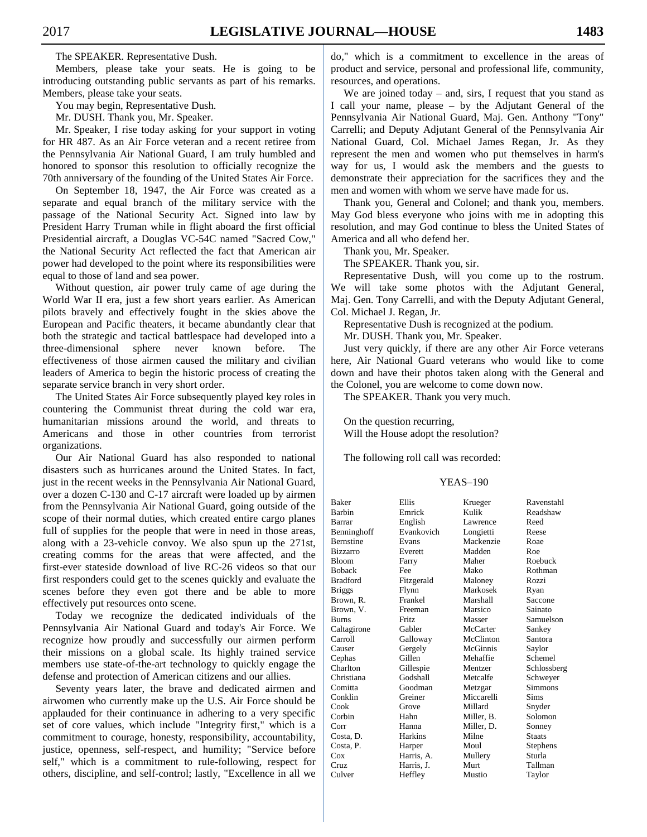The SPEAKER. Representative Dush.

 Members, please take your seats. He is going to be introducing outstanding public servants as part of his remarks. Members, please take your seats.

You may begin, Representative Dush.

Mr. DUSH. Thank you, Mr. Speaker.

 Mr. Speaker, I rise today asking for your support in voting for HR 487. As an Air Force veteran and a recent retiree from the Pennsylvania Air National Guard, I am truly humbled and honored to sponsor this resolution to officially recognize the 70th anniversary of the founding of the United States Air Force.

 On September 18, 1947, the Air Force was created as a separate and equal branch of the military service with the passage of the National Security Act. Signed into law by President Harry Truman while in flight aboard the first official Presidential aircraft, a Douglas VC-54C named "Sacred Cow," the National Security Act reflected the fact that American air power had developed to the point where its responsibilities were equal to those of land and sea power.

 Without question, air power truly came of age during the World War II era, just a few short years earlier. As American pilots bravely and effectively fought in the skies above the European and Pacific theaters, it became abundantly clear that both the strategic and tactical battlespace had developed into a three-dimensional sphere never known before. The effectiveness of those airmen caused the military and civilian leaders of America to begin the historic process of creating the separate service branch in very short order.

 The United States Air Force subsequently played key roles in countering the Communist threat during the cold war era, humanitarian missions around the world, and threats to Americans and those in other countries from terrorist organizations.

 Our Air National Guard has also responded to national disasters such as hurricanes around the United States. In fact, just in the recent weeks in the Pennsylvania Air National Guard, over a dozen C-130 and C-17 aircraft were loaded up by airmen from the Pennsylvania Air National Guard, going outside of the scope of their normal duties, which created entire cargo planes full of supplies for the people that were in need in those areas, along with a 23-vehicle convoy. We also spun up the 271st, creating comms for the areas that were affected, and the first-ever stateside download of live RC-26 videos so that our first responders could get to the scenes quickly and evaluate the scenes before they even got there and be able to more effectively put resources onto scene.

 Today we recognize the dedicated individuals of the Pennsylvania Air National Guard and today's Air Force. We recognize how proudly and successfully our airmen perform their missions on a global scale. Its highly trained service members use state-of-the-art technology to quickly engage the defense and protection of American citizens and our allies.

 Seventy years later, the brave and dedicated airmen and airwomen who currently make up the U.S. Air Force should be applauded for their continuance in adhering to a very specific set of core values, which include "Integrity first," which is a commitment to courage, honesty, responsibility, accountability, justice, openness, self-respect, and humility; "Service before self," which is a commitment to rule-following, respect for others, discipline, and self-control; lastly, "Excellence in all we

do," which is a commitment to excellence in the areas of product and service, personal and professional life, community, resources, and operations.

We are joined today – and, sirs, I request that you stand as I call your name, please – by the Adjutant General of the Pennsylvania Air National Guard, Maj. Gen. Anthony "Tony" Carrelli; and Deputy Adjutant General of the Pennsylvania Air National Guard, Col. Michael James Regan, Jr. As they represent the men and women who put themselves in harm's way for us, I would ask the members and the guests to demonstrate their appreciation for the sacrifices they and the men and women with whom we serve have made for us.

 Thank you, General and Colonel; and thank you, members. May God bless everyone who joins with me in adopting this resolution, and may God continue to bless the United States of America and all who defend her.

Thank you, Mr. Speaker.

The SPEAKER. Thank you, sir.

 Representative Dush, will you come up to the rostrum. We will take some photos with the Adjutant General, Maj. Gen. Tony Carrelli, and with the Deputy Adjutant General, Col. Michael J. Regan, Jr.

Representative Dush is recognized at the podium.

Mr. DUSH. Thank you, Mr. Speaker.

 Just very quickly, if there are any other Air Force veterans here, Air National Guard veterans who would like to come down and have their photos taken along with the General and the Colonel, you are welcome to come down now.

The SPEAKER. Thank you very much.

 On the question recurring, Will the House adopt the resolution?

The following roll call was recorded:

#### YEAS–190

| <b>Baker</b>     | Ellis          | Krueger    | Ravenstahl    |
|------------------|----------------|------------|---------------|
| <b>Barbin</b>    | Emrick         | Kulik      | Readshaw      |
| Barrar           | English        | Lawrence   | Reed          |
| Benninghoff      | Evankovich     | Longietti  | Reese         |
| <b>Bernstine</b> | Evans          | Mackenzie  | Roae          |
| <b>Bizzarro</b>  | Everett        | Madden     | Roe           |
| <b>Bloom</b>     | Farry          | Maher      | Roebuck       |
| <b>Boback</b>    | Fee            | Mako       | Rothman       |
| <b>Bradford</b>  | Fitzgerald     | Maloney    | Rozzi         |
| <b>Briggs</b>    | Flynn          | Markosek   | Ryan          |
| Brown, R.        | Frankel        | Marshall   | Saccone       |
| Brown, V.        | Freeman        | Marsico    | Sainato       |
| <b>Burns</b>     | <b>Fritz</b>   | Masser     | Samuelson     |
| Caltagirone      | Gabler         | McCarter   | Sankey        |
| Carroll          | Galloway       | McClinton  | Santora       |
| Causer           | Gergely        | McGinnis   | Saylor        |
| Cephas           | Gillen         | Mehaffie   | Schemel       |
| Charlton         | Gillespie      | Mentzer    | Schlossberg   |
| Christiana       | Godshall       | Metcalfe   | Schweyer      |
| Comitta          | Goodman        | Metzgar    | Simmons       |
| Conklin          | Greiner        | Miccarelli | Sims          |
| Cook             | Grove          | Millard    | Snyder        |
| Corbin           | Hahn           | Miller, B. | Solomon       |
| Corr             | Hanna          | Miller, D. | Sonney        |
| Costa, D.        | <b>Harkins</b> | Milne      | <b>Staats</b> |
| Costa, P.        | Harper         | Moul       | Stephens      |
| Cox              | Harris, A.     | Mullery    | Sturla        |
| Cruz             | Harris, J.     | Murt       | Tallman       |
| Culver           | Heffley        | Mustio     | Taylor        |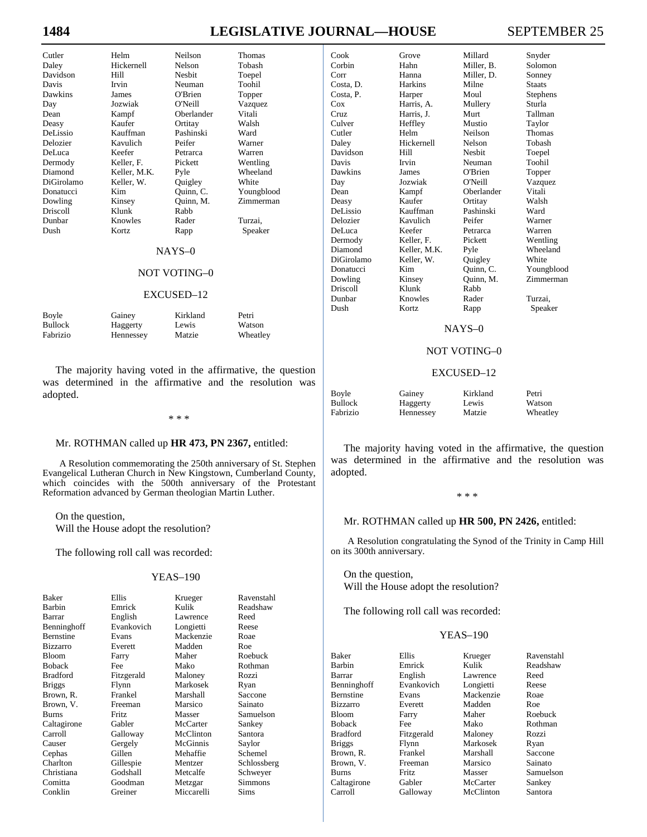# **1484 LEGISLATIVE JOURNAL—HOUSE** SEPTEMBER 25

| Cutler     |
|------------|
| Daley      |
| Davidson   |
| Davis      |
| Dawkins    |
| Day        |
| Dean       |
| Deasy      |
| DeLissio   |
| Delozier   |
| DeLuca     |
| Dermody    |
| Diamond    |
| DiGirolamo |
| Donatucci  |
| Dowling    |
| Driscoll   |
| Dunbar     |
| Dush       |
|            |
|            |

Helm Neilson Thomas Hickernell Nelson Tobash<br>
Hill Nesbit Toepel Hill Nesbit Toepel<br>
Irvin Neuman Toohil James O'Brien Topper<br>
Jozwiak O'Neill Vazque Kampf Oberlander Vitali Kaufer Ortitay Walsh Kauffman Pashinski Ward<br>Kavulich Peifer Warner Kavulich Keefer Petrarca Warren<br>
Keller, F. Pickett Wentling Keller, F. Keller, M.K. Pyle Wheeland<br>
Reller, W. Quigley White Keller, W. Kim Quinn, C. Youngblood<br>
Kinsey Quinn, M. Zimmerman Klunk Rabb<br>Knowles Rader Knowles Rader Turzai, Kortz Rapp Speaker

# Neuman Toohil Vazquez Ouinn, M. Zimmerman

#### NAYS–0

#### NOT VOTING–0

#### EXCUSED–12

| Boyle          | Gainey    | Kirkland | Petri    |
|----------------|-----------|----------|----------|
| <b>Bullock</b> | Haggerty  | Lewis    | Watson   |
| Fabrizio       | Hennessey | Matzie   | Wheatley |

 The majority having voted in the affirmative, the question was determined in the affirmative and the resolution was adopted.

#### \* \* \*

#### Mr. ROTHMAN called up **HR 473, PN 2367,** entitled:

A Resolution commemorating the 250th anniversary of St. Stephen Evangelical Lutheran Church in New Kingstown, Cumberland County, which coincides with the 500th anniversary of the Protestant Reformation advanced by German theologian Martin Luther.

 On the question, Will the House adopt the resolution?

The following roll call was recorded:

#### YEAS–190

| Baker<br>Barbin  | <b>Ellis</b><br>Emrick | Krueger<br>Kulik | Ravenstahl<br>Readshaw |
|------------------|------------------------|------------------|------------------------|
| Barrar           | English                | Lawrence         | Reed                   |
| Benninghoff      | Evankovich             | Longietti        | Reese                  |
| <b>Bernstine</b> | Evans                  | Mackenzie        | Roae                   |
| <b>Bizzarro</b>  | Everett                | Madden           | Roe                    |
| <b>Bloom</b>     | Farry                  | Maher            | Roebuck                |
| <b>Boback</b>    | Fee                    | Mako             | Rothman                |
| <b>Bradford</b>  | Fitzgerald             | Maloney          | Rozzi                  |
| <b>Briggs</b>    | Flynn                  | Markosek         | Ryan                   |
| Brown, R.        | Frankel                | Marshall         | Saccone                |
| Brown, V.        | Freeman                | Marsico          | Sainato                |
| <b>Burns</b>     | <b>Fritz</b>           | Masser           | Samuelson              |
| Caltagirone      | Gabler                 | McCarter         | Sankey                 |
| Carroll          | Galloway               | McClinton        | Santora                |
| Causer           | Gergely                | McGinnis         | Saylor                 |
| Cephas           | Gillen                 | Mehaffie         | Schemel                |
| Charlton         | Gillespie              | Mentzer          | Schlossberg            |
| Christiana       | Godshall               | Metcalfe         | Schweyer               |
| Comitta          | Goodman                | Metzgar          | Simmons                |
| Conklin          | Greiner                | Miccarelli       | Sims                   |

| Cook       | Grove          | Millard        | Snyder        |
|------------|----------------|----------------|---------------|
| Corbin     | Hahn           | Miller, B.     | Solomon       |
| Corr       | Hanna          | Miller, D.     | Sonney        |
| Costa, D.  | <b>Harkins</b> | Milne          | <b>Staats</b> |
| Costa, P.  | Harper         | Moul           | Stephens      |
| Cox        | Harris, A.     | Mullery        | Sturla        |
| Cruz.      | Harris, J.     | Murt           | Tallman       |
| Culver     | Heffley        | Mustio         | Taylor        |
| Cutler     | Helm           | <b>Neilson</b> | Thomas        |
| Daley      | Hickernell     | Nelson         | Tobash        |
| Davidson   | Hill           | <b>Nesbit</b>  | Toepel        |
| Davis      | Irvin          | Neuman         | Toohil        |
| Dawkins    | James          | O'Brien        | Topper        |
| Day        | Jozwiak        | O'Neill        | Vazquez       |
| Dean       | Kampf          | Oberlander     | Vitali        |
| Deasy      | Kaufer         | Ortitay        | Walsh         |
| DeLissio   | Kauffman       | Pashinski      | Ward          |
| Delozier   | Kavulich       | Peifer         | Warner        |
| DeLuca     | Keefer         | Petrarca       | Warren        |
| Dermody    | Keller, F.     | Pickett        | Wentling      |
| Diamond    | Keller, M.K.   | Pyle           | Wheeland      |
| DiGirolamo | Keller, W.     | Quigley        | White         |
| Donatucci  | Kim            | Quinn, C.      | Youngblood    |
| Dowling    | Kinsey         | Quinn, M.      | Zimmerman     |
| Driscoll   | Klunk          | Rabb           |               |
| Dunbar     | Knowles        | Rader          | Turzai.       |
| Dush       | <b>Kortz</b>   | Rapp           | Speaker       |
|            |                |                |               |

#### NAYS–0

#### NOT VOTING–0

#### EXCUSED–12

| Boyle    | Gainey    | Kirkland | Petri    |
|----------|-----------|----------|----------|
| Bullock  | Haggerty  | Lewis    | Watson   |
| Fabrizio | Hennessey | Matzie   | Wheatley |

 The majority having voted in the affirmative, the question was determined in the affirmative and the resolution was adopted.

#### \* \* \*

#### Mr. ROTHMAN called up **HR 500, PN 2426,** entitled:

A Resolution congratulating the Synod of the Trinity in Camp Hill on its 300th anniversary.

 On the question, Will the House adopt the resolution?

The following roll call was recorded:

#### YEAS–190

| <b>Baker</b>    | Ellis      | Krueger   | Ravenstahl |
|-----------------|------------|-----------|------------|
| Barbin          | Emrick     | Kulik     | Readshaw   |
| Barrar          | English    | Lawrence  | Reed       |
| Benninghoff     | Evankovich | Longietti | Reese      |
| Bernstine       | Evans      | Mackenzie | Roae       |
| Bizzarro        | Everett    | Madden    | Roe        |
| Bloom           | Farry      | Maher     | Roebuck    |
| <b>Boback</b>   | Fee        | Mako      | Rothman    |
| <b>Bradford</b> | Fitzgerald | Maloney   | Rozzi      |
| <b>Briggs</b>   | Flynn      | Markosek  | Ryan       |
| Brown, R.       | Frankel    | Marshall  | Saccone    |
| Brown, V.       | Freeman    | Marsico   | Sainato    |
| Burns           | Fritz      | Masser    | Samuelson  |
| Caltagirone     | Gabler     | McCarter  | Sankey     |
| Carroll         | Galloway   | McClinton | Santora    |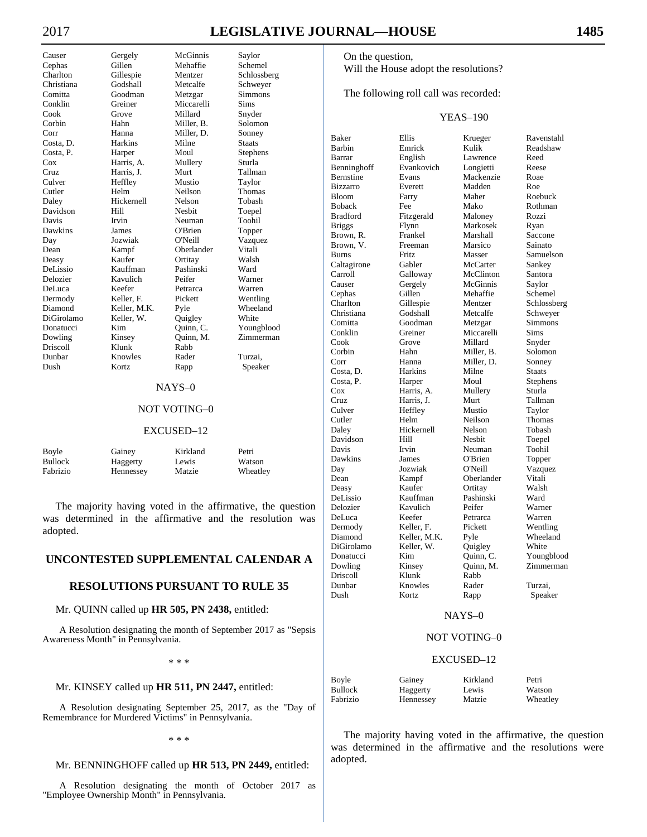# 2017 **LEGISLATIVE JOURNAL—HOUSE 1485**

 On the question, Will the House adopt the resolutions?

The following roll call was recorded:

## YEAS–190

| <b>Baker</b>    | Ellis          |                  | Ravenstahl    |
|-----------------|----------------|------------------|---------------|
| Barbin          | Emrick         | Krueger<br>Kulik | Readshaw      |
| Barrar          | English        | Lawrence         | Reed          |
| Benninghoff     | Evankovich     | Longietti        | Reese         |
| Bernstine       | Evans          | Mackenzie        | Roae          |
| <b>Bizzarro</b> | Everett        | Madden           | Roe           |
| <b>Bloom</b>    |                | Maher            | Roebuck       |
| <b>Boback</b>   | Farry          | Mako             | Rothman       |
|                 | Fee            |                  |               |
| <b>Bradford</b> | Fitzgerald     | Maloney          | Rozzi         |
| <b>Briggs</b>   | Flynn          | Markosek         | Ryan          |
| Brown, R.       | Frankel        | Marshall         | Saccone       |
| Brown, V.       | Freeman        | Marsico          | Sainato       |
| <b>Burns</b>    | Fritz          | Masser           | Samuelson     |
| Caltagirone     | Gabler         | McCarter         | Sankey        |
| Carroll         | Galloway       | McClinton        | Santora       |
| Causer          | Gergely        | McGinnis         | Saylor        |
| Cephas          | Gillen         | Mehaffie         | Schemel       |
| Charlton        | Gillespie      | Mentzer          | Schlossberg   |
| Christiana      | Godshall       | Metcalfe         | Schweyer      |
| Comitta         | Goodman        | Metzgar          | Simmons       |
| Conklin         | Greiner        | Miccarelli       | Sims          |
| Cook            | Grove          | Millard          | Snyder        |
| Corbin          | Hahn           | Miller, B.       | Solomon       |
| Corr            | Hanna          | Miller, D.       | Sonney        |
| Costa, D.       | <b>Harkins</b> | Milne            | <b>Staats</b> |
| Costa, P.       | Harper         | Moul             | Stephens      |
| Cox             | Harris, A.     | Mullery          | Sturla        |
| Cruz.           | Harris, J.     | Murt             | Tallman       |
| Culver          | Heffley        | Mustio           | Taylor        |
| Cutler          | Helm           | Neilson          | Thomas        |
| Daley           | Hickernell     | Nelson           | Tobash        |
| Davidson        | Hill           | Nesbit           | Toepel        |
| Davis           | Irvin          | Neuman           | Toohil        |
| Dawkins         | James          | O'Brien          | Topper        |
| Day             | Jozwiak        | O'Neill          | Vazquez       |
| Dean            | Kampf          | Oberlander       | Vitali        |
| Deasy           | Kaufer         | Ortitay          | Walsh         |
| DeLissio        | Kauffman       | Pashinski        | Ward          |
| Delozier        | Kavulich       | Peifer           | Warner        |
| DeLuca          | Keefer         | Petrarca         | Warren        |
| Dermody         | Keller. F.     | Pickett          | Wentling      |
| Diamond         | Keller, M.K.   | Pyle             | Wheeland      |
| DiGirolamo      | Keller, W.     | Quigley          | White         |
| Donatucci       | Kim            | Quinn, C.        | Youngblood    |
| Dowling         | Kinsey         | Quinn, M.        | Zimmerman     |
| Driscoll        | Klunk          | Rabb             |               |
| Dunbar          | Knowles        | Rader            | Turzai,       |
| Dush            | Kortz          | Rapp             | Speaker       |
|                 |                |                  |               |

#### NAYS–0

## NOT VOTING–0

#### EXCUSED–12

| Boyle          | Gainey    | Kirkland | Petri    |
|----------------|-----------|----------|----------|
| <b>Bullock</b> | Haggerty  | Lewis    | Watson   |
| Fabrizio       | Hennessey | Matzie   | Wheatley |

 The majority having voted in the affirmative, the question was determined in the affirmative and the resolutions were adopted.

Causer Gergely McGinnis Saylor Cephas Gillen Mehaffie Schemel<br>Charlton Gillespie Mentzer Schlossb Charlton Gillespie Mentzer Schlossberg Comitta Goodman Metzgar Simmons Cook Grove Millard Snyder Corbin Hahn Miller, B. Solomon Corr Hanna Miller, D. Sonney Costa, D. Harkins Milne Staats Costa, P. Harper Moul Stephens Harris, A. Cruz Harris, J. Murt Tallman<br>Culver Heffley Mustio Taylor Heffley Cutler Helm Neilson Thomas Daley Hickernell Nelson Tobash Davidson Hill Nesbit Toepel Neuman Dawkins James O'Brien Topper Day Jozwiak O'Neill Vazquez Dean Kampf Oberlander Vitali<br>
Deasy Kaufer Ortitay Walsh Kaufer <sup>Walsh</sup> DeLissio Kauffman Pashinski Ward Delozier Kavulich Peifer Warner DeLuca Keefer Petrarca Warren Dermody Keller, F. Pickett Wentling<br>Diamond Keller M.K Pyle Wheeland Diamond Keller, M.K. Pyle Wheeland DiGirolamo Keller, W. Quigley White Donatucci Kim Quinn, C. Youngblood<br>Dowling Kinsey Quinn, M. Zimmerman Driscoll Klunk Rabb Dunbar Knowles Rader Turzai, Dush Kortz Rapp Speaker

Schweyer Miccarelli Sims Zimmerman

#### NAYS–0

#### NOT VOTING–0

#### EXCUSED–12

| Boyle    | Gainey    | Kirkland | Petri    |
|----------|-----------|----------|----------|
| Bullock  | Haggerty  | Lewis    | Watson   |
| Fabrizio | Hennessey | Matzie   | Wheatley |

 The majority having voted in the affirmative, the question was determined in the affirmative and the resolution was adopted.

# **UNCONTESTED SUPPLEMENTAL CALENDAR A**

## **RESOLUTIONS PURSUANT TO RULE 35**

#### Mr. QUINN called up **HR 505, PN 2438,** entitled:

A Resolution designating the month of September 2017 as "Sepsis Awareness Month" in Pennsylvania.

\* \* \*

#### Mr. KINSEY called up **HR 511, PN 2447,** entitled:

A Resolution designating September 25, 2017, as the "Day of Remembrance for Murdered Victims" in Pennsylvania.

#### \* \* \*

# Mr. BENNINGHOFF called up **HR 513, PN 2449,** entitled:

A Resolution designating the month of October 2017 as "Employee Ownership Month" in Pennsylvania.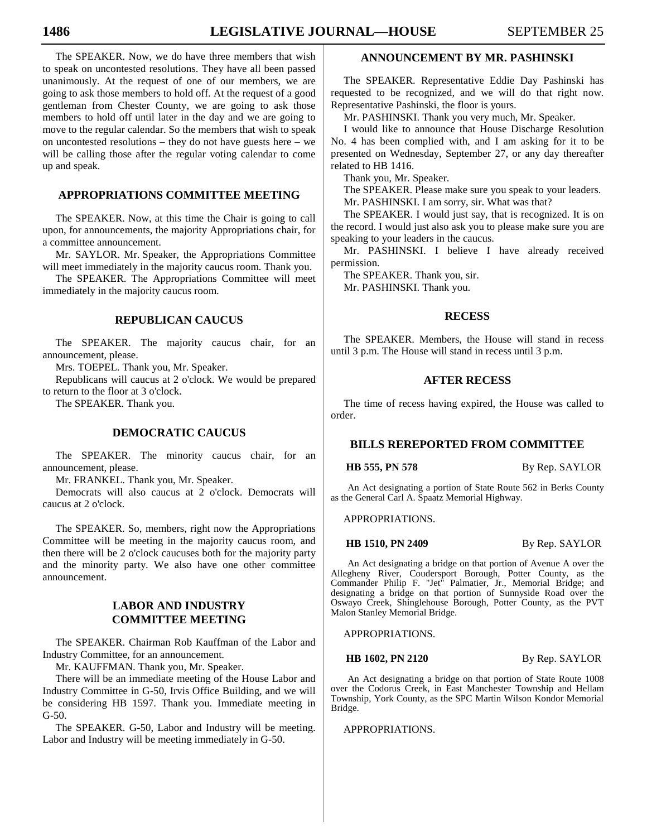The SPEAKER. Now, we do have three members that wish to speak on uncontested resolutions. They have all been passed unanimously. At the request of one of our members, we are going to ask those members to hold off. At the request of a good gentleman from Chester County, we are going to ask those members to hold off until later in the day and we are going to move to the regular calendar. So the members that wish to speak on uncontested resolutions – they do not have guests here – we will be calling those after the regular voting calendar to come up and speak.

# **APPROPRIATIONS COMMITTEE MEETING**

 The SPEAKER. Now, at this time the Chair is going to call upon, for announcements, the majority Appropriations chair, for a committee announcement.

 Mr. SAYLOR. Mr. Speaker, the Appropriations Committee will meet immediately in the majority caucus room. Thank you.

 The SPEAKER. The Appropriations Committee will meet immediately in the majority caucus room.

# **REPUBLICAN CAUCUS**

 The SPEAKER. The majority caucus chair, for an announcement, please.

Mrs. TOEPEL. Thank you, Mr. Speaker.

 Republicans will caucus at 2 o'clock. We would be prepared to return to the floor at 3 o'clock.

The SPEAKER. Thank you.

# **DEMOCRATIC CAUCUS**

 The SPEAKER. The minority caucus chair, for an announcement, please.

Mr. FRANKEL. Thank you, Mr. Speaker.

 Democrats will also caucus at 2 o'clock. Democrats will caucus at 2 o'clock.

 The SPEAKER. So, members, right now the Appropriations Committee will be meeting in the majority caucus room, and then there will be 2 o'clock caucuses both for the majority party and the minority party. We also have one other committee announcement.

# **LABOR AND INDUSTRY COMMITTEE MEETING**

 The SPEAKER. Chairman Rob Kauffman of the Labor and Industry Committee, for an announcement.

Mr. KAUFFMAN. Thank you, Mr. Speaker.

 There will be an immediate meeting of the House Labor and Industry Committee in G-50, Irvis Office Building, and we will be considering HB 1597. Thank you. Immediate meeting in G-50.

 The SPEAKER. G-50, Labor and Industry will be meeting. Labor and Industry will be meeting immediately in G-50.

# **ANNOUNCEMENT BY MR. PASHINSKI**

 The SPEAKER. Representative Eddie Day Pashinski has requested to be recognized, and we will do that right now. Representative Pashinski, the floor is yours.

Mr. PASHINSKI. Thank you very much, Mr. Speaker.

 I would like to announce that House Discharge Resolution No. 4 has been complied with, and I am asking for it to be presented on Wednesday, September 27, or any day thereafter related to HB 1416.

Thank you, Mr. Speaker.

 The SPEAKER. Please make sure you speak to your leaders. Mr. PASHINSKI. I am sorry, sir. What was that?

 The SPEAKER. I would just say, that is recognized. It is on the record. I would just also ask you to please make sure you are speaking to your leaders in the caucus.

 Mr. PASHINSKI. I believe I have already received permission.

 The SPEAKER. Thank you, sir. Mr. PASHINSKI. Thank you.

#### **RECESS**

 The SPEAKER. Members, the House will stand in recess until 3 p.m. The House will stand in recess until 3 p.m.

# **AFTER RECESS**

 The time of recess having expired, the House was called to order.

## **BILLS REREPORTED FROM COMMITTEE**

**HB 555, PN 578** By Rep. SAYLOR

An Act designating a portion of State Route 562 in Berks County as the General Carl A. Spaatz Memorial Highway.

APPROPRIATIONS.

**HB 1510, PN 2409** By Rep. SAYLOR

An Act designating a bridge on that portion of Avenue A over the Allegheny River, Coudersport Borough, Potter County, as the Commander Philip F. "Jet" Palmatier, Jr., Memorial Bridge; and designating a bridge on that portion of Sunnyside Road over the Oswayo Creek, Shinglehouse Borough, Potter County, as the PVT Malon Stanley Memorial Bridge.

APPROPRIATIONS.

**HB 1602, PN 2120** By Rep. SAYLOR

An Act designating a bridge on that portion of State Route 1008 over the Codorus Creek, in East Manchester Township and Hellam Township, York County, as the SPC Martin Wilson Kondor Memorial Bridge.

APPROPRIATIONS.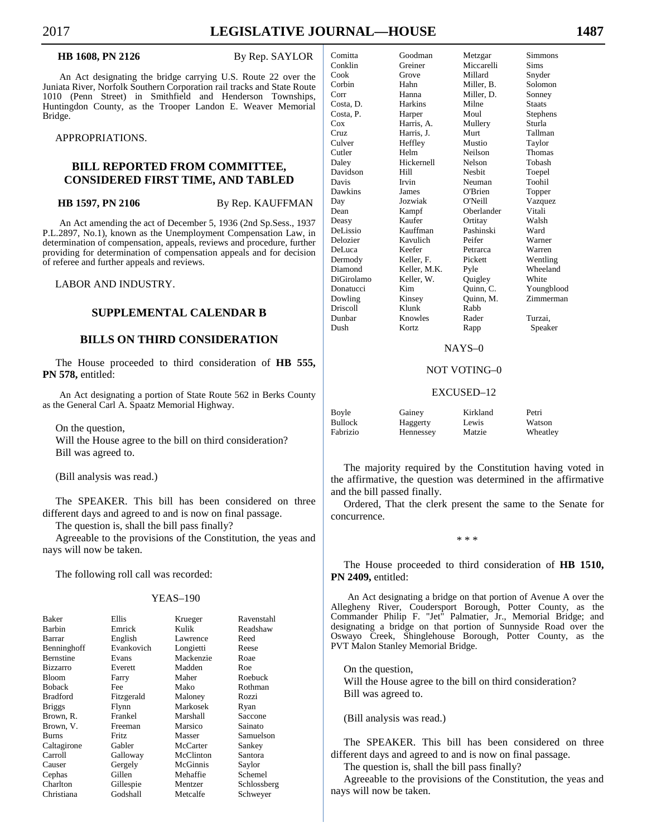**HB 1608, PN 2126** By Rep. SAYLOR

An Act designating the bridge carrying U.S. Route 22 over the Juniata River, Norfolk Southern Corporation rail tracks and State Route 1010 (Penn Street) in Smithfield and Henderson Townships, Huntingdon County, as the Trooper Landon E. Weaver Memorial Bridge.

APPROPRIATIONS.

# **BILL REPORTED FROM COMMITTEE, CONSIDERED FIRST TIME, AND TABLED**

**HB 1597, PN 2106** By Rep. KAUFFMAN

An Act amending the act of December 5, 1936 (2nd Sp.Sess., 1937 P.L.2897, No.1), known as the Unemployment Compensation Law, in determination of compensation, appeals, reviews and procedure, further providing for determination of compensation appeals and for decision of referee and further appeals and reviews.

LABOR AND INDUSTRY.

# **SUPPLEMENTAL CALENDAR B**

# **BILLS ON THIRD CONSIDERATION**

 The House proceeded to third consideration of **HB 555, PN 578,** entitled:

An Act designating a portion of State Route 562 in Berks County as the General Carl A. Spaatz Memorial Highway.

 On the question, Will the House agree to the bill on third consideration? Bill was agreed to.

(Bill analysis was read.)

 The SPEAKER. This bill has been considered on three different days and agreed to and is now on final passage.

The question is, shall the bill pass finally?

 Agreeable to the provisions of the Constitution, the yeas and nays will now be taken.

The following roll call was recorded:

#### YEAS–190

| Baker            | <b>Ellis</b> | Krueger   | Ravenstahl  |
|------------------|--------------|-----------|-------------|
| Barbin           | Emrick       | Kulik     | Readshaw    |
| Barrar           | English      | Lawrence  | Reed        |
| Benninghoff      | Evankovich   | Longietti | Reese       |
| <b>Bernstine</b> | Evans        | Mackenzie | Roae        |
| <b>Bizzarro</b>  | Everett      | Madden    | Roe         |
| <b>Bloom</b>     | Farry        | Maher     | Roebuck     |
| <b>Boback</b>    | Fee          | Mako      | Rothman     |
| <b>Bradford</b>  | Fitzgerald   | Maloney   | Rozzi       |
| <b>Briggs</b>    | Flynn        | Markosek  | Ryan        |
| Brown, R.        | Frankel      | Marshall  | Saccone     |
| Brown, V.        | Freeman      | Marsico   | Sainato     |
| <b>Burns</b>     | <b>Fritz</b> | Masser    | Samuelson   |
| Caltagirone      | Gabler       | McCarter  | Sankey      |
| Carroll          | Galloway     | McClinton | Santora     |
| Causer           | Gergely      | McGinnis  | Saylor      |
| Cephas           | Gillen       | Mehaffie  | Schemel     |
| Charlton         | Gillespie    | Mentzer   | Schlossberg |
| Christiana       | Godshall     | Metcalfe  | Schwever    |

| Comitta    | Goodman        | Metzgar    | Simmons       |
|------------|----------------|------------|---------------|
| Conklin    | Greiner        | Miccarelli | Sims          |
| Cook       | Grove          | Millard    | Snyder        |
| Corbin     | Hahn           | Miller, B. | Solomon       |
| Corr       | Hanna          | Miller, D. | Sonney        |
| Costa, D.  | <b>Harkins</b> | Milne      | <b>Staats</b> |
| Costa, P.  | Harper         | Moul       | Stephens      |
| $\cos$     | Harris, A.     | Mullery    | Sturla        |
| Cruz       | Harris, J.     | Murt       | Tallman       |
| Culver     | Heffley        | Mustio     | Taylor        |
| Cutler     | Helm           | Neilson    | Thomas        |
| Daley      | Hickernell     | Nelson     | Tobash        |
| Davidson   | Hill           | Nesbit     | Toepel        |
| Davis      | Irvin          | Neuman     | Toohil        |
| Dawkins    | James          | O'Brien    | Topper        |
| Day        | Jozwiak        | O'Neill    | Vazquez       |
| Dean       | Kampf          | Oberlander | Vitali        |
| Deasy      | Kaufer         | Ortitay    | Walsh         |
| DeLissio   | Kauffman       | Pashinski  | Ward          |
| Delozier   | Kavulich       | Peifer     | Warner        |
| DeLuca     | Keefer         | Petrarca   | Warren        |
| Dermody    | Keller, F.     | Pickett    | Wentling      |
| Diamond    | Keller, M.K.   | Pyle       | Wheeland      |
| DiGirolamo | Keller, W.     | Quigley    | White         |
| Donatucci  | Kim            | Quinn, C.  | Youngblood    |
| Dowling    | Kinsey         | Quinn, M.  | Zimmerman     |
| Driscoll   | Klunk          | Rabb       |               |
| Dunbar     | Knowles        | Rader      | Turzai.       |
| Dush       | Kortz          | Rapp       | Speaker       |
|            |                |            |               |

#### NAYS–0

#### NOT VOTING–0

#### EXCUSED–12

| Boyle    | Gainey    | Kirkland | Petri    |
|----------|-----------|----------|----------|
| Bullock  | Haggerty  | Lewis    | Watson   |
| Fabrizio | Hennessey | Matzie   | Wheatley |

 The majority required by the Constitution having voted in the affirmative, the question was determined in the affirmative and the bill passed finally.

 Ordered, That the clerk present the same to the Senate for concurrence.

\* \* \*

 The House proceeded to third consideration of **HB 1510, PN 2409,** entitled:

An Act designating a bridge on that portion of Avenue A over the Allegheny River, Coudersport Borough, Potter County, as the Commander Philip F. "Jet" Palmatier, Jr., Memorial Bridge; and designating a bridge on that portion of Sunnyside Road over the Oswayo Creek, Shinglehouse Borough, Potter County, as the PVT Malon Stanley Memorial Bridge.

 On the question, Will the House agree to the bill on third consideration? Bill was agreed to.

(Bill analysis was read.)

 The SPEAKER. This bill has been considered on three different days and agreed to and is now on final passage.

The question is, shall the bill pass finally?

 Agreeable to the provisions of the Constitution, the yeas and nays will now be taken.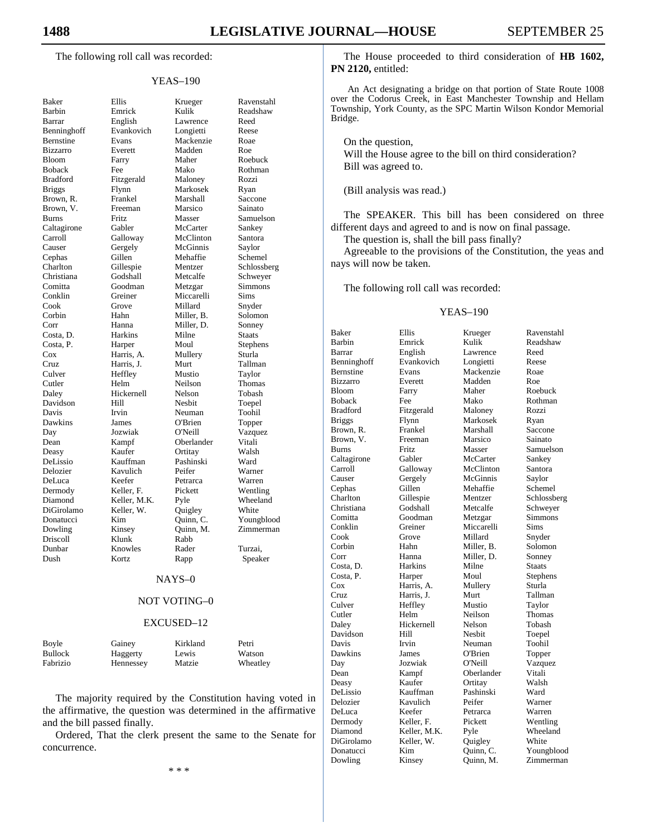The following roll call was recorded:

#### YEAS–190

| Baker                                                                       |
|-----------------------------------------------------------------------------|
| Barbin                                                                      |
| Barrar                                                                      |
| Benninghoff                                                                 |
| Bernstine                                                                   |
| Bizzarro                                                                    |
| Bloom                                                                       |
| Boback                                                                      |
| <b>Bradford</b>                                                             |
|                                                                             |
| <b>Briggs</b>                                                               |
| Brown,<br>R.                                                                |
| Brown, V.                                                                   |
| <b>Burns</b>                                                                |
| Caltagirone                                                                 |
| Carroll                                                                     |
| Causer                                                                      |
| Cephas                                                                      |
| Charlton                                                                    |
| Christiana                                                                  |
| Comitta                                                                     |
| Conklin                                                                     |
| Cook                                                                        |
|                                                                             |
|                                                                             |
| Cook<br>Corbin<br>Costa, D.<br>Costa, P.<br>Cox<br>Cruz<br>Culver<br>Cutler |
|                                                                             |
|                                                                             |
|                                                                             |
|                                                                             |
| Cutler                                                                      |
| Daley                                                                       |
| Davidson                                                                    |
| Davis                                                                       |
| Dawkins                                                                     |
| Day                                                                         |
|                                                                             |
| Dean                                                                        |
| Deasy                                                                       |
| DeLissio                                                                    |
| Delozier                                                                    |
| DeLuca                                                                      |
| Dermody                                                                     |
| Diamond<br>DiGirolamo                                                       |
|                                                                             |
| Donatucci<br>Dowling                                                        |
|                                                                             |
| Driscoll                                                                    |
| Dunbar                                                                      |
| Dush                                                                        |
|                                                                             |

Ellis Krueger Ravenstahl<br>
Emrick Kulik Readshaw English Lawrence Evankovich Longietti Reese Evans Mackenzie Roae<br>Everett Madden Roe Madden<br>Maher Farry Maher Roebuck Fee Mako Rothman<br>Fitzgerald Maloney Rozzi Fitzgerald Maloney Rozzi Flynn Markosek Ryan Frankel Marshall Saccone Freeman Marsico Sainato<br>
Fritz Masser Samuels Burns Fritz Masser Samuelson Gabler McCarter Sankey Galloway McClinton Santora Gergely McGinnis Saylor Gillen Mehaffie Schemel Gillespie Mentzer Schlossberg Godshall Metcalfe Schweyer Goodman Metzgar Simmons<br>Greiner Miccarelli Sims Miccarelli Cook Grove Millard Snyder Hahn Miller, B. Solomon Hanna Miller, D. Sonney Harkins Milne Staats Harper Moul Stephens Cox Harris, A. Mullery Sturla Harris, J. Murt Heffley Mustio Taylor Helm Neilson Thomas Hickernell Nelson Tobash Davidson Hill Nesbit Toepel Irvin Neuman Toohil James O'Brien Topper<br>
Jozwiak O'Neill Vazque Day Jozwiak O'Neill Vazquez Oberlander Vitali<br>Ortitay Walsh Kaufer <sup>Walsh</sup> Kauffman Pashinski Ward<br>Kavulich Peifer Warner Kavulich Peifer Warner<br>
Reefer Petrarca Warren DeLuca Keefer Petrarca Warren Keller, F. Pickett Wentling Keller, M.K. Pyle Wheeland<br>Keller, W. Quigley White Keller, W. Kim Quinn, C. Youngblood Kinsey Quinn, M. Zimmerman Klunk Rabb Knowles Rader Turzai,<br>Kortz Rapp Speak Rapp Speaker

Readshaw<br>Reed

#### NAYS–0

#### NOT VOTING–0

#### EXCUSED–12

| Boyle          | Gainey    | Kirkland | Petri    |
|----------------|-----------|----------|----------|
| <b>Bullock</b> | Haggerty  | Lewis    | Watson   |
| Fabrizio       | Hennessey | Matzie   | Wheatley |

 The majority required by the Constitution having voted in the affirmative, the question was determined in the affirmative and the bill passed finally.

 Ordered, That the clerk present the same to the Senate for concurrence.

 The House proceeded to third consideration of **HB 1602, PN 2120,** entitled:

An Act designating a bridge on that portion of State Route 1008 over the Codorus Creek, in East Manchester Township and Hellam Township, York County, as the SPC Martin Wilson Kondor Memorial Bridge.

On the question,

 Will the House agree to the bill on third consideration? Bill was agreed to.

(Bill analysis was read.)

 The SPEAKER. This bill has been considered on three different days and agreed to and is now on final passage.

The question is, shall the bill pass finally?

 Agreeable to the provisions of the Constitution, the yeas and nays will now be taken.

The following roll call was recorded:

#### YEAS–190

| <b>Baker</b>    | Ellis        | Krueger    | Ravenstahl      |
|-----------------|--------------|------------|-----------------|
| Barbin          | Emrick       | Kulik      | Readshaw        |
| Barrar          | English      | Lawrence   | Reed            |
| Benninghoff     | Evankovich   | Longietti  | Reese           |
| Bernstine       | Evans        | Mackenzie  | Roae            |
| <b>Bizzarro</b> | Everett      | Madden     | Roe             |
| <b>Bloom</b>    | Farry        | Maher      | Roebuck         |
| <b>Boback</b>   | Fee          | Mako       | Rothman         |
| <b>Bradford</b> | Fitzgerald   | Maloney    | Rozzi           |
| <b>Briggs</b>   | Flynn        | Markosek   | Ryan            |
| Brown, R.       | Frankel      | Marshall   | Saccone         |
| Brown, V.       | Freeman      | Marsico    | Sainato         |
| <b>Burns</b>    | <b>Fritz</b> | Masser     | Samuelson       |
| Caltagirone     | Gabler       | McCarter   | Sankey          |
| Carroll         | Galloway     | McClinton  | Santora         |
| Causer          | Gergely      | McGinnis   | Saylor          |
| Cephas          | Gillen       | Mehaffie   | Schemel         |
| Charlton        | Gillespie    | Mentzer    | Schlossberg     |
| Christiana      | Godshall     | Metcalfe   | Schweyer        |
| Comitta         | Goodman      | Metzgar    | Simmons         |
| Conklin         | Greiner      | Miccarelli | Sims            |
| Cook            | Grove        | Millard    | Snyder          |
| Corbin          | Hahn         | Miller, B. | Solomon         |
| Corr            | Hanna        | Miller, D. | Sonney          |
| Costa, D.       | Harkins      | Milne      | Staats          |
| Costa, P.       | Harper       | Moul       | <b>Stephens</b> |
| Cox             | Harris, A.   | Mullery    | Sturla          |
| Cruz            | Harris. J.   | Murt       | Tallman         |
| Culver          | Heffley      | Mustio     | Taylor          |
| Cutler          | Helm         | Neilson    | Thomas          |
| Daley           | Hickernell   | Nelson     | Tobash          |
| Davidson        | Hill         | Nesbit     | Toepel          |
| Davis           | Irvin        | Neuman     | Toohil          |
| Dawkins         | James        | O'Brien    | Topper          |
| Day             | Jozwiak      | O'Neill    | Vazquez         |
| Dean            | Kampf        | Oberlander | Vitali          |
| Deasy           | Kaufer       | Ortitay    | Walsh           |
| DeLissio        | Kauffman     | Pashinski  | Ward            |
| Delozier        | Kavulich     | Peifer     | Warner          |
| DeLuca          | Keefer       | Petrarca   | Warren          |
| Dermody         | Keller, F.   | Pickett    | Wentling        |
| Diamond         | Keller, M.K. | Pyle       | Wheeland        |
| DiGirolamo      | Keller, W.   | Quigley    | White           |
| Donatucci       | Kim          | Quinn, C.  | Youngblood      |
|                 |              |            |                 |
| Dowling         | Kinsey       | Ouinn, M.  | Zimmerman       |

\* \* \*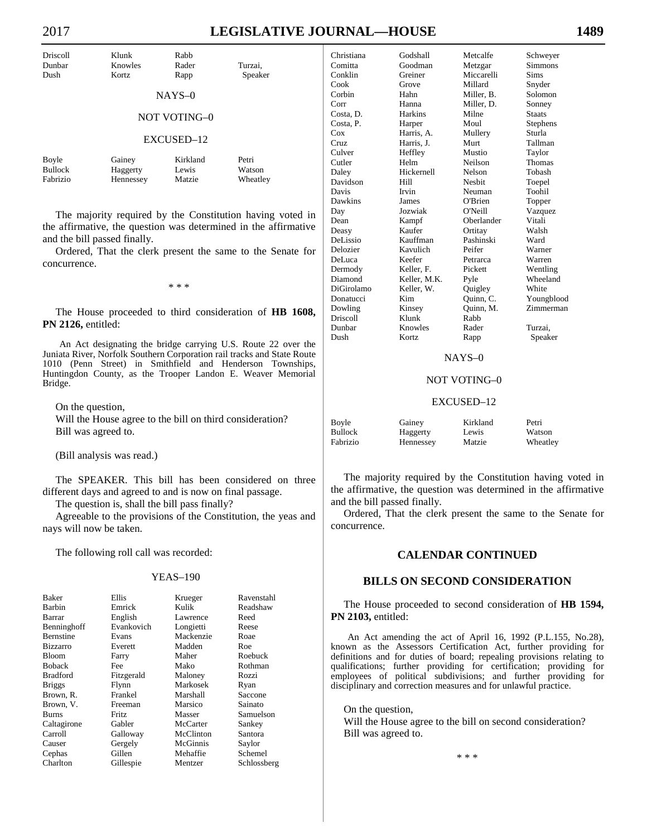| <b>Driscoll</b><br>Dunbar<br>Dush   | Klunk<br>Knowles<br>Kortz       | Rabb<br>Rader<br>Rapp       | Turzai.<br>Speaker          |  |
|-------------------------------------|---------------------------------|-----------------------------|-----------------------------|--|
|                                     |                                 | $NAYS-0$                    |                             |  |
|                                     |                                 | NOT VOTING-0                |                             |  |
| EXCUSED-12                          |                                 |                             |                             |  |
| Boyle<br><b>Bullock</b><br>Fabrizio | Gainey<br>Haggerty<br>Hennessey | Kirkland<br>Lewis<br>Matzie | Petri<br>Watson<br>Wheatley |  |

 The majority required by the Constitution having voted in the affirmative, the question was determined in the affirmative and the bill passed finally.

 Ordered, That the clerk present the same to the Senate for concurrence.

\* \* \*

 The House proceeded to third consideration of **HB 1608, PN 2126,** entitled:

An Act designating the bridge carrying U.S. Route 22 over the Juniata River, Norfolk Southern Corporation rail tracks and State Route 1010 (Penn Street) in Smithfield and Henderson Townships, Huntingdon County, as the Trooper Landon E. Weaver Memorial Bridge.

 On the question, Will the House agree to the bill on third consideration? Bill was agreed to.

(Bill analysis was read.)

 The SPEAKER. This bill has been considered on three different days and agreed to and is now on final passage.

The question is, shall the bill pass finally?

 Agreeable to the provisions of the Constitution, the yeas and nays will now be taken.

The following roll call was recorded:

#### YEAS–190

| Baker            | Ellis        | Krueger   | Ravenstahl  |
|------------------|--------------|-----------|-------------|
| Barbin           | Emrick       | Kulik     | Readshaw    |
| Barrar           | English      | Lawrence  | Reed        |
| Benninghoff      | Evankovich   | Longietti | Reese       |
| <b>Bernstine</b> | Evans        | Mackenzie | Roae        |
| <b>Bizzarro</b>  | Everett      | Madden    | Roe         |
| <b>Bloom</b>     | Farry        | Maher     | Roebuck     |
| <b>Boback</b>    | Fee          | Mako      | Rothman     |
| <b>Bradford</b>  | Fitzgerald   | Maloney   | Rozzi       |
| <b>Briggs</b>    | Flynn        | Markosek  | Ryan        |
| Brown, R.        | Frankel      | Marshall  | Saccone     |
| Brown, V.        | Freeman      | Marsico   | Sainato     |
| <b>Burns</b>     | <b>Fritz</b> | Masser    | Samuelson   |
| Caltagirone      | Gabler       | McCarter  | Sankey      |
| Carroll          | Galloway     | McClinton | Santora     |
| Causer           | Gergely      | McGinnis  | Saylor      |
| Cephas           | Gillen       | Mehaffie  | Schemel     |
| Charlton         | Gillespie    | Mentzer   | Schlossberg |

| Christiana | Godshall       | Metcalfe      | Schweyer      |
|------------|----------------|---------------|---------------|
| Comitta    | Goodman        | Metzgar       | Simmons       |
| Conklin    | Greiner        | Miccarelli    | Sims          |
| Cook       | Grove          | Millard       | Snyder        |
| Corbin     | Hahn           | Miller, B.    | Solomon       |
| Corr       | Hanna          | Miller, D.    | Sonney        |
| Costa, D.  | <b>Harkins</b> | Milne         | <b>Staats</b> |
| Costa, P.  | Harper         | Moul          | Stephens      |
| Cox        | Harris, A.     | Mullery       | Sturla        |
| Cruz       | Harris, J.     | Murt          | Tallman       |
| Culver     | Heffley        | Mustio        | Taylor        |
| Cutler     | Helm           | Neilson       | Thomas        |
| Daley      | Hickernell     | Nelson        | Tobash        |
| Davidson   | Hill           | <b>Nesbit</b> | Toepel        |
| Davis      | Irvin          | Neuman        | Toohil        |
| Dawkins    | James          | O'Brien       | Topper        |
| Day        | Jozwiak        | O'Neill       | Vazquez       |
| Dean       | Kampf          | Oberlander    | Vitali        |
| Deasy      | Kaufer         | Ortitay       | Walsh         |
| DeLissio   | Kauffman       | Pashinski     | Ward          |
| Delozier   | Kavulich       | Peifer        | Warner        |
| DeLuca     | Keefer         | Petrarca      | Warren        |
| Dermody    | Keller, F.     | Pickett       | Wentling      |
| Diamond    | Keller, M.K.   | Pyle          | Wheeland      |
| DiGirolamo | Keller, W.     | Quigley       | White         |
| Donatucci  | Kim            | Quinn, C.     | Youngblood    |
| Dowling    | Kinsey         | Quinn, M.     | Zimmerman     |
| Driscoll   | Klunk          | Rabb          |               |
| Dunbar     | Knowles        | Rader         | Turzai,       |
| Dush       | Kortz          | Rapp          | Speaker       |
|            |                |               |               |

#### NAYS–0

#### NOT VOTING–0

#### EXCUSED–12

| Boyle    | Gainey    | Kirkland | Petri    |
|----------|-----------|----------|----------|
| Bullock  | Haggerty  | Lewis    | Watson   |
| Fabrizio | Hennessey | Matzie   | Wheatley |

 The majority required by the Constitution having voted in the affirmative, the question was determined in the affirmative and the bill passed finally.

 Ordered, That the clerk present the same to the Senate for concurrence.

#### **CALENDAR CONTINUED**

# **BILLS ON SECOND CONSIDERATION**

 The House proceeded to second consideration of **HB 1594, PN 2103,** entitled:

An Act amending the act of April 16, 1992 (P.L.155, No.28), known as the Assessors Certification Act, further providing for definitions and for duties of board; repealing provisions relating to qualifications; further providing for certification; providing for employees of political subdivisions; and further providing for disciplinary and correction measures and for unlawful practice.

 On the question, Will the House agree to the bill on second consideration? Bill was agreed to.

\* \* \*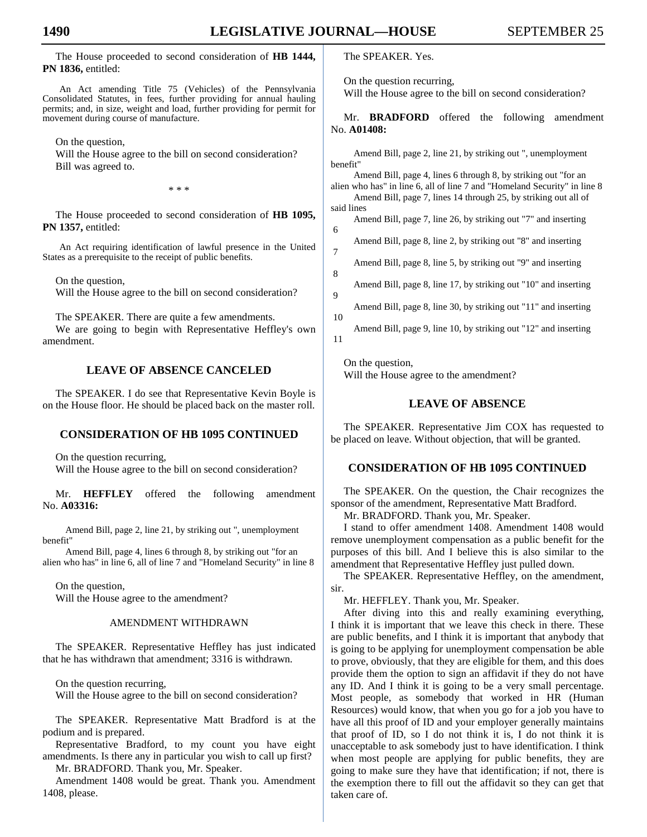6

7

 $\overline{Q}$ 

10

 The House proceeded to second consideration of **HB 1444, PN 1836,** entitled:

An Act amending Title 75 (Vehicles) of the Pennsylvania Consolidated Statutes, in fees, further providing for annual hauling permits; and, in size, weight and load, further providing for permit for movement during course of manufacture.

On the question,

 Will the House agree to the bill on second consideration? Bill was agreed to.

\* \* \*

 The House proceeded to second consideration of **HB 1095, PN 1357,** entitled:

An Act requiring identification of lawful presence in the United States as a prerequisite to the receipt of public benefits.

 On the question, Will the House agree to the bill on second consideration?

The SPEAKER. There are quite a few amendments.

 We are going to begin with Representative Heffley's own amendment.

# **LEAVE OF ABSENCE CANCELED**

 The SPEAKER. I do see that Representative Kevin Boyle is on the House floor. He should be placed back on the master roll.

# **CONSIDERATION OF HB 1095 CONTINUED**

 On the question recurring, Will the House agree to the bill on second consideration?

 Mr. **HEFFLEY** offered the following amendment No. **A03316:**

Amend Bill, page 2, line 21, by striking out ", unemployment benefit"

Amend Bill, page 4, lines 6 through 8, by striking out "for an alien who has" in line 6, all of line 7 and "Homeland Security" in line 8

 On the question, Will the House agree to the amendment?

# AMENDMENT WITHDRAWN

 The SPEAKER. Representative Heffley has just indicated that he has withdrawn that amendment; 3316 is withdrawn.

 On the question recurring, Will the House agree to the bill on second consideration?

 The SPEAKER. Representative Matt Bradford is at the podium and is prepared.

 Representative Bradford, to my count you have eight amendments. Is there any in particular you wish to call up first? Mr. BRADFORD. Thank you, Mr. Speaker.

 Amendment 1408 would be great. Thank you. Amendment 1408, please.

The SPEAKER. Yes.

On the question recurring,

Will the House agree to the bill on second consideration?

 Mr. **BRADFORD** offered the following amendment No. **A01408:**

Amend Bill, page 2, line 21, by striking out ", unemployment benefit"

Amend Bill, page 4, lines 6 through 8, by striking out "for an alien who has" in line 6, all of line 7 and "Homeland Security" in line 8 Amend Bill, page 7, lines 14 through 25, by striking out all of

said lines Amend Bill, page 7, line 26, by striking out "7" and inserting

Amend Bill, page 8, line 2, by striking out "8" and inserting

Amend Bill, page 8, line 5, by striking out "9" and inserting 8

Amend Bill, page 8, line 17, by striking out "10" and inserting

Amend Bill, page 8, line 30, by striking out "11" and inserting

Amend Bill, page 9, line 10, by striking out "12" and inserting 11

 On the question, Will the House agree to the amendment?

# **LEAVE OF ABSENCE**

 The SPEAKER. Representative Jim COX has requested to be placed on leave. Without objection, that will be granted.

# **CONSIDERATION OF HB 1095 CONTINUED**

 The SPEAKER. On the question, the Chair recognizes the sponsor of the amendment, Representative Matt Bradford.

Mr. BRADFORD. Thank you, Mr. Speaker.

 I stand to offer amendment 1408. Amendment 1408 would remove unemployment compensation as a public benefit for the purposes of this bill. And I believe this is also similar to the amendment that Representative Heffley just pulled down.

 The SPEAKER. Representative Heffley, on the amendment, sir.

Mr. HEFFLEY. Thank you, Mr. Speaker.

 After diving into this and really examining everything, I think it is important that we leave this check in there. These are public benefits, and I think it is important that anybody that is going to be applying for unemployment compensation be able to prove, obviously, that they are eligible for them, and this does provide them the option to sign an affidavit if they do not have any ID. And I think it is going to be a very small percentage. Most people, as somebody that worked in HR (Human Resources) would know, that when you go for a job you have to have all this proof of ID and your employer generally maintains that proof of ID, so I do not think it is, I do not think it is unacceptable to ask somebody just to have identification. I think when most people are applying for public benefits, they are going to make sure they have that identification; if not, there is the exemption there to fill out the affidavit so they can get that taken care of.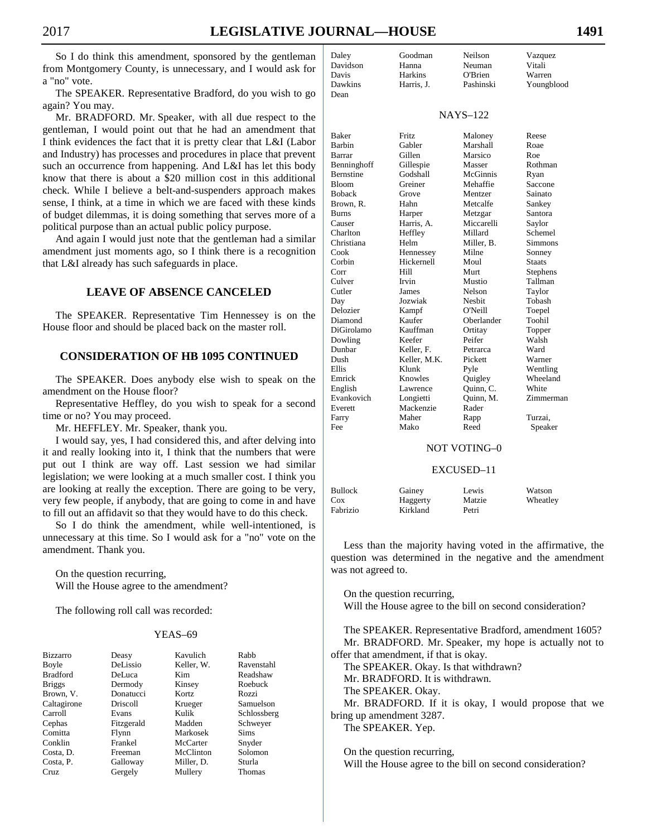So I do think this amendment, sponsored by the gentleman from Montgomery County, is unnecessary, and I would ask for a "no" vote.

 The SPEAKER. Representative Bradford, do you wish to go again? You may.

 Mr. BRADFORD. Mr. Speaker, with all due respect to the gentleman, I would point out that he had an amendment that I think evidences the fact that it is pretty clear that L&I (Labor and Industry) has processes and procedures in place that prevent such an occurrence from happening. And L&I has let this body know that there is about a \$20 million cost in this additional check. While I believe a belt-and-suspenders approach makes sense, I think, at a time in which we are faced with these kinds of budget dilemmas, it is doing something that serves more of a political purpose than an actual public policy purpose.

 And again I would just note that the gentleman had a similar amendment just moments ago, so I think there is a recognition that L&I already has such safeguards in place.

# **LEAVE OF ABSENCE CANCELED**

 The SPEAKER. Representative Tim Hennessey is on the House floor and should be placed back on the master roll.

# **CONSIDERATION OF HB 1095 CONTINUED**

 The SPEAKER. Does anybody else wish to speak on the amendment on the House floor?

 Representative Heffley, do you wish to speak for a second time or no? You may proceed.

Mr. HEFFLEY. Mr. Speaker, thank you.

 I would say, yes, I had considered this, and after delving into it and really looking into it, I think that the numbers that were put out I think are way off. Last session we had similar legislation; we were looking at a much smaller cost. I think you are looking at really the exception. There are going to be very, very few people, if anybody, that are going to come in and have to fill out an affidavit so that they would have to do this check.

 So I do think the amendment, while well-intentioned, is unnecessary at this time. So I would ask for a "no" vote on the amendment. Thank you.

 On the question recurring, Will the House agree to the amendment?

The following roll call was recorded:

# YEAS–69

| <b>Bizzarro</b> | Deasy           | Kavulich   | Rabb        |
|-----------------|-----------------|------------|-------------|
| Boyle           | DeLissio        | Keller, W. | Ravenstahl  |
| <b>Bradford</b> | DeLuca          | Kim        | Readshaw    |
| <b>Briggs</b>   | Dermody         | Kinsey     | Roebuck     |
| Brown, V.       | Donatucci       | Kortz      | Rozzi       |
| Caltagirone     | <b>Driscoll</b> | Krueger    | Samuelson   |
| Carroll         | Evans           | Kulik      | Schlossberg |
| Cephas          | Fitzgerald      | Madden     | Schwever    |
| Comitta         | Flynn           | Markosek   | Sims        |
| Conklin         | Frankel         | McCarter   | Snyder      |
| Costa, D.       | Freeman         | McClinton  | Solomon     |
| Costa, P.       | Galloway        | Miller, D. | Sturla      |
| Cruz            | Gergely         | Mullery    | Thomas      |

| Daley    | Goodman    | Neilson         | Vazquez    |
|----------|------------|-----------------|------------|
| Davidson | Hanna      | Neuman          | Vitali     |
| Davis    | Harkins    | O'Brien         | Warren     |
| Dawkins  | Harris, J. | Pashinski       | Youngblood |
| Dean     |            |                 |            |
|          |            | <b>NAYS-122</b> |            |
|          |            |                 |            |

| <b>Baker</b> | Fritz        | Maloney    | Reese         |
|--------------|--------------|------------|---------------|
| Barbin       | Gabler       | Marshall   | Roae          |
| Barrar       | Gillen       | Marsico    | Roe           |
| Benninghoff  | Gillespie    | Masser     | Rothman       |
| Bernstine    | Godshall     | McGinnis   | Ryan          |
| <b>Bloom</b> | Greiner      | Mehaffie   | Saccone       |
| Boback       | Grove        | Mentzer    | Sainato       |
| Brown, R.    | Hahn         | Metcalfe   | Sankey        |
| Burns        | Harper       | Metzgar    | Santora       |
| Causer       | Harris, A.   | Miccarelli | Saylor        |
| Charlton     | Heffley      | Millard    | Schemel       |
| Christiana   | Helm         | Miller, B. | Simmons       |
| Cook         | Hennessey    | Milne      | Sonney        |
| Corbin       | Hickernell   | Moul       | <b>Staats</b> |
| Corr         | Hill         | Murt       | Stephens      |
| Culver       | Irvin        | Mustio     | Tallman       |
| Cutler       | James        | Nelson     | Taylor        |
| Day          | Jozwiak      | Nesbit     | Tobash        |
| Delozier     | Kampf        | O'Neill    | Toepel        |
| Diamond      | Kaufer       | Oberlander | Toohil        |
| DiGirolamo   | Kauffman     | Ortitay    | Topper        |
| Dowling      | Keefer       | Peifer     | Walsh         |
| Dunbar       | Keller, F.   | Petrarca   | Ward          |
| Dush         | Keller, M.K. | Pickett    | Warner        |
| Ellis        | Klunk        | Pyle       | Wentling      |
| Emrick       | Knowles      | Quigley    | Wheeland      |
| English      | Lawrence     | Quinn, C.  | White         |
| Evankovich   | Longietti    | Quinn, M.  | Zimmerman     |
| Everett      | Mackenzie    | Rader      |               |
| Farry        | Maher        | Rapp       | Turzai,       |
| Fee          | Mako         | Reed       | Speaker       |
|              |              |            |               |

# NOT VOTING–0

#### EXCUSED–11

| <b>Bullock</b> | Gainey   | Lewis  | Watson   |
|----------------|----------|--------|----------|
| Cox            | Haggerty | Matzie | Wheatley |
| Fabrizio       | Kirkland | Petri  |          |

 Less than the majority having voted in the affirmative, the question was determined in the negative and the amendment was not agreed to.

 On the question recurring, Will the House agree to the bill on second consideration?

 The SPEAKER. Representative Bradford, amendment 1605? Mr. BRADFORD. Mr. Speaker, my hope is actually not to offer that amendment, if that is okay.

The SPEAKER. Okay. Is that withdrawn?

Mr. BRADFORD. It is withdrawn.

The SPEAKER. Okay.

 Mr. BRADFORD. If it is okay, I would propose that we bring up amendment 3287.

The SPEAKER. Yep.

 On the question recurring, Will the House agree to the bill on second consideration?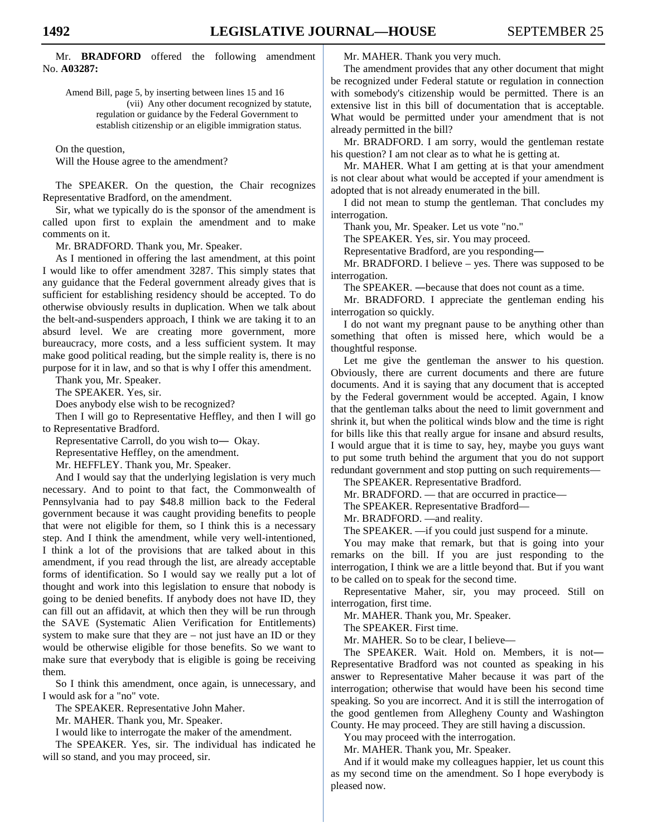Mr. **BRADFORD** offered the following amendment No. **A03287:**

Amend Bill, page 5, by inserting between lines 15 and 16 (vii) Any other document recognized by statute, regulation or guidance by the Federal Government to establish citizenship or an eligible immigration status.

On the question,

Will the House agree to the amendment?

 The SPEAKER. On the question, the Chair recognizes Representative Bradford, on the amendment.

 Sir, what we typically do is the sponsor of the amendment is called upon first to explain the amendment and to make comments on it.

Mr. BRADFORD. Thank you, Mr. Speaker.

 As I mentioned in offering the last amendment, at this point I would like to offer amendment 3287. This simply states that any guidance that the Federal government already gives that is sufficient for establishing residency should be accepted. To do otherwise obviously results in duplication. When we talk about the belt-and-suspenders approach, I think we are taking it to an absurd level. We are creating more government, more bureaucracy, more costs, and a less sufficient system. It may make good political reading, but the simple reality is, there is no purpose for it in law, and so that is why I offer this amendment.

Thank you, Mr. Speaker.

The SPEAKER. Yes, sir.

Does anybody else wish to be recognized?

 Then I will go to Representative Heffley, and then I will go to Representative Bradford.

Representative Carroll, do you wish to― Okay.

Representative Heffley, on the amendment.

Mr. HEFFLEY. Thank you, Mr. Speaker.

 And I would say that the underlying legislation is very much necessary. And to point to that fact, the Commonwealth of Pennsylvania had to pay \$48.8 million back to the Federal government because it was caught providing benefits to people that were not eligible for them, so I think this is a necessary step. And I think the amendment, while very well-intentioned, I think a lot of the provisions that are talked about in this amendment, if you read through the list, are already acceptable forms of identification. So I would say we really put a lot of thought and work into this legislation to ensure that nobody is going to be denied benefits. If anybody does not have ID, they can fill out an affidavit, at which then they will be run through the SAVE (Systematic Alien Verification for Entitlements) system to make sure that they are – not just have an ID or they would be otherwise eligible for those benefits. So we want to make sure that everybody that is eligible is going be receiving them.

 So I think this amendment, once again, is unnecessary, and I would ask for a "no" vote.

The SPEAKER. Representative John Maher.

Mr. MAHER. Thank you, Mr. Speaker.

I would like to interrogate the maker of the amendment.

 The SPEAKER. Yes, sir. The individual has indicated he will so stand, and you may proceed, sir.

Mr. MAHER. Thank you very much.

 The amendment provides that any other document that might be recognized under Federal statute or regulation in connection with somebody's citizenship would be permitted. There is an extensive list in this bill of documentation that is acceptable. What would be permitted under your amendment that is not already permitted in the bill?

 Mr. BRADFORD. I am sorry, would the gentleman restate his question? I am not clear as to what he is getting at.

 Mr. MAHER. What I am getting at is that your amendment is not clear about what would be accepted if your amendment is adopted that is not already enumerated in the bill.

 I did not mean to stump the gentleman. That concludes my interrogation.

Thank you, Mr. Speaker. Let us vote "no."

The SPEAKER. Yes, sir. You may proceed.

Representative Bradford, are you responding―

 Mr. BRADFORD. I believe – yes. There was supposed to be interrogation.

The SPEAKER. ―because that does not count as a time.

 Mr. BRADFORD. I appreciate the gentleman ending his interrogation so quickly.

 I do not want my pregnant pause to be anything other than something that often is missed here, which would be a thoughtful response.

 Let me give the gentleman the answer to his question. Obviously, there are current documents and there are future documents. And it is saying that any document that is accepted by the Federal government would be accepted. Again, I know that the gentleman talks about the need to limit government and shrink it, but when the political winds blow and the time is right for bills like this that really argue for insane and absurd results, I would argue that it is time to say, hey, maybe you guys want to put some truth behind the argument that you do not support redundant government and stop putting on such requirements—

The SPEAKER. Representative Bradford.

Mr. BRADFORD. — that are occurred in practice—

The SPEAKER. Representative Bradford—

Mr. BRADFORD. —and reality.

The SPEAKER. —if you could just suspend for a minute.

 You may make that remark, but that is going into your remarks on the bill. If you are just responding to the interrogation, I think we are a little beyond that. But if you want to be called on to speak for the second time.

 Representative Maher, sir, you may proceed. Still on interrogation, first time.

Mr. MAHER. Thank you, Mr. Speaker.

The SPEAKER. First time.

Mr. MAHER. So to be clear, I believe—

 The SPEAKER. Wait. Hold on. Members, it is not― Representative Bradford was not counted as speaking in his answer to Representative Maher because it was part of the interrogation; otherwise that would have been his second time speaking. So you are incorrect. And it is still the interrogation of the good gentlemen from Allegheny County and Washington County. He may proceed. They are still having a discussion.

You may proceed with the interrogation.

Mr. MAHER. Thank you, Mr. Speaker.

 And if it would make my colleagues happier, let us count this as my second time on the amendment. So I hope everybody is pleased now.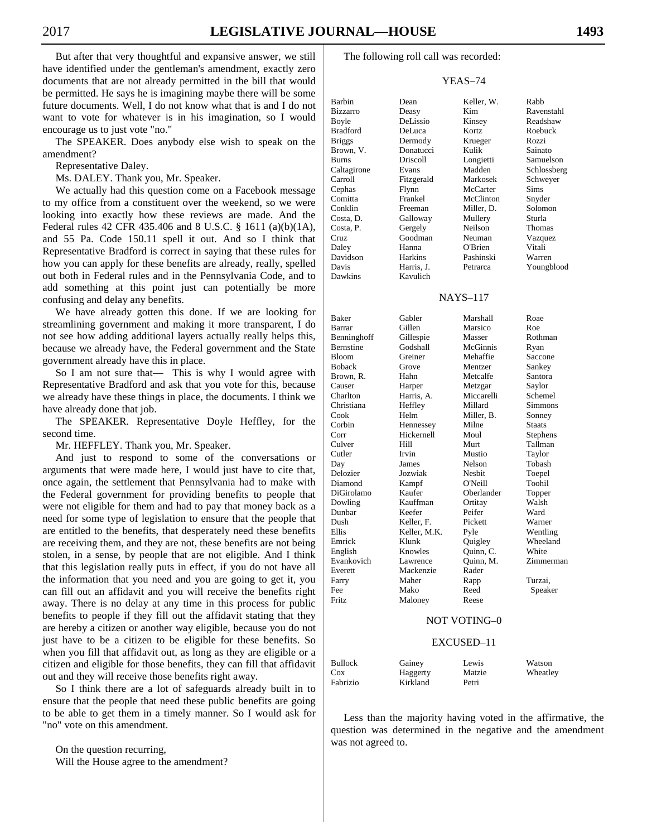But after that very thoughtful and expansive answer, we still have identified under the gentleman's amendment, exactly zero documents that are not already permitted in the bill that would be permitted. He says he is imagining maybe there will be some future documents. Well, I do not know what that is and I do not want to vote for whatever is in his imagination, so I would encourage us to just vote "no."

 The SPEAKER. Does anybody else wish to speak on the amendment?

Representative Daley.

Ms. DALEY. Thank you, Mr. Speaker.

 We actually had this question come on a Facebook message to my office from a constituent over the weekend, so we were looking into exactly how these reviews are made. And the Federal rules 42 CFR 435.406 and 8 U.S.C. § 1611 (a)(b)(1A), and 55 Pa. Code 150.11 spell it out. And so I think that Representative Bradford is correct in saying that these rules for how you can apply for these benefits are already, really, spelled out both in Federal rules and in the Pennsylvania Code, and to add something at this point just can potentially be more confusing and delay any benefits.

 We have already gotten this done. If we are looking for streamlining government and making it more transparent, I do not see how adding additional layers actually really helps this, because we already have, the Federal government and the State government already have this in place.

 So I am not sure that— This is why I would agree with Representative Bradford and ask that you vote for this, because we already have these things in place, the documents. I think we have already done that job.

 The SPEAKER. Representative Doyle Heffley, for the second time.

Mr. HEFFLEY. Thank you, Mr. Speaker.

 And just to respond to some of the conversations or arguments that were made here, I would just have to cite that, once again, the settlement that Pennsylvania had to make with the Federal government for providing benefits to people that were not eligible for them and had to pay that money back as a need for some type of legislation to ensure that the people that are entitled to the benefits, that desperately need these benefits are receiving them, and they are not, these benefits are not being stolen, in a sense, by people that are not eligible. And I think that this legislation really puts in effect, if you do not have all the information that you need and you are going to get it, you can fill out an affidavit and you will receive the benefits right away. There is no delay at any time in this process for public benefits to people if they fill out the affidavit stating that they are hereby a citizen or another way eligible, because you do not just have to be a citizen to be eligible for these benefits. So when you fill that affidavit out, as long as they are eligible or a citizen and eligible for those benefits, they can fill that affidavit out and they will receive those benefits right away.

 So I think there are a lot of safeguards already built in to ensure that the people that need these public benefits are going to be able to get them in a timely manner. So I would ask for "no" vote on this amendment.

 On the question recurring, Will the House agree to the amendment? The following roll call was recorded:

#### YEAS–74

Barbin Dean Keller, W. Rabb Bizzarro Deasy Kim Ravenstahl<br>Boyle DeLissio Kinsey Readshaw Bradford DeLuca Kortz Roebuck Briggs Dermody Krueger Rozzi Brown, V. Donatucci Kulik Sainato Burns Driscoll Longietti Samuelson Caltagirone Evans Madden Schlossberg Carroll Fitzgerald Markosek Schweyer Cephas Flynn McCarter Sims Comitta Frankel McClinton Snyder Conklin Freeman Miller, D. Solomon Costa, D. Galloway Mullery Sturla Costa, P. Gergely Neilson Thomas Cruz Goodman Neuman Vazquez Daley Hanna O'Brien Vitali Davidson Harkins Pashinski Warren Davis Harris, J. Petrarca Youngblood Dawkins Kavulich

DeLissio Kinsey Readshaw

# NAYS–117

| <b>Baker</b>  | Gabler       | Marshall   | Roae          |
|---------------|--------------|------------|---------------|
| Barrar        | Gillen       | Marsico    | Roe           |
| Benninghoff   | Gillespie    | Masser     | Rothman       |
| Bernstine     | Godshall     | McGinnis   | Ryan          |
| Bloom         | Greiner      | Mehaffie   | Saccone       |
| <b>Boback</b> | Grove        | Mentzer    | Sankey        |
| Brown, R.     | Hahn         | Metcalfe   | Santora       |
| Causer        | Harper       | Metzgar    | Saylor        |
| Charlton      | Harris, A.   | Miccarelli | Schemel       |
| Christiana    | Heffley      | Millard    | Simmons       |
| Cook          | Helm         | Miller, B. | Sonney        |
| Corbin        | Hennessey    | Milne      | <b>Staats</b> |
| Corr          | Hickernell   | Moul       | Stephens      |
| Culver        | Hill         | Murt       | Tallman       |
| Cutler        | Irvin        | Mustio     | Taylor        |
| Day           | James        | Nelson     | Tobash        |
| Delozier      | Jozwiak      | Nesbit     | Toepel        |
| Diamond       | Kampf        | O'Neill    | Toohil        |
| DiGirolamo    | Kaufer       | Oberlander | Topper        |
| Dowling       | Kauffman     | Ortitay    | Walsh         |
| Dunbar        | Keefer       | Peifer     | Ward          |
| Dush          | Keller, F.   | Pickett    | Warner        |
| Ellis         | Keller, M.K. | Pyle       | Wentling      |
| Emrick        | Klunk        | Quigley    | Wheeland      |
| English       | Knowles      | Quinn, C.  | White         |
| Evankovich    | Lawrence     | Quinn, M.  | Zimmerman     |
| Everett       | Mackenzie    | Rader      |               |
| Farry         | Maher        | Rapp       | Turzai.       |
| Fee           | Mako         | Reed       | Speaker       |
| Fritz         | Maloney      | Reese      |               |

#### NOT VOTING–0

#### EXCUSED–11

| <b>Bullock</b> | Gainey   | Lewis  | Watson   |
|----------------|----------|--------|----------|
| Cox            | Haggerty | Matzie | Wheatley |
| Fabrizio       | Kirkland | Petri  |          |

 Less than the majority having voted in the affirmative, the question was determined in the negative and the amendment was not agreed to.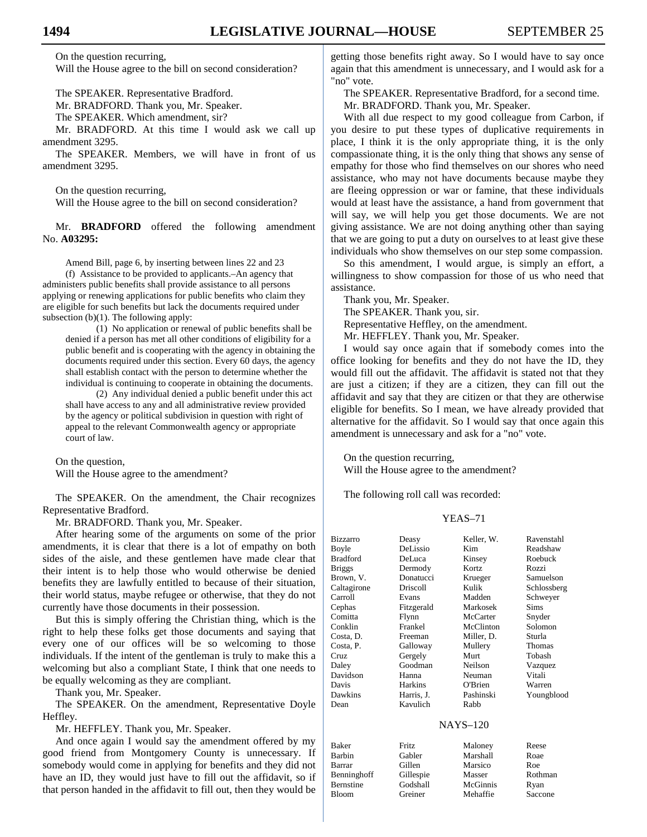On the question recurring, Will the House agree to the bill on second consideration?

The SPEAKER. Representative Bradford.

Mr. BRADFORD. Thank you, Mr. Speaker.

The SPEAKER. Which amendment, sir?

 Mr. BRADFORD. At this time I would ask we call up amendment 3295.

 The SPEAKER. Members, we will have in front of us amendment 3295.

 On the question recurring, Will the House agree to the bill on second consideration?

 Mr. **BRADFORD** offered the following amendment No. **A03295:**

Amend Bill, page 6, by inserting between lines 22 and 23 (f) Assistance to be provided to applicants.–An agency that administers public benefits shall provide assistance to all persons applying or renewing applications for public benefits who claim they are eligible for such benefits but lack the documents required under subsection  $(b)(1)$ . The following apply:

(1) No application or renewal of public benefits shall be denied if a person has met all other conditions of eligibility for a public benefit and is cooperating with the agency in obtaining the documents required under this section. Every 60 days, the agency shall establish contact with the person to determine whether the individual is continuing to cooperate in obtaining the documents.

(2) Any individual denied a public benefit under this act shall have access to any and all administrative review provided by the agency or political subdivision in question with right of appeal to the relevant Commonwealth agency or appropriate court of law.

 On the question, Will the House agree to the amendment?

 The SPEAKER. On the amendment, the Chair recognizes Representative Bradford.

Mr. BRADFORD. Thank you, Mr. Speaker.

 After hearing some of the arguments on some of the prior amendments, it is clear that there is a lot of empathy on both sides of the aisle, and these gentlemen have made clear that their intent is to help those who would otherwise be denied benefits they are lawfully entitled to because of their situation, their world status, maybe refugee or otherwise, that they do not currently have those documents in their possession.

 But this is simply offering the Christian thing, which is the right to help these folks get those documents and saying that every one of our offices will be so welcoming to those individuals. If the intent of the gentleman is truly to make this a welcoming but also a compliant State, I think that one needs to be equally welcoming as they are compliant.

Thank you, Mr. Speaker.

 The SPEAKER. On the amendment, Representative Doyle Heffley.

Mr. HEFFLEY. Thank you, Mr. Speaker.

 And once again I would say the amendment offered by my good friend from Montgomery County is unnecessary. If somebody would come in applying for benefits and they did not have an ID, they would just have to fill out the affidavit, so if that person handed in the affidavit to fill out, then they would be

getting those benefits right away. So I would have to say once again that this amendment is unnecessary, and I would ask for a "no" vote.

 The SPEAKER. Representative Bradford, for a second time. Mr. BRADFORD. Thank you, Mr. Speaker.

 With all due respect to my good colleague from Carbon, if you desire to put these types of duplicative requirements in place, I think it is the only appropriate thing, it is the only compassionate thing, it is the only thing that shows any sense of empathy for those who find themselves on our shores who need assistance, who may not have documents because maybe they are fleeing oppression or war or famine, that these individuals would at least have the assistance, a hand from government that will say, we will help you get those documents. We are not giving assistance. We are not doing anything other than saying that we are going to put a duty on ourselves to at least give these individuals who show themselves on our step some compassion.

 So this amendment, I would argue, is simply an effort, a willingness to show compassion for those of us who need that assistance.

 Thank you, Mr. Speaker. The SPEAKER. Thank you, sir. Representative Heffley, on the amendment. Mr. HEFFLEY. Thank you, Mr. Speaker.

 I would say once again that if somebody comes into the office looking for benefits and they do not have the ID, they would fill out the affidavit. The affidavit is stated not that they are just a citizen; if they are a citizen, they can fill out the affidavit and say that they are citizen or that they are otherwise eligible for benefits. So I mean, we have already provided that alternative for the affidavit. So I would say that once again this amendment is unnecessary and ask for a "no" vote.

 On the question recurring, Will the House agree to the amendment?

The following roll call was recorded:

#### YEAS–71

| Deasy      | Keller, W. | Ravenstahl                 |
|------------|------------|----------------------------|
| DeLissio   | Kim        | Readshaw                   |
| DeLuca     | Kinsey     | Roebuck                    |
| Dermody    | Kortz      | Rozzi                      |
| Donatucci  | Krueger    | Samuelson                  |
| Driscoll   | Kulik      | Schlossberg                |
| Evans      | Madden     | Schweyer                   |
| Fitzgerald | Markosek   | Sims                       |
| Flynn      | McCarter   | Snyder                     |
| Frankel    | McClinton  | Solomon                    |
| Freeman    | Miller, D. | Sturla                     |
| Galloway   | Mullery    | Thomas                     |
| Gergely    | Murt       | Tobash                     |
| Goodman    | Neilson    | Vazquez                    |
| Hanna      | Neuman     | Vitali                     |
| Harkins    | O'Brien    | Warren                     |
| Harris, J. | Pashinski  | Youngblood                 |
| Kavulich   | Rabb       |                            |
|            |            |                            |
| Fritz      |            | Reese                      |
| Gabler     | Marshall   | Roae                       |
| Gillen     | Marsico    | Roe                        |
|            |            | <b>NAYS-120</b><br>Maloney |

Benninghoff Gillespie Masser Rothman Bernstine Godshall McGinnis Ryan Bloom Greiner Mehaffie Saccone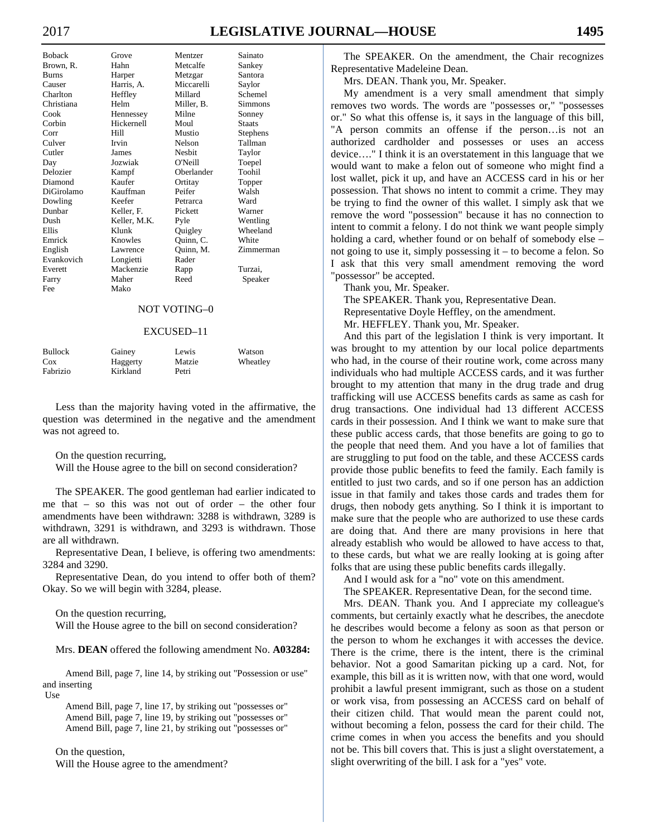# 2017 **LEGISLATIVE JOURNAL—HOUSE 1495**

| <b>Boback</b> | Grove        | Mentzer       | Sainato         |
|---------------|--------------|---------------|-----------------|
| Brown, R.     | Hahn         | Metcalfe      | Sankey          |
| <b>Burns</b>  | Harper       | Metzgar       | Santora         |
| Causer        | Harris, A.   | Miccarelli    | Saylor          |
| Charlton      | Heffley      | Millard       | Schemel         |
| Christiana    | Helm         | Miller, B.    | <b>Simmons</b>  |
| Cook          | Hennessey    | Milne         | Sonney          |
| Corbin        | Hickernell   | Moul          | <b>Staats</b>   |
| Corr          | Hill         | Mustio        | <b>Stephens</b> |
| Culver        | Irvin        | Nelson        | Tallman         |
| Cutler        | James        | <b>Nesbit</b> | Taylor          |
| Day           | Jozwiak      | O'Neill       | Toepel          |
| Delozier      | Kampf        | Oberlander    | Toohil          |
| Diamond       | Kaufer       | Ortitay       | Topper          |
| DiGirolamo    | Kauffman     | Peifer        | Walsh           |
| Dowling       | Keefer       | Petrarca      | Ward            |
| Dunbar        | Keller, F.   | Pickett       | Warner          |
| Dush          | Keller, M.K. | Pyle          | Wentling        |
| Ellis         | Klunk        | Quigley       | Wheeland        |
| Emrick        | Knowles      | Quinn, C.     | White           |
| English       | Lawrence     | Quinn, M.     | Zimmerman       |
| Evankovich    | Longietti    | Rader         |                 |
| Everett       | Mackenzie    | Rapp          | Turzai.         |
| Farry         | Maher        | Reed          | Speaker         |
| Fee           | Mako         |               |                 |
|               |              |               |                 |

# NOT VOTING–0

#### EXCUSED–11

| Bullock  | Gainey   | Lewis  | Watson   |
|----------|----------|--------|----------|
| Cox      | Haggerty | Matzie | Wheatley |
| Fabrizio | Kirkland | Petri  |          |

 Less than the majority having voted in the affirmative, the question was determined in the negative and the amendment was not agreed to.

#### On the question recurring,

Will the House agree to the bill on second consideration?

 The SPEAKER. The good gentleman had earlier indicated to me that – so this was not out of order – the other four amendments have been withdrawn: 3288 is withdrawn, 3289 is withdrawn, 3291 is withdrawn, and 3293 is withdrawn. Those are all withdrawn.

 Representative Dean, I believe, is offering two amendments: 3284 and 3290.

 Representative Dean, do you intend to offer both of them? Okay. So we will begin with 3284, please.

On the question recurring,

Will the House agree to the bill on second consideration?

Mrs. **DEAN** offered the following amendment No. **A03284:**

Amend Bill, page 7, line 14, by striking out "Possession or use" and inserting Use

Amend Bill, page 7, line 17, by striking out "possesses or" Amend Bill, page 7, line 19, by striking out "possesses or" Amend Bill, page 7, line 21, by striking out "possesses or"

 On the question, Will the House agree to the amendment?

 The SPEAKER. On the amendment, the Chair recognizes Representative Madeleine Dean.

Mrs. DEAN. Thank you, Mr. Speaker.

 My amendment is a very small amendment that simply removes two words. The words are "possesses or," "possesses or." So what this offense is, it says in the language of this bill, "A person commits an offense if the person…is not an authorized cardholder and possesses or uses an access device…." I think it is an overstatement in this language that we would want to make a felon out of someone who might find a lost wallet, pick it up, and have an ACCESS card in his or her possession. That shows no intent to commit a crime. They may be trying to find the owner of this wallet. I simply ask that we remove the word "possession" because it has no connection to intent to commit a felony. I do not think we want people simply holding a card, whether found or on behalf of somebody else – not going to use it, simply possessing it – to become a felon. So I ask that this very small amendment removing the word "possessor" be accepted.

Thank you, Mr. Speaker.

 The SPEAKER. Thank you, Representative Dean. Representative Doyle Heffley, on the amendment. Mr. HEFFLEY. Thank you, Mr. Speaker.

 And this part of the legislation I think is very important. It was brought to my attention by our local police departments who had, in the course of their routine work, come across many individuals who had multiple ACCESS cards, and it was further brought to my attention that many in the drug trade and drug trafficking will use ACCESS benefits cards as same as cash for drug transactions. One individual had 13 different ACCESS cards in their possession. And I think we want to make sure that these public access cards, that those benefits are going to go to the people that need them. And you have a lot of families that are struggling to put food on the table, and these ACCESS cards provide those public benefits to feed the family. Each family is entitled to just two cards, and so if one person has an addiction issue in that family and takes those cards and trades them for drugs, then nobody gets anything. So I think it is important to make sure that the people who are authorized to use these cards are doing that. And there are many provisions in here that already establish who would be allowed to have access to that, to these cards, but what we are really looking at is going after folks that are using these public benefits cards illegally.

And I would ask for a "no" vote on this amendment.

The SPEAKER. Representative Dean, for the second time.

 Mrs. DEAN. Thank you. And I appreciate my colleague's comments, but certainly exactly what he describes, the anecdote he describes would become a felony as soon as that person or the person to whom he exchanges it with accesses the device. There is the crime, there is the intent, there is the criminal behavior. Not a good Samaritan picking up a card. Not, for example, this bill as it is written now, with that one word, would prohibit a lawful present immigrant, such as those on a student or work visa, from possessing an ACCESS card on behalf of their citizen child. That would mean the parent could not, without becoming a felon, possess the card for their child. The crime comes in when you access the benefits and you should not be. This bill covers that. This is just a slight overstatement, a slight overwriting of the bill. I ask for a "yes" vote.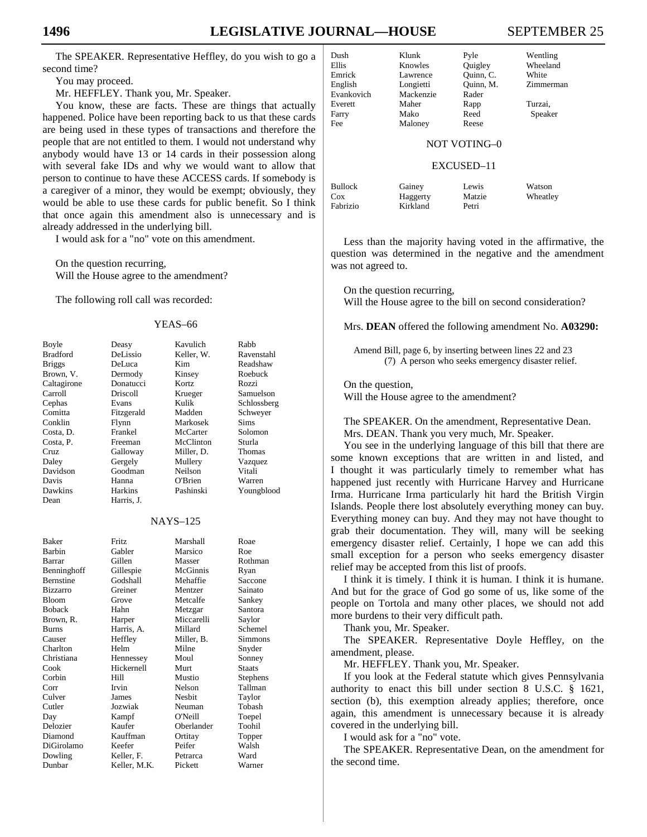The SPEAKER. Representative Heffley, do you wish to go a second time?

You may proceed.

Mr. HEFFLEY. Thank you, Mr. Speaker.

 You know, these are facts. These are things that actually happened. Police have been reporting back to us that these cards are being used in these types of transactions and therefore the people that are not entitled to them. I would not understand why anybody would have 13 or 14 cards in their possession along with several fake IDs and why we would want to allow that person to continue to have these ACCESS cards. If somebody is a caregiver of a minor, they would be exempt; obviously, they would be able to use these cards for public benefit. So I think that once again this amendment also is unnecessary and is already addressed in the underlying bill.

I would ask for a "no" vote on this amendment.

 On the question recurring, Will the House agree to the amendment?

The following roll call was recorded:

#### YEAS–66

| Boyle           | Deasy           | Kavulich   | Rabb        |
|-----------------|-----------------|------------|-------------|
| <b>Bradford</b> | DeLissio        | Keller, W. | Ravenstahl  |
| <b>Briggs</b>   | DeLuca          | Kim        | Readshaw    |
| Brown, V.       | Dermody         | Kinsey     | Roebuck     |
| Caltagirone     | Donatucci       | Kortz      | Rozzi       |
| Carroll         | <b>Driscoll</b> | Krueger    | Samuelson   |
| Cephas          | Evans           | Kulik      | Schlossberg |
| Comitta         | Fitzgerald      | Madden     | Schweyer    |
| Conklin         | Flynn           | Markosek   | <b>Sims</b> |
| Costa, D.       | Frankel         | McCarter   | Solomon     |
| Costa, P.       | Freeman         | McClinton  | Sturla      |
| Cruz            | Galloway        | Miller, D. | Thomas      |
| Daley           | Gergely         | Mullery    | Vazquez     |
| Davidson        | Goodman         | Neilson    | Vitali      |
| Davis           | Hanna           | O'Brien    | Warren      |
| Dawkins         | Harkins         | Pashinski  | Youngblood  |
| Dean            | Harris, J.      |            |             |
| <b>NAYS-125</b> |                 |            |             |

| <b>Baker</b>     | <b>Fritz</b> | Marshall   | Roae          |
|------------------|--------------|------------|---------------|
| <b>Barbin</b>    | Gabler       | Marsico    | Roe           |
| Barrar           | Gillen       | Masser     | Rothman       |
| Benninghoff      | Gillespie    | McGinnis   | Ryan          |
| <b>Bernstine</b> | Godshall     | Mehaffie   | Saccone       |
| <b>Bizzarro</b>  | Greiner      | Mentzer    | Sainato       |
| <b>Bloom</b>     | Grove        | Metcalfe   | Sankey        |
| <b>Boback</b>    | Hahn         | Metzgar    | Santora       |
| Brown, R.        | Harper       | Miccarelli | Saylor        |
| <b>Burns</b>     | Harris, A.   | Millard    | Schemel       |
| Causer           | Heffley      | Miller, B. | Simmons       |
| Charlton         | Helm         | Milne      | Snyder        |
| Christiana       | Hennessey    | Moul       | Sonney        |
| Cook             | Hickernell   | Murt       | <b>Staats</b> |
| Corbin           | Hill         | Mustio     | Stephens      |
| Corr             | Irvin        | Nelson     | Tallman       |
| Culver           | James        | Nesbit     | Taylor        |
| Cutler           | Jozwiak      | Neuman     | Tobash        |
| Day              | Kampf        | O'Neill    | Toepel        |
| Delozier         | Kaufer       | Oberlander | Toohil        |
| Diamond          | Kauffman     | Ortitay    | Topper        |
| DiGirolamo       | Keefer       | Peifer     | Walsh         |
| Dowling          | Keller, F.   | Petrarca   | Ward          |
| Dunbar           | Keller, M.K. | Pickett    | Warner        |
|                  |              |            |               |

# English Longietti Quinn, M. Zimmerman

Dush Klunk Pyle Wentling

NOT VOTING–0

#### EXCUSED–11

Bullock Gainey Lewis Watson Cox Haggerty Matzie Wheatley Fabrizio Kirkland Petri

 Less than the majority having voted in the affirmative, the question was determined in the negative and the amendment was not agreed to.

 On the question recurring, Will the House agree to the bill on second consideration?

Mrs. **DEAN** offered the following amendment No. **A03290:**

Amend Bill, page 6, by inserting between lines 22 and 23 (7) A person who seeks emergency disaster relief.

 On the question, Will the House agree to the amendment?

 The SPEAKER. On the amendment, Representative Dean. Mrs. DEAN. Thank you very much, Mr. Speaker.

 You see in the underlying language of this bill that there are some known exceptions that are written in and listed, and I thought it was particularly timely to remember what has happened just recently with Hurricane Harvey and Hurricane Irma. Hurricane Irma particularly hit hard the British Virgin Islands. People there lost absolutely everything money can buy. Everything money can buy. And they may not have thought to grab their documentation. They will, many will be seeking emergency disaster relief. Certainly, I hope we can add this small exception for a person who seeks emergency disaster relief may be accepted from this list of proofs.

 I think it is timely. I think it is human. I think it is humane. And but for the grace of God go some of us, like some of the people on Tortola and many other places, we should not add more burdens to their very difficult path.

Thank you, Mr. Speaker.

 The SPEAKER. Representative Doyle Heffley, on the amendment, please.

Mr. HEFFLEY. Thank you, Mr. Speaker.

 If you look at the Federal statute which gives Pennsylvania authority to enact this bill under section 8 U.S.C. § 1621, section (b), this exemption already applies; therefore, once again, this amendment is unnecessary because it is already covered in the underlying bill.

I would ask for a "no" vote.

 The SPEAKER. Representative Dean, on the amendment for the second time.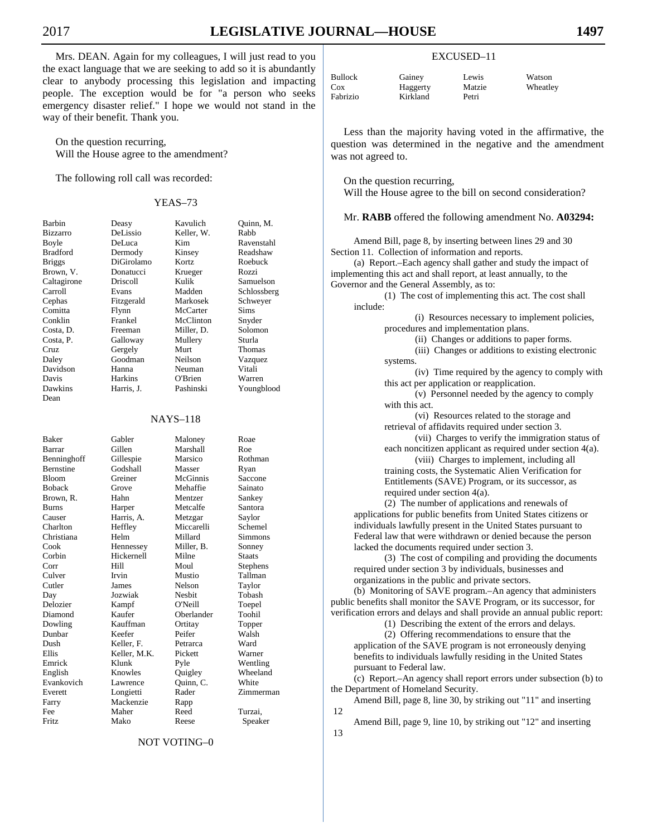Mrs. DEAN. Again for my colleagues, I will just read to you the exact language that we are seeking to add so it is abundantly clear to anybody processing this legislation and impacting people. The exception would be for "a person who seeks emergency disaster relief." I hope we would not stand in the way of their benefit. Thank you.

 On the question recurring, Will the House agree to the amendment?

The following roll call was recorded:

#### YEAS–73

Dean

Barbin Deasy Kavulich Quinn, M.<br>Bizzarro DeLissio Keller, W. Rabb Bizzarro DeLissio Keller, W. Boyle DeLuca Kim Ravenstahl Bradford Dermody Kinsey Readshaw<br>Briggs DiGirolamo Kortz Roebuck Briggs DiGirolamo Kortz Brown, V. Donatucci Krueger Rozzi Caltagirone Driscoll Kulik Samuelson Carroll Evans Madden Schlossberg Comitta Flynn McCarter Sims Conklin Frankel McClinton Snyder<br>
Costa D Freeman Miller D Solomon Miller, D. Costa, P. Galloway Mullery Sturla Cruz Gergely Murt Thomas<br>
Daley Goodman Neilson Vazquez Daley Goodman Neilson Vazquez Davidson Hanna Neuman Vitali Davis Harkins O'Brien Warren Dawkins Harris, J. Pashinski Youngblood

Schweyer

#### NAYS–118

Baker Gabler Maloney Roae Barrar Gillen Marshall Roe Benninghoff Gillespie Marsico Rothman Bernstine Godshall Masser Ryan Bloom Greiner McGinnis Saccone Boback Grove Mehaffie Sainato Brown, R. Hahn Mentzer Sankey Burns Harper Metcalfe Santora Causer Harris, A. Metzgar Saylor Charlton Heffley Miccarelli Schemel Christiana Helm Millard Simmons<br>
Cook Hennessey Miller, B. Sonney Cook Hennessey Miller, B. Sonney Hickernell Corr Hill Moul Stephens Culver Irvin Mustio Tallman Cutler James Nelson Taylor Day Jozwiak Nesbit Tobash Delozier Kampf O'Neill Toepel Diamond Kaufer Oberlander Toohil Dowling Kauffman Ortitay Topper Keefer Dush Keller, F. Petrarca Ward Keller, M.K. Pickett Emrick Klunk Pyle Wentling<br>
English Knowles Ouigley Wheeland Evankovich Lawrence Quinn, C. White<br>
Everett Longietti Rader Zimme Farry Mackenzie Rapp Fee Maher Reed Turzai, Fritz Mako Reese Speaker

Wheeland Zimmerman

#### NOT VOTING–0

# EXCUSED–11

Bullock Gainey Lewis Watson<br>Cox Haggerty Matzie Wheatley Haggerty Fabrizio Kirkland Petri

 Less than the majority having voted in the affirmative, the question was determined in the negative and the amendment was not agreed to.

On the question recurring,

Will the House agree to the bill on second consideration?

Mr. **RABB** offered the following amendment No. **A03294:**

Amend Bill, page 8, by inserting between lines 29 and 30 Section 11. Collection of information and reports.

(a) Report.–Each agency shall gather and study the impact of implementing this act and shall report, at least annually, to the Governor and the General Assembly, as to:

(1) The cost of implementing this act. The cost shall include:

> (i) Resources necessary to implement policies, procedures and implementation plans.

> > (ii) Changes or additions to paper forms.

(iii) Changes or additions to existing electronic systems.

(iv) Time required by the agency to comply with this act per application or reapplication.

(v) Personnel needed by the agency to comply with this act.

(vi) Resources related to the storage and retrieval of affidavits required under section 3.

(vii) Charges to verify the immigration status of each noncitizen applicant as required under section 4(a).

(viii) Charges to implement, including all training costs, the Systematic Alien Verification for Entitlements (SAVE) Program, or its successor, as required under section 4(a).

(2) The number of applications and renewals of applications for public benefits from United States citizens or individuals lawfully present in the United States pursuant to Federal law that were withdrawn or denied because the person lacked the documents required under section 3.

(3) The cost of compiling and providing the documents required under section 3 by individuals, businesses and organizations in the public and private sectors.

(b) Monitoring of SAVE program.–An agency that administers public benefits shall monitor the SAVE Program, or its successor, for verification errors and delays and shall provide an annual public report:

(1) Describing the extent of the errors and delays.

(2) Offering recommendations to ensure that the application of the SAVE program is not erroneously denying benefits to individuals lawfully residing in the United States pursuant to Federal law.

(c) Report.–An agency shall report errors under subsection (b) to the Department of Homeland Security.

Amend Bill, page 8, line 30, by striking out "11" and inserting 12

Amend Bill, page 9, line 10, by striking out "12" and inserting 13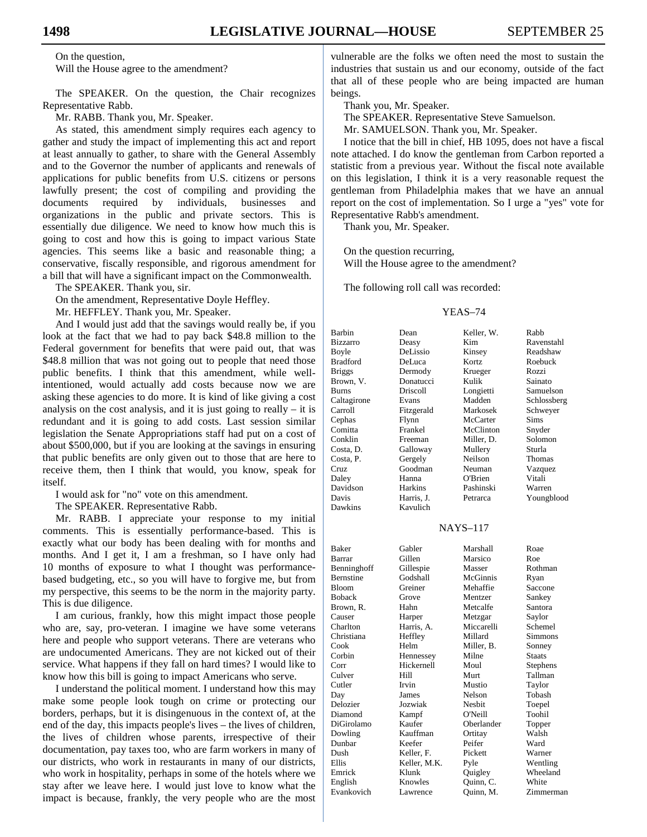On the question,

Will the House agree to the amendment?

 The SPEAKER. On the question, the Chair recognizes Representative Rabb.

Mr. RABB. Thank you, Mr. Speaker.

 As stated, this amendment simply requires each agency to gather and study the impact of implementing this act and report at least annually to gather, to share with the General Assembly and to the Governor the number of applicants and renewals of applications for public benefits from U.S. citizens or persons lawfully present; the cost of compiling and providing the documents required by individuals, businesses and organizations in the public and private sectors. This is essentially due diligence. We need to know how much this is going to cost and how this is going to impact various State agencies. This seems like a basic and reasonable thing; a conservative, fiscally responsible, and rigorous amendment for a bill that will have a significant impact on the Commonwealth.

The SPEAKER. Thank you, sir.

On the amendment, Representative Doyle Heffley.

Mr. HEFFLEY. Thank you, Mr. Speaker.

 And I would just add that the savings would really be, if you look at the fact that we had to pay back \$48.8 million to the Federal government for benefits that were paid out, that was \$48.8 million that was not going out to people that need those public benefits. I think that this amendment, while wellintentioned, would actually add costs because now we are asking these agencies to do more. It is kind of like giving a cost analysis on the cost analysis, and it is just going to really  $-$  it is redundant and it is going to add costs. Last session similar legislation the Senate Appropriations staff had put on a cost of about \$500,000, but if you are looking at the savings in ensuring that public benefits are only given out to those that are here to receive them, then I think that would, you know, speak for itself.

I would ask for "no" vote on this amendment.

The SPEAKER. Representative Rabb.

 Mr. RABB. I appreciate your response to my initial comments. This is essentially performance-based. This is exactly what our body has been dealing with for months and months. And I get it, I am a freshman, so I have only had 10 months of exposure to what I thought was performancebased budgeting, etc., so you will have to forgive me, but from my perspective, this seems to be the norm in the majority party. This is due diligence.

 I am curious, frankly, how this might impact those people who are, say, pro-veteran. I imagine we have some veterans here and people who support veterans. There are veterans who are undocumented Americans. They are not kicked out of their service. What happens if they fall on hard times? I would like to know how this bill is going to impact Americans who serve.

 I understand the political moment. I understand how this may make some people look tough on crime or protecting our borders, perhaps, but it is disingenuous in the context of, at the end of the day, this impacts people's lives – the lives of children, the lives of children whose parents, irrespective of their documentation, pay taxes too, who are farm workers in many of our districts, who work in restaurants in many of our districts, who work in hospitality, perhaps in some of the hotels where we stay after we leave here. I would just love to know what the impact is because, frankly, the very people who are the most vulnerable are the folks we often need the most to sustain the industries that sustain us and our economy, outside of the fact that all of these people who are being impacted are human beings.

Thank you, Mr. Speaker.

The SPEAKER. Representative Steve Samuelson.

Mr. SAMUELSON. Thank you, Mr. Speaker.

 I notice that the bill in chief, HB 1095, does not have a fiscal note attached. I do know the gentleman from Carbon reported a statistic from a previous year. Without the fiscal note available on this legislation, I think it is a very reasonable request the gentleman from Philadelphia makes that we have an annual report on the cost of implementation. So I urge a "yes" vote for Representative Rabb's amendment.

Thank you, Mr. Speaker.

 On the question recurring, Will the House agree to the amendment?

The following roll call was recorded:

#### YEAS–74

| Barbin      | Dean         | Keller, W.      | Rabb        |
|-------------|--------------|-----------------|-------------|
| Bizzarro    | Deasy        | Kim             | Ravenstahl  |
| Boyle       | DeLissio     | Kinsey          | Readshaw    |
| Bradford    | DeLuca       | Kortz           | Roebuck     |
| Briggs      | Dermody      | Krueger         | Rozzi       |
| Brown, V.   | Donatucci    | Kulik           | Sainato     |
| Burns       | Driscoll     | Longietti       | Samuelson   |
| Caltagirone | Evans        | Madden          | Schlossberg |
| Carroll     | Fitzgerald   | Markosek        | Schweyer    |
| Cephas      | Flynn        | McCarter        | Sims        |
| Comitta     | Frankel      | McClinton       | Snyder      |
| Conklin     | Freeman      | Miller, D.      | Solomon     |
| Costa, D.   | Galloway     | Mullery         | Sturla      |
| Costa, P.   | Gergely      | Neilson         | Thomas      |
| Cruz        | Goodman      | Neuman          | Vazquez     |
| Daley       | Hanna        | O'Brien         | Vitali      |
| Davidson    | Harkins      | Pashinski       | Warren      |
| Davis       | Harris, J.   | Petrarca        | Youngblood  |
| Dawkins     | Kavulich     |                 |             |
|             |              |                 |             |
|             |              | <b>NAYS-117</b> |             |
|             |              |                 |             |
| Baker       | Gabler       | Marshall        | Roae        |
| Barrar      | Gillen       | Marsico         | Roe         |
| Benninghoff | Gillespie    | Masser          | Rothman     |
| Bernstine   | Godshall     | McGinnis        | Ryan        |
| Bloom       | Greiner      | Mehaffie        | Saccone     |
| Boback      | Grove        | Mentzer         | Sankey      |
| Brown, R.   | Hahn         | Metcalfe        | Santora     |
| Causer      | Harper       | Metzgar         | Saylor      |
| Charlton    | Harris, A.   | Miccarelli      | Schemel     |
| Christiana  | Heffley      | Millard         | Simmons     |
| Cook        | Helm         | Miller, B.      | Sonney      |
| Corbin      | Hennessey    | Milne           | Staats      |
| Corr        | Hickernell   | Moul            | Stephens    |
| Culver      | Hill         | Murt            | Tallman     |
| Cutler      | Irvin        | Mustio          | Taylor      |
| Day         | James        | Nelson          | Tobash      |
| Delozier    | Jozwiak      | Nesbit          | Toepel      |
| Diamond     | Kampf        | O'Neill         | Toohil      |
| DiGirolamo  | Kaufer       | Oberlander      | Topper      |
| Dowling     | Kauffman     | Ortitay         | Walsh       |
| Dunbar      | Keefer       | Peifer          | Ward        |
| Dush        | Keller, F.   | Pickett         | Warner      |
| Ellis       | Keller, M.K. | Pyle            | Wentling    |
| Emrick      | Klunk        | Quigley         | Wheeland    |
| English     | Knowles      | Quinn, C.       | White       |
| Evankovich  | Lawrence     | Ouinn, M.       | Zimmerman   |
|             |              |                 |             |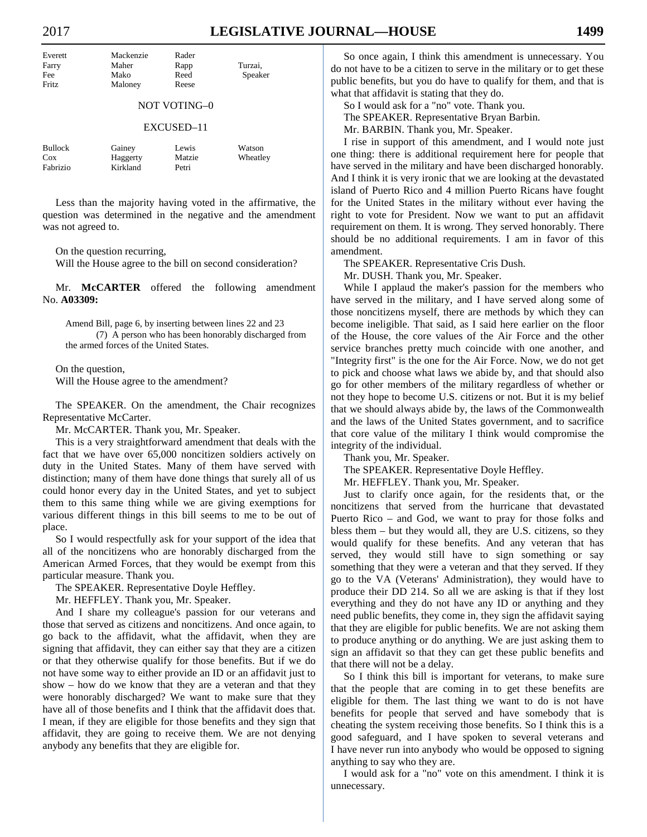| Everett | Mackenzie | Rader |         |
|---------|-----------|-------|---------|
| Farry   | Maher     | Rapp  | Turzai. |
| Fee     | Mako      | Reed  | Speaker |
| Fritz   | Maloney   | Reese |         |
|         |           |       |         |

#### NOT VOTING–0

#### EXCUSED–11

| Bullock  | Gainey   | Lewis  | Watson   |
|----------|----------|--------|----------|
| Cox      | Haggerty | Matzie | Wheatley |
| Fabrizio | Kirkland | Petri  |          |

 Less than the majority having voted in the affirmative, the question was determined in the negative and the amendment was not agreed to.

On the question recurring,

Will the House agree to the bill on second consideration?

 Mr. **McCARTER** offered the following amendment No. **A03309:**

Amend Bill, page 6, by inserting between lines 22 and 23 (7) A person who has been honorably discharged from the armed forces of the United States.

 On the question, Will the House agree to the amendment?

 The SPEAKER. On the amendment, the Chair recognizes Representative McCarter.

Mr. McCARTER. Thank you, Mr. Speaker.

 This is a very straightforward amendment that deals with the fact that we have over 65,000 noncitizen soldiers actively on duty in the United States. Many of them have served with distinction; many of them have done things that surely all of us could honor every day in the United States, and yet to subject them to this same thing while we are giving exemptions for various different things in this bill seems to me to be out of place.

 So I would respectfully ask for your support of the idea that all of the noncitizens who are honorably discharged from the American Armed Forces, that they would be exempt from this particular measure. Thank you.

The SPEAKER. Representative Doyle Heffley.

Mr. HEFFLEY. Thank you, Mr. Speaker.

 And I share my colleague's passion for our veterans and those that served as citizens and noncitizens. And once again, to go back to the affidavit, what the affidavit, when they are signing that affidavit, they can either say that they are a citizen or that they otherwise qualify for those benefits. But if we do not have some way to either provide an ID or an affidavit just to show – how do we know that they are a veteran and that they were honorably discharged? We want to make sure that they have all of those benefits and I think that the affidavit does that. I mean, if they are eligible for those benefits and they sign that affidavit, they are going to receive them. We are not denying anybody any benefits that they are eligible for.

 So once again, I think this amendment is unnecessary. You do not have to be a citizen to serve in the military or to get these public benefits, but you do have to qualify for them, and that is what that affidavit is stating that they do.

 So I would ask for a "no" vote. Thank you. The SPEAKER. Representative Bryan Barbin.

Mr. BARBIN. Thank you, Mr. Speaker.

 I rise in support of this amendment, and I would note just one thing: there is additional requirement here for people that have served in the military and have been discharged honorably. And I think it is very ironic that we are looking at the devastated island of Puerto Rico and 4 million Puerto Ricans have fought for the United States in the military without ever having the right to vote for President. Now we want to put an affidavit requirement on them. It is wrong. They served honorably. There should be no additional requirements. I am in favor of this amendment.

The SPEAKER. Representative Cris Dush.

Mr. DUSH. Thank you, Mr. Speaker.

 While I applaud the maker's passion for the members who have served in the military, and I have served along some of those noncitizens myself, there are methods by which they can become ineligible. That said, as I said here earlier on the floor of the House, the core values of the Air Force and the other service branches pretty much coincide with one another, and "Integrity first" is the one for the Air Force. Now, we do not get to pick and choose what laws we abide by, and that should also go for other members of the military regardless of whether or not they hope to become U.S. citizens or not. But it is my belief that we should always abide by, the laws of the Commonwealth and the laws of the United States government, and to sacrifice that core value of the military I think would compromise the integrity of the individual.

Thank you, Mr. Speaker.

The SPEAKER. Representative Doyle Heffley.

Mr. HEFFLEY. Thank you, Mr. Speaker.

 Just to clarify once again, for the residents that, or the noncitizens that served from the hurricane that devastated Puerto Rico – and God, we want to pray for those folks and bless them – but they would all, they are U.S. citizens, so they would qualify for these benefits. And any veteran that has served, they would still have to sign something or say something that they were a veteran and that they served. If they go to the VA (Veterans' Administration), they would have to produce their DD 214. So all we are asking is that if they lost everything and they do not have any ID or anything and they need public benefits, they come in, they sign the affidavit saying that they are eligible for public benefits. We are not asking them to produce anything or do anything. We are just asking them to sign an affidavit so that they can get these public benefits and that there will not be a delay.

 So I think this bill is important for veterans, to make sure that the people that are coming in to get these benefits are eligible for them. The last thing we want to do is not have benefits for people that served and have somebody that is cheating the system receiving those benefits. So I think this is a good safeguard, and I have spoken to several veterans and I have never run into anybody who would be opposed to signing anything to say who they are.

 I would ask for a "no" vote on this amendment. I think it is unnecessary.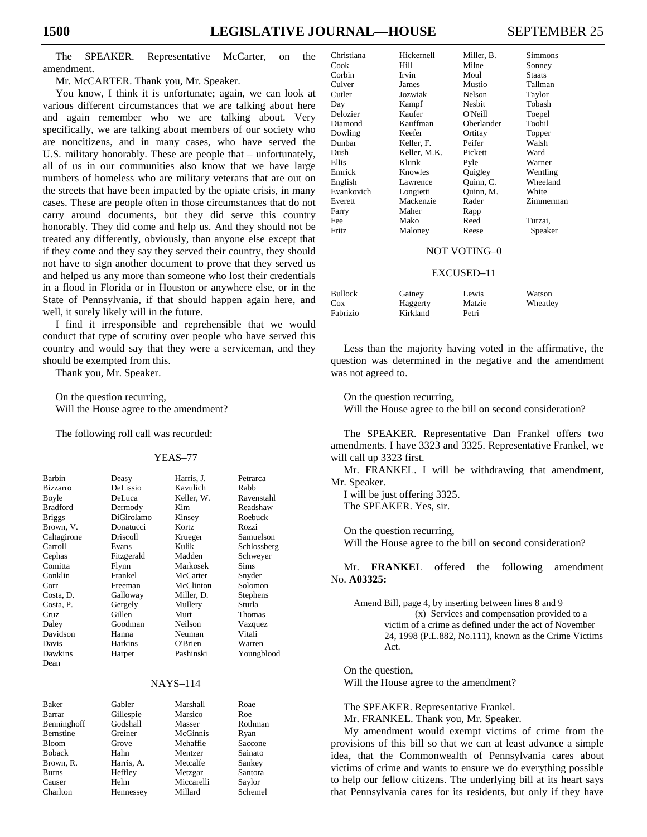The SPEAKER. Representative McCarter, on the amendment.

Mr. McCARTER. Thank you, Mr. Speaker.

 You know, I think it is unfortunate; again, we can look at various different circumstances that we are talking about here and again remember who we are talking about. Very specifically, we are talking about members of our society who are noncitizens, and in many cases, who have served the U.S. military honorably. These are people that – unfortunately, all of us in our communities also know that we have large numbers of homeless who are military veterans that are out on the streets that have been impacted by the opiate crisis, in many cases. These are people often in those circumstances that do not carry around documents, but they did serve this country honorably. They did come and help us. And they should not be treated any differently, obviously, than anyone else except that if they come and they say they served their country, they should not have to sign another document to prove that they served us and helped us any more than someone who lost their credentials in a flood in Florida or in Houston or anywhere else, or in the State of Pennsylvania, if that should happen again here, and well, it surely likely will in the future.

 I find it irresponsible and reprehensible that we would conduct that type of scrutiny over people who have served this country and would say that they were a serviceman, and they should be exempted from this.

Thank you, Mr. Speaker.

 On the question recurring, Will the House agree to the amendment?

The following roll call was recorded:

#### YEAS–77

Kavulich Rabb Keller, W. Ravenstahl Kim Readshaw<br>
Roebuck<br>
Roebuck

Krueger Samuelson<br>Kulik Schlossberg Kulik Schlossberg<br>Madden Schwever

Youngblood

| Barbin          | Deasy      | Harris, J. | Petrarca        |
|-----------------|------------|------------|-----------------|
| <b>Bizzarro</b> | DeLissio   | Kavulich   | Rabb            |
| Boyle           | DeLuca     | Keller, W. | <b>Ravensta</b> |
| <b>Bradford</b> | Dermody    | Kim        | Readshav        |
| <b>Briggs</b>   | DiGirolamo | Kinsey     | Roebuck         |
| Brown, V.       | Donatucci  | Kortz      | Rozzi           |
| Caltagirone     | Driscoll   | Krueger    | Samuelso        |
| Carroll         | Evans      | Kulik      | Schlossbe       |
| Cephas          | Fitzgerald | Madden     | Schweyer        |
| Comitta         | Flynn      | Markosek   | <b>Sims</b>     |
| Conklin         | Frankel    | McCarter   | Snyder          |
| Corr            | Freeman    | McClinton  | Solomon         |
| Costa, D.       | Galloway   | Miller, D. | <b>Stephens</b> |
| Costa, P.       | Gergely    | Mullery    | Sturla          |
| Cruz            | Gillen     | Murt       | Thomas          |
| Daley           | Goodman    | Neilson    | Vazquez         |
| Davidson        | Hanna      | Neuman     | Vitali          |
| Davis           | Harkins    | O'Brien    | Warren          |
| Dawkins         | Harper     | Pashinski  | Youngblo        |
| Dean            |            |            |                 |
|                 |            |            |                 |
|                 |            |            |                 |

| <b>NAYS-114</b> |            |            |         |  |
|-----------------|------------|------------|---------|--|
| <b>Baker</b>    | Gabler     | Marshall   | Roae    |  |
| Barrar          | Gillespie  | Marsico    | Roe     |  |
| Benninghoff     | Godshall   | Masser     | Rothman |  |
| Bernstine       | Greiner    | McGinnis   | Ryan    |  |
| <b>Bloom</b>    | Grove      | Mehaffie   | Saccone |  |
| <b>Boback</b>   | Hahn       | Mentzer    | Sainato |  |
| Brown, R.       | Harris, A. | Metcalfe   | Sankey  |  |
| <b>Burns</b>    | Heffley    | Metzgar    | Santora |  |
| Causer          | Helm       | Miccarelli | Saylor  |  |
| Charlton        | Hennessey  | Millard    | Schemel |  |

| Christiana | Hickernell   | Miller, B. | Simmons   |
|------------|--------------|------------|-----------|
| Cook       | Hill         | Milne      | Sonney    |
| Corbin     | Irvin        | Moul       | Staats    |
| Culver     | James        | Mustio     | Tallman   |
| Cutler     | Jozwiak      | Nelson     | Taylor    |
| Day        | Kampf        | Nesbit     | Tobash    |
| Delozier   | Kaufer       | O'Neill    | Toepel    |
| Diamond    | Kauffman     | Oberlander | Toohil    |
| Dowling    | Keefer       | Ortitay    | Topper    |
| Dunbar     | Keller, F.   | Peifer     | Walsh     |
| Dush       | Keller, M.K. | Pickett    | Ward      |
| Ellis      | Klunk        | Pyle       | Warner    |
| Emrick     | Knowles      | Quigley    | Wentling  |
| English    | Lawrence     | Quinn, C.  | Wheeland  |
| Evankovich | Longietti    | Ouinn, M.  | White     |
| Everett    | Mackenzie    | Rader      | Zimmerman |
| Farry      | Maher        | Rapp       |           |
| Fee        | Mako         | Reed       | Turzai,   |
| Fritz      | Maloney      | Reese      | Speaker   |

## NOT VOTING–0

#### EXCUSED–11

| <b>Bullock</b> | Gainey   | Lewis  | Watson   |
|----------------|----------|--------|----------|
| Cox            | Haggerty | Matzie | Wheatley |
| Fabrizio       | Kirkland | Petri  |          |

 Less than the majority having voted in the affirmative, the question was determined in the negative and the amendment was not agreed to.

On the question recurring,

Will the House agree to the bill on second consideration?

 The SPEAKER. Representative Dan Frankel offers two amendments. I have 3323 and 3325. Representative Frankel, we will call up 3323 first.

 Mr. FRANKEL. I will be withdrawing that amendment, Mr. Speaker.

 I will be just offering 3325. The SPEAKER. Yes, sir.

 On the question recurring, Will the House agree to the bill on second consideration?

 Mr. **FRANKEL** offered the following amendment No. **A03325:**

Amend Bill, page 4, by inserting between lines 8 and 9 (x) Services and compensation provided to a victim of a crime as defined under the act of November 24, 1998 (P.L.882, No.111), known as the Crime Victims Act.

 On the question, Will the House agree to the amendment?

The SPEAKER. Representative Frankel.

Mr. FRANKEL. Thank you, Mr. Speaker.

 My amendment would exempt victims of crime from the provisions of this bill so that we can at least advance a simple idea, that the Commonwealth of Pennsylvania cares about victims of crime and wants to ensure we do everything possible to help our fellow citizens. The underlying bill at its heart says that Pennsylvania cares for its residents, but only if they have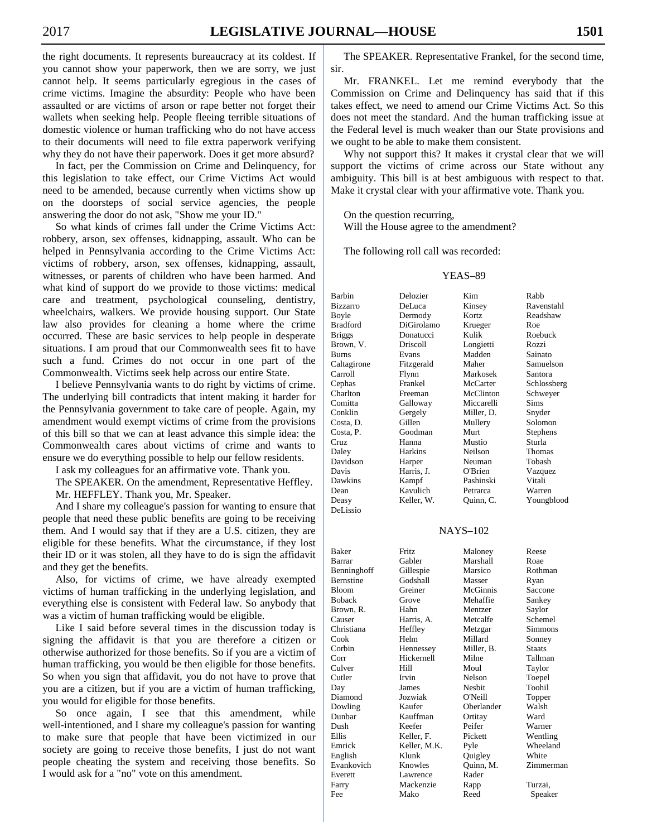the right documents. It represents bureaucracy at its coldest. If you cannot show your paperwork, then we are sorry, we just cannot help. It seems particularly egregious in the cases of crime victims. Imagine the absurdity: People who have been assaulted or are victims of arson or rape better not forget their wallets when seeking help. People fleeing terrible situations of domestic violence or human trafficking who do not have access to their documents will need to file extra paperwork verifying why they do not have their paperwork. Does it get more absurd?

 In fact, per the Commission on Crime and Delinquency, for this legislation to take effect, our Crime Victims Act would need to be amended, because currently when victims show up on the doorsteps of social service agencies, the people answering the door do not ask, "Show me your ID."

 So what kinds of crimes fall under the Crime Victims Act: robbery, arson, sex offenses, kidnapping, assault. Who can be helped in Pennsylvania according to the Crime Victims Act: victims of robbery, arson, sex offenses, kidnapping, assault, witnesses, or parents of children who have been harmed. And what kind of support do we provide to those victims: medical care and treatment, psychological counseling, dentistry, wheelchairs, walkers. We provide housing support. Our State law also provides for cleaning a home where the crime occurred. These are basic services to help people in desperate situations. I am proud that our Commonwealth sees fit to have such a fund. Crimes do not occur in one part of the Commonwealth. Victims seek help across our entire State.

 I believe Pennsylvania wants to do right by victims of crime. The underlying bill contradicts that intent making it harder for the Pennsylvania government to take care of people. Again, my amendment would exempt victims of crime from the provisions of this bill so that we can at least advance this simple idea: the Commonwealth cares about victims of crime and wants to ensure we do everything possible to help our fellow residents.

I ask my colleagues for an affirmative vote. Thank you.

 The SPEAKER. On the amendment, Representative Heffley. Mr. HEFFLEY. Thank you, Mr. Speaker.

 And I share my colleague's passion for wanting to ensure that people that need these public benefits are going to be receiving them. And I would say that if they are a U.S. citizen, they are eligible for these benefits. What the circumstance, if they lost their ID or it was stolen, all they have to do is sign the affidavit and they get the benefits.

 Also, for victims of crime, we have already exempted victims of human trafficking in the underlying legislation, and everything else is consistent with Federal law. So anybody that was a victim of human trafficking would be eligible.

 Like I said before several times in the discussion today is signing the affidavit is that you are therefore a citizen or otherwise authorized for those benefits. So if you are a victim of human trafficking, you would be then eligible for those benefits. So when you sign that affidavit, you do not have to prove that you are a citizen, but if you are a victim of human trafficking, you would for eligible for those benefits.

 So once again, I see that this amendment, while well-intentioned, and I share my colleague's passion for wanting to make sure that people that have been victimized in our society are going to receive those benefits, I just do not want people cheating the system and receiving those benefits. So I would ask for a "no" vote on this amendment.

 The SPEAKER. Representative Frankel, for the second time, sir.

 Mr. FRANKEL. Let me remind everybody that the Commission on Crime and Delinquency has said that if this takes effect, we need to amend our Crime Victims Act. So this does not meet the standard. And the human trafficking issue at the Federal level is much weaker than our State provisions and we ought to be able to make them consistent.

 Why not support this? It makes it crystal clear that we will support the victims of crime across our State without any ambiguity. This bill is at best ambiguous with respect to that. Make it crystal clear with your affirmative vote. Thank you.

 On the question recurring, Will the House agree to the amendment?

The following roll call was recorded:

#### YEAS–89

| Barbin      | Delozier     | Kim        | Rabb          |
|-------------|--------------|------------|---------------|
| Bizzarro    | DeLuca       | Kinsey     | Ravenstahl    |
| Boyle       | Dermody      | Kortz      | Readshaw      |
| Bradford    | DiGirolamo   | Krueger    | Roe           |
| Briggs      | Donatucci    | Kulik      | Roebuck       |
| Brown, V.   | Driscoll     | Longietti  | Rozzi         |
| Burns       | Evans        | Madden     | Sainato       |
| Caltagirone | Fitzgerald   | Maher      | Samuelson     |
| Carroll     | Flynn        | Markosek   | Santora       |
| Cephas      | Frankel      | McCarter   | Schlossberg   |
| Charlton    | Freeman      | McClinton  | Schweyer      |
| Comitta     | Galloway     | Miccarelli | Sims          |
| Conklin     | Gergely      | Miller, D. | Snyder        |
| Costa, D.   | Gillen       | Mullery    | Solomon       |
| Costa, P.   | Goodman      | Murt       | Stephens      |
| Cruz        | Hanna        | Mustio     | Sturla        |
| Daley       | Harkins      | Neilson    | Thomas        |
| Davidson    | Harper       | Neuman     | Tobash        |
| Davis       | Harris, J.   | O'Brien    | Vazquez       |
| Dawkins     | Kampf        | Pashinski  | Vitali        |
| Dean        | Kavulich     | Petrarca   | Warren        |
| Deasy       | Keller, W.   | Quinn, C.  | Youngblood    |
| DeLissio    |              |            |               |
|             |              |            |               |
|             |              | NAYS-102   |               |
|             |              |            |               |
| Baker       | Fritz        | Maloney    | Reese         |
| Barrar      | Gabler       | Marshall   | Roae          |
| Benninghoff | Gillespie    | Marsico    | Rothman       |
| Bernstine   | Godshall     | Masser     | Ryan          |
| Bloom       | Greiner      | McGinnis   | Saccone       |
| Boback      | Grove        | Mehaffie   | Sankey        |
| Brown, R.   | Hahn         | Mentzer    | Saylor        |
| Causer      | Harris, A.   | Metcalfe   | Schemel       |
| Christiana  | Heffley      | Metzgar    | Simmons       |
| Cook        | Helm         | Millard    | Sonney        |
| Corbin      | Hennessey    | Miller, B. | <b>Staats</b> |
| Corr        | Hickernell   | Milne      | Tallman       |
| Culver      | Hill         | Moul       | Taylor        |
| Cutler      | Irvin        | Nelson     | Toepel        |
| Day         | James        | Nesbit     | Toohil        |
| Diamond     | Jozwiak      | O'Neill    | Topper        |
| Dowling     | Kaufer       | Oberlander | Walsh         |
| Dunbar      | Kauffman     | Ortitay    | Ward          |
| Dush        | Keefer       | Peifer     | Warner        |
| Ellis       | Keller, F.   | Pickett    | Wentling      |
| Emrick      | Keller, M.K. | Pyle       | Wheeland      |
| English     | Klunk        | Quigley    | White         |
| Evankovich  | Knowles      | Quinn, M.  | Zimmerman     |
| Everett     | Lawrence     | Rader      |               |
| Farry       | Mackenzie    | Rapp       | Turzai,       |
| Fee         | Mako         | Reed       | Speaker       |
|             |              |            |               |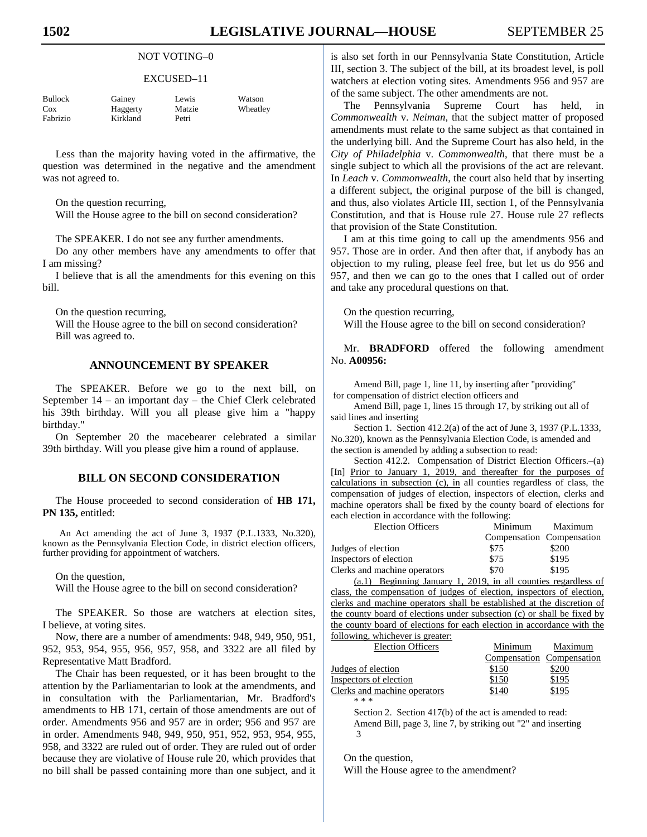## NOT VOTING–0

#### EXCUSED–11

| Bullock  | Gainey   | Lewis  | Watson   |
|----------|----------|--------|----------|
| Cox      | Haggerty | Matzie | Wheatley |
| Fabrizio | Kirkland | Petri  |          |

 Less than the majority having voted in the affirmative, the question was determined in the negative and the amendment was not agreed to.

On the question recurring,

Will the House agree to the bill on second consideration?

The SPEAKER. I do not see any further amendments.

 Do any other members have any amendments to offer that I am missing?

 I believe that is all the amendments for this evening on this bill.

On the question recurring,

 Will the House agree to the bill on second consideration? Bill was agreed to.

# **ANNOUNCEMENT BY SPEAKER**

 The SPEAKER. Before we go to the next bill, on September 14 – an important day – the Chief Clerk celebrated his 39th birthday. Will you all please give him a "happy birthday."

 On September 20 the macebearer celebrated a similar 39th birthday. Will you please give him a round of applause.

# **BILL ON SECOND CONSIDERATION**

 The House proceeded to second consideration of **HB 171, PN 135,** entitled:

An Act amending the act of June 3, 1937 (P.L.1333, No.320), known as the Pennsylvania Election Code, in district election officers, further providing for appointment of watchers.

On the question,

Will the House agree to the bill on second consideration?

 The SPEAKER. So those are watchers at election sites, I believe, at voting sites.

 Now, there are a number of amendments: 948, 949, 950, 951, 952, 953, 954, 955, 956, 957, 958, and 3322 are all filed by Representative Matt Bradford.

 The Chair has been requested, or it has been brought to the attention by the Parliamentarian to look at the amendments, and in consultation with the Parliamentarian, Mr. Bradford's amendments to HB 171, certain of those amendments are out of order. Amendments 956 and 957 are in order; 956 and 957 are in order. Amendments 948, 949, 950, 951, 952, 953, 954, 955, 958, and 3322 are ruled out of order. They are ruled out of order because they are violative of House rule 20, which provides that no bill shall be passed containing more than one subject, and it is also set forth in our Pennsylvania State Constitution, Article III, section 3. The subject of the bill, at its broadest level, is poll watchers at election voting sites. Amendments 956 and 957 are of the same subject. The other amendments are not.

 The Pennsylvania Supreme Court has held, in *Commonwealth* v. *Neiman*, that the subject matter of proposed amendments must relate to the same subject as that contained in the underlying bill. And the Supreme Court has also held, in the *City of Philadelphia* v. *Commonwealth*, that there must be a single subject to which all the provisions of the act are relevant. In *Leach* v. *Commonwealth*, the court also held that by inserting a different subject, the original purpose of the bill is changed, and thus, also violates Article III, section 1, of the Pennsylvania Constitution, and that is House rule 27. House rule 27 reflects that provision of the State Constitution.

 I am at this time going to call up the amendments 956 and 957. Those are in order. And then after that, if anybody has an objection to my ruling, please feel free, but let us do 956 and 957, and then we can go to the ones that I called out of order and take any procedural questions on that.

 On the question recurring, Will the House agree to the bill on second consideration?

 Mr. **BRADFORD** offered the following amendment No. **A00956:** 

Amend Bill, page 1, line 11, by inserting after "providing" for compensation of district election officers and

Amend Bill, page 1, lines 15 through 17, by striking out all of said lines and inserting

Section 1. Section 412.2(a) of the act of June 3, 1937 (P.L.1333, No.320), known as the Pennsylvania Election Code, is amended and the section is amended by adding a subsection to read:

Section 412.2. Compensation of District Election Officers.–(a) [In] Prior to January 1, 2019, and thereafter for the purposes of calculations in subsection (c), in all counties regardless of class, the compensation of judges of election, inspectors of election, clerks and machine operators shall be fixed by the county board of elections for each election in accordance with the following:

| <b>Election Officers</b>                            | Minimum | Maximum                   |
|-----------------------------------------------------|---------|---------------------------|
|                                                     |         | Compensation Compensation |
| Judges of election                                  | \$75    | \$200                     |
| Inspectors of election                              | \$75    | \$195                     |
| Clerks and machine operators                        | \$70    | \$195                     |
| $\sim$ 1) $\sim$ $\sim$ $\sim$ $\sim$ $\sim$ $\sim$ | 1.0010  |                           |

(a.1) Beginning January 1, 2019, in all counties regardless of class, the compensation of judges of election, inspectors of election, clerks and machine operators shall be established at the discretion of the county board of elections under subsection (c) or shall be fixed by the county board of elections for each election in accordance with the following, whichever is greater:

| $10110$ will, which $\sigma$ is greater. |         |                           |
|------------------------------------------|---------|---------------------------|
| <b>Election Officers</b>                 | Minimum | Maximum                   |
|                                          |         | Compensation Compensation |
| Judges of election                       | \$150   | \$200                     |
| Inspectors of election                   | \$150   | \$195                     |
| Clerks and machine operators             | \$140   | \$195                     |
| * * *                                    |         |                           |
|                                          |         |                           |

Section 2. Section 417(b) of the act is amended to read: Amend Bill, page 3, line 7, by striking out "2" and inserting 3

On the question,

Will the House agree to the amendment?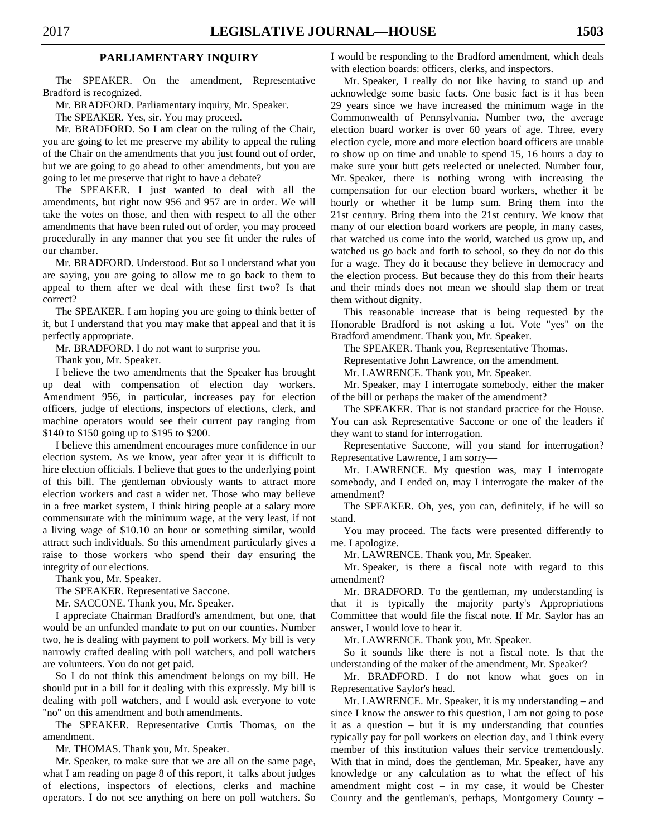# **PARLIAMENTARY INQUIRY**

 The SPEAKER. On the amendment, Representative Bradford is recognized.

Mr. BRADFORD. Parliamentary inquiry, Mr. Speaker.

The SPEAKER. Yes, sir. You may proceed.

 Mr. BRADFORD. So I am clear on the ruling of the Chair, you are going to let me preserve my ability to appeal the ruling of the Chair on the amendments that you just found out of order, but we are going to go ahead to other amendments, but you are going to let me preserve that right to have a debate?

 The SPEAKER. I just wanted to deal with all the amendments, but right now 956 and 957 are in order. We will take the votes on those, and then with respect to all the other amendments that have been ruled out of order, you may proceed procedurally in any manner that you see fit under the rules of our chamber.

 Mr. BRADFORD. Understood. But so I understand what you are saying, you are going to allow me to go back to them to appeal to them after we deal with these first two? Is that correct?

 The SPEAKER. I am hoping you are going to think better of it, but I understand that you may make that appeal and that it is perfectly appropriate.

Mr. BRADFORD. I do not want to surprise you.

Thank you, Mr. Speaker.

 I believe the two amendments that the Speaker has brought up deal with compensation of election day workers. Amendment 956, in particular, increases pay for election officers, judge of elections, inspectors of elections, clerk, and machine operators would see their current pay ranging from \$140 to \$150 going up to \$195 to \$200.

 I believe this amendment encourages more confidence in our election system. As we know, year after year it is difficult to hire election officials. I believe that goes to the underlying point of this bill. The gentleman obviously wants to attract more election workers and cast a wider net. Those who may believe in a free market system, I think hiring people at a salary more commensurate with the minimum wage, at the very least, if not a living wage of \$10.10 an hour or something similar, would attract such individuals. So this amendment particularly gives a raise to those workers who spend their day ensuring the integrity of our elections.

Thank you, Mr. Speaker.

The SPEAKER. Representative Saccone.

Mr. SACCONE. Thank you, Mr. Speaker.

 I appreciate Chairman Bradford's amendment, but one, that would be an unfunded mandate to put on our counties. Number two, he is dealing with payment to poll workers. My bill is very narrowly crafted dealing with poll watchers, and poll watchers are volunteers. You do not get paid.

 So I do not think this amendment belongs on my bill. He should put in a bill for it dealing with this expressly. My bill is dealing with poll watchers, and I would ask everyone to vote "no" on this amendment and both amendments.

 The SPEAKER. Representative Curtis Thomas, on the amendment.

Mr. THOMAS. Thank you, Mr. Speaker.

 Mr. Speaker, to make sure that we are all on the same page, what I am reading on page 8 of this report, it talks about judges of elections, inspectors of elections, clerks and machine operators. I do not see anything on here on poll watchers. So I would be responding to the Bradford amendment, which deals with election boards: officers, clerks, and inspectors.

 Mr. Speaker, I really do not like having to stand up and acknowledge some basic facts. One basic fact is it has been 29 years since we have increased the minimum wage in the Commonwealth of Pennsylvania. Number two, the average election board worker is over 60 years of age. Three, every election cycle, more and more election board officers are unable to show up on time and unable to spend 15, 16 hours a day to make sure your butt gets reelected or unelected. Number four, Mr. Speaker, there is nothing wrong with increasing the compensation for our election board workers, whether it be hourly or whether it be lump sum. Bring them into the 21st century. Bring them into the 21st century. We know that many of our election board workers are people, in many cases, that watched us come into the world, watched us grow up, and watched us go back and forth to school, so they do not do this for a wage. They do it because they believe in democracy and the election process. But because they do this from their hearts and their minds does not mean we should slap them or treat them without dignity.

 This reasonable increase that is being requested by the Honorable Bradford is not asking a lot. Vote "yes" on the Bradford amendment. Thank you, Mr. Speaker.

The SPEAKER. Thank you, Representative Thomas.

Representative John Lawrence, on the amendment.

Mr. LAWRENCE. Thank you, Mr. Speaker.

 Mr. Speaker, may I interrogate somebody, either the maker of the bill or perhaps the maker of the amendment?

 The SPEAKER. That is not standard practice for the House. You can ask Representative Saccone or one of the leaders if they want to stand for interrogation.

 Representative Saccone, will you stand for interrogation? Representative Lawrence, I am sorry—

 Mr. LAWRENCE. My question was, may I interrogate somebody, and I ended on, may I interrogate the maker of the amendment?

 The SPEAKER. Oh, yes, you can, definitely, if he will so stand.

 You may proceed. The facts were presented differently to me. I apologize.

Mr. LAWRENCE. Thank you, Mr. Speaker.

 Mr. Speaker, is there a fiscal note with regard to this amendment?

 Mr. BRADFORD. To the gentleman, my understanding is that it is typically the majority party's Appropriations Committee that would file the fiscal note. If Mr. Saylor has an answer, I would love to hear it.

Mr. LAWRENCE. Thank you, Mr. Speaker.

 So it sounds like there is not a fiscal note. Is that the understanding of the maker of the amendment, Mr. Speaker?

 Mr. BRADFORD. I do not know what goes on in Representative Saylor's head.

 Mr. LAWRENCE. Mr. Speaker, it is my understanding – and since I know the answer to this question, I am not going to pose it as a question – but it is my understanding that counties typically pay for poll workers on election day, and I think every member of this institution values their service tremendously. With that in mind, does the gentleman, Mr. Speaker, have any knowledge or any calculation as to what the effect of his amendment might cost – in my case, it would be Chester County and the gentleman's, perhaps, Montgomery County –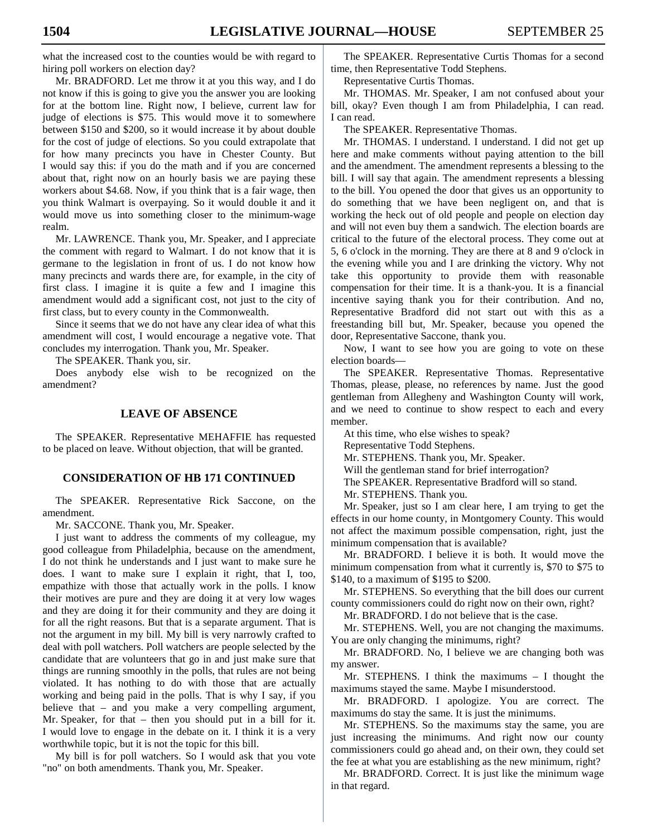what the increased cost to the counties would be with regard to hiring poll workers on election day?

 Mr. BRADFORD. Let me throw it at you this way, and I do not know if this is going to give you the answer you are looking for at the bottom line. Right now, I believe, current law for judge of elections is \$75. This would move it to somewhere between \$150 and \$200, so it would increase it by about double for the cost of judge of elections. So you could extrapolate that for how many precincts you have in Chester County. But I would say this: if you do the math and if you are concerned about that, right now on an hourly basis we are paying these workers about \$4.68. Now, if you think that is a fair wage, then you think Walmart is overpaying. So it would double it and it would move us into something closer to the minimum-wage realm.

 Mr. LAWRENCE. Thank you, Mr. Speaker, and I appreciate the comment with regard to Walmart. I do not know that it is germane to the legislation in front of us. I do not know how many precincts and wards there are, for example, in the city of first class. I imagine it is quite a few and I imagine this amendment would add a significant cost, not just to the city of first class, but to every county in the Commonwealth.

 Since it seems that we do not have any clear idea of what this amendment will cost, I would encourage a negative vote. That concludes my interrogation. Thank you, Mr. Speaker.

The SPEAKER. Thank you, sir.

 Does anybody else wish to be recognized on the amendment?

### **LEAVE OF ABSENCE**

 The SPEAKER. Representative MEHAFFIE has requested to be placed on leave. Without objection, that will be granted.

#### **CONSIDERATION OF HB 171 CONTINUED**

 The SPEAKER. Representative Rick Saccone, on the amendment.

Mr. SACCONE. Thank you, Mr. Speaker.

 I just want to address the comments of my colleague, my good colleague from Philadelphia, because on the amendment, I do not think he understands and I just want to make sure he does. I want to make sure I explain it right, that I, too, empathize with those that actually work in the polls. I know their motives are pure and they are doing it at very low wages and they are doing it for their community and they are doing it for all the right reasons. But that is a separate argument. That is not the argument in my bill. My bill is very narrowly crafted to deal with poll watchers. Poll watchers are people selected by the candidate that are volunteers that go in and just make sure that things are running smoothly in the polls, that rules are not being violated. It has nothing to do with those that are actually working and being paid in the polls. That is why I say, if you believe that – and you make a very compelling argument, Mr. Speaker, for that – then you should put in a bill for it. I would love to engage in the debate on it. I think it is a very worthwhile topic, but it is not the topic for this bill.

 My bill is for poll watchers. So I would ask that you vote "no" on both amendments. Thank you, Mr. Speaker.

 The SPEAKER. Representative Curtis Thomas for a second time, then Representative Todd Stephens.

Representative Curtis Thomas.

 Mr. THOMAS. Mr. Speaker, I am not confused about your bill, okay? Even though I am from Philadelphia, I can read. I can read.

The SPEAKER. Representative Thomas.

 Mr. THOMAS. I understand. I understand. I did not get up here and make comments without paying attention to the bill and the amendment. The amendment represents a blessing to the bill. I will say that again. The amendment represents a blessing to the bill. You opened the door that gives us an opportunity to do something that we have been negligent on, and that is working the heck out of old people and people on election day and will not even buy them a sandwich. The election boards are critical to the future of the electoral process. They come out at 5, 6 o'clock in the morning. They are there at 8 and 9 o'clock in the evening while you and I are drinking the victory. Why not take this opportunity to provide them with reasonable compensation for their time. It is a thank-you. It is a financial incentive saying thank you for their contribution. And no, Representative Bradford did not start out with this as a freestanding bill but, Mr. Speaker, because you opened the door, Representative Saccone, thank you.

 Now, I want to see how you are going to vote on these election boards—

 The SPEAKER. Representative Thomas. Representative Thomas, please, please, no references by name. Just the good gentleman from Allegheny and Washington County will work, and we need to continue to show respect to each and every member.

At this time, who else wishes to speak?

Representative Todd Stephens.

Mr. STEPHENS. Thank you, Mr. Speaker.

Will the gentleman stand for brief interrogation?

The SPEAKER. Representative Bradford will so stand.

Mr. STEPHENS. Thank you.

 Mr. Speaker, just so I am clear here, I am trying to get the effects in our home county, in Montgomery County. This would not affect the maximum possible compensation, right, just the minimum compensation that is available?

 Mr. BRADFORD. I believe it is both. It would move the minimum compensation from what it currently is, \$70 to \$75 to \$140, to a maximum of \$195 to \$200.

 Mr. STEPHENS. So everything that the bill does our current county commissioners could do right now on their own, right?

Mr. BRADFORD. I do not believe that is the case.

 Mr. STEPHENS. Well, you are not changing the maximums. You are only changing the minimums, right?

 Mr. BRADFORD. No, I believe we are changing both was my answer.

 Mr. STEPHENS. I think the maximums – I thought the maximums stayed the same. Maybe I misunderstood.

 Mr. BRADFORD. I apologize. You are correct. The maximums do stay the same. It is just the minimums.

 Mr. STEPHENS. So the maximums stay the same, you are just increasing the minimums. And right now our county commissioners could go ahead and, on their own, they could set the fee at what you are establishing as the new minimum, right?

 Mr. BRADFORD. Correct. It is just like the minimum wage in that regard.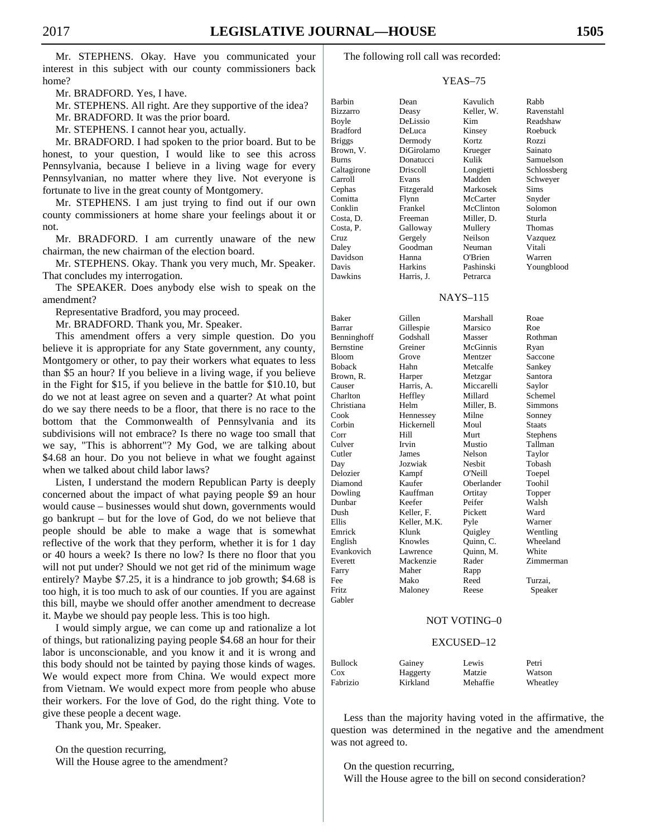Mr. STEPHENS. Okay. Have you communicated your interest in this subject with our county commissioners back home?

Mr. BRADFORD. Yes, I have.

Mr. STEPHENS. All right. Are they supportive of the idea?

Mr. BRADFORD. It was the prior board.

Mr. STEPHENS. I cannot hear you, actually.

 Mr. BRADFORD. I had spoken to the prior board. But to be honest, to your question, I would like to see this across Pennsylvania, because I believe in a living wage for every Pennsylvanian, no matter where they live. Not everyone is fortunate to live in the great county of Montgomery.

 Mr. STEPHENS. I am just trying to find out if our own county commissioners at home share your feelings about it or not.

 Mr. BRADFORD. I am currently unaware of the new chairman, the new chairman of the election board.

 Mr. STEPHENS. Okay. Thank you very much, Mr. Speaker. That concludes my interrogation.

 The SPEAKER. Does anybody else wish to speak on the amendment?

Representative Bradford, you may proceed.

Mr. BRADFORD. Thank you, Mr. Speaker.

 This amendment offers a very simple question. Do you believe it is appropriate for any State government, any county, Montgomery or other, to pay their workers what equates to less than \$5 an hour? If you believe in a living wage, if you believe in the Fight for \$15, if you believe in the battle for \$10.10, but do we not at least agree on seven and a quarter? At what point do we say there needs to be a floor, that there is no race to the bottom that the Commonwealth of Pennsylvania and its subdivisions will not embrace? Is there no wage too small that we say, "This is abhorrent"? My God, we are talking about \$4.68 an hour. Do you not believe in what we fought against when we talked about child labor laws?

 Listen, I understand the modern Republican Party is deeply concerned about the impact of what paying people \$9 an hour would cause – businesses would shut down, governments would go bankrupt – but for the love of God, do we not believe that people should be able to make a wage that is somewhat reflective of the work that they perform, whether it is for 1 day or 40 hours a week? Is there no low? Is there no floor that you will not put under? Should we not get rid of the minimum wage entirely? Maybe \$7.25, it is a hindrance to job growth; \$4.68 is too high, it is too much to ask of our counties. If you are against this bill, maybe we should offer another amendment to decrease it. Maybe we should pay people less. This is too high.

 I would simply argue, we can come up and rationalize a lot of things, but rationalizing paying people \$4.68 an hour for their labor is unconscionable, and you know it and it is wrong and this body should not be tainted by paying those kinds of wages. We would expect more from China. We would expect more from Vietnam. We would expect more from people who abuse their workers. For the love of God, do the right thing. Vote to give these people a decent wage.

Thank you, Mr. Speaker.

 On the question recurring, Will the House agree to the amendment? The following roll call was recorded:

## YEAS–75

| Barbin          | Dean       | Kavulich   | Rabb        |
|-----------------|------------|------------|-------------|
| <b>Bizzarro</b> | Deasy      | Keller, W. | Ravenstahl  |
| Boyle           | DeLissio   | Kim        | Readshaw    |
| <b>Bradford</b> | DeLuca     | Kinsey     | Roebuck     |
| <b>Briggs</b>   | Dermody    | Kortz      | Rozzi       |
| Brown, V.       | DiGirolamo | Krueger    | Sainato     |
| Burns           | Donatucci  | Kulik      | Samuelson   |
| Caltagirone     | Driscoll   | Longietti  | Schlossberg |
| Carroll         | Evans      | Madden     | Schweyer    |
| Cephas          | Fitzgerald | Markosek   | Sims        |
| Comitta         | Flynn      | McCarter   | Snyder      |
| Conklin         | Frankel    | McClinton  | Solomon     |
| Costa, D.       | Freeman    | Miller, D. | Sturla      |
| Costa, P.       | Galloway   | Mullery    | Thomas      |
| Cruz            | Gergely    | Neilson    | Vazquez     |
| Daley           | Goodman    | Neuman     | Vitali      |
| Davidson        | Hanna      | O'Brien    | Warren      |
| Davis           | Harkins    | Pashinski  | Youngblood  |
| Dawkins         | Harris, J. | Petrarca   |             |

#### NAYS–115

| <b>Baker</b>     | Gillen       | Marshall      | Roae          |
|------------------|--------------|---------------|---------------|
| Barrar           | Gillespie    | Marsico       | Roe           |
| Benninghoff      | Godshall     | Masser        | Rothman       |
| <b>Bernstine</b> | Greiner      | McGinnis      | Ryan          |
| <b>Bloom</b>     | Grove        | Mentzer       | Saccone       |
| <b>Boback</b>    | Hahn         | Metcalfe      | Sankey        |
| Brown, R.        | Harper       | Metzgar       | Santora       |
| Causer           | Harris, A.   | Miccarelli    | Saylor        |
| Charlton         | Heffley      | Millard       | Schemel       |
| Christiana       | Helm         | Miller, B.    | Simmons       |
| Cook             | Hennessey    | Milne         | Sonney        |
| Corbin           | Hickernell   | Moul          | <b>Staats</b> |
| Corr             | Hill         | Murt          | Stephens      |
| Culver           | Irvin        | Mustio        | Tallman       |
| Cutler           | James        | Nelson        | Taylor        |
| Day              | Jozwiak      | <b>Nesbit</b> | Tobash        |
| Delozier         | Kampf        | O'Neill       | Toepel        |
| Diamond          | Kaufer       | Oberlander    | Toohil        |
| Dowling          | Kauffman     | Ortitay       | Topper        |
| Dunbar           | Keefer       | Peifer        | Walsh         |
| Dush             | Keller, F.   | Pickett       | Ward          |
| Ellis            | Keller. M.K. | Pyle          | Warner        |
| Emrick           | Klunk        | Quigley       | Wentling      |
| English          | Knowles      | Quinn, C.     | Wheeland      |
| Evankovich       | Lawrence     | Quinn, M.     | White         |
| Everett          | Mackenzie    | Rader         | Zimmerman     |
| Farry            | Maher        | Rapp          |               |
| Fee              | Mako         | Reed          | Turzai.       |
| <b>Fritz</b>     | Maloney      | Reese         | Speaker       |
| Gabler           |              |               |               |

#### NOT VOTING–0

#### EXCUSED–12

| <b>Bullock</b> | Gainey   | Lewis    | Petri    |
|----------------|----------|----------|----------|
| Cox            | Haggerty | Matzie   | Watson   |
| Fabrizio       | Kirkland | Mehaffie | Wheatley |

 Less than the majority having voted in the affirmative, the question was determined in the negative and the amendment was not agreed to.

 On the question recurring, Will the House agree to the bill on second consideration?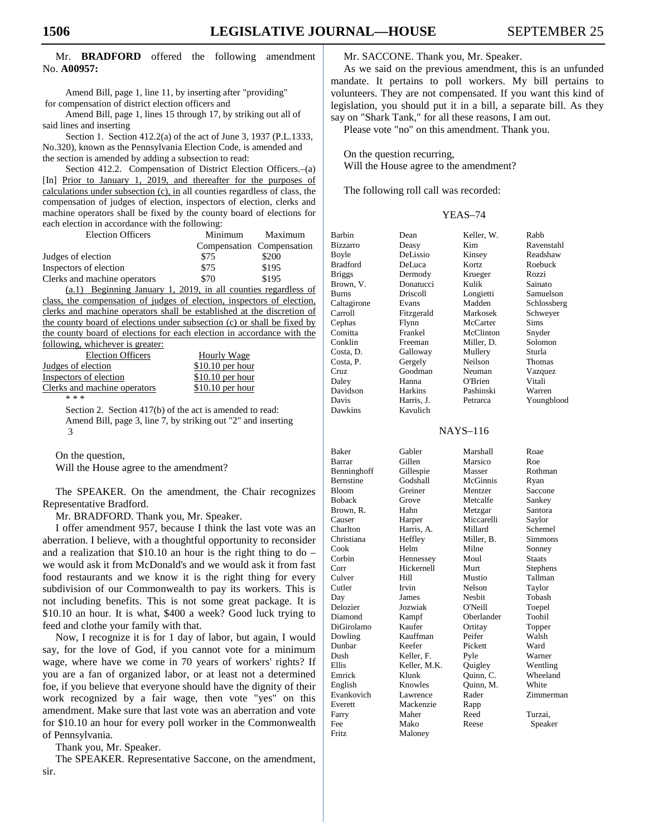## Mr. **BRADFORD** offered the following amendment No. **A00957:**

Amend Bill, page 1, line 11, by inserting after "providing" for compensation of district election officers and

Amend Bill, page 1, lines 15 through 17, by striking out all of said lines and inserting

Section 1. Section 412.2(a) of the act of June 3, 1937 (P.L.1333, No.320), known as the Pennsylvania Election Code, is amended and the section is amended by adding a subsection to read:

Section 412.2. Compensation of District Election Officers.–(a) [In] Prior to January 1, 2019, and thereafter for the purposes of calculations under subsection (c), in all counties regardless of class, the compensation of judges of election, inspectors of election, clerks and machine operators shall be fixed by the county board of elections for each election in accordance with the following:

| <b>Election Officers</b>     | Minimum | Maximum                   |
|------------------------------|---------|---------------------------|
|                              |         | Compensation Compensation |
| Judges of election           | \$75    | \$200                     |
| Inspectors of election       | \$75    | \$195                     |
| Clerks and machine operators | \$70    | \$195                     |

(a.1) Beginning January 1, 2019, in all counties regardless of class, the compensation of judges of election, inspectors of election, clerks and machine operators shall be established at the discretion of the county board of elections under subsection (c) or shall be fixed by the county board of elections for each election in accordance with the following, whichever is greater:

| <b>Election Officers</b>     | <b>Hourly Wage</b> |
|------------------------------|--------------------|
| Judges of election           | $$10.10$ per hour  |
| Inspectors of election       | $$10.10$ per hour  |
| Clerks and machine operators | $$10.10$ per hour  |
| * * *                        |                    |

Section 2. Section 417(b) of the act is amended to read: Amend Bill, page 3, line 7, by striking out "2" and inserting 3

On the question,

Will the House agree to the amendment?

 The SPEAKER. On the amendment, the Chair recognizes Representative Bradford.

Mr. BRADFORD. Thank you, Mr. Speaker.

 I offer amendment 957, because I think the last vote was an aberration. I believe, with a thoughtful opportunity to reconsider and a realization that  $$10.10$  an hour is the right thing to do – we would ask it from McDonald's and we would ask it from fast food restaurants and we know it is the right thing for every subdivision of our Commonwealth to pay its workers. This is not including benefits. This is not some great package. It is \$10.10 an hour. It is what, \$400 a week? Good luck trying to feed and clothe your family with that.

 Now, I recognize it is for 1 day of labor, but again, I would say, for the love of God, if you cannot vote for a minimum wage, where have we come in 70 years of workers' rights? If you are a fan of organized labor, or at least not a determined foe, if you believe that everyone should have the dignity of their work recognized by a fair wage, then vote "yes" on this amendment. Make sure that last vote was an aberration and vote for \$10.10 an hour for every poll worker in the Commonwealth of Pennsylvania.

Thank you, Mr. Speaker.

 The SPEAKER. Representative Saccone, on the amendment, sir.

Mr. SACCONE. Thank you, Mr. Speaker.

 As we said on the previous amendment, this is an unfunded mandate. It pertains to poll workers. My bill pertains to volunteers. They are not compensated. If you want this kind of legislation, you should put it in a bill, a separate bill. As they say on "Shark Tank," for all these reasons, I am out.

Please vote "no" on this amendment. Thank you.

 On the question recurring, Will the House agree to the amendment?

The following roll call was recorded:

#### YEAS–74

| Barbin          | Dean           | Keller, W. | Rabb        |
|-----------------|----------------|------------|-------------|
| Bizzarro        | Deasy          | Kim        | Ravenstahl  |
| Boyle           | DeLissio       | Kinsey     | Readshaw    |
| <b>Bradford</b> | DeLuca         | Kortz      | Roebuck     |
| <b>Briggs</b>   | Dermody        | Krueger    | Rozzi       |
| Brown, V.       | Donatucci      | Kulik      | Sainato     |
| Burns           | Driscoll       | Longietti  | Samuelson   |
| Caltagirone     | Evans          | Madden     | Schlossberg |
| Carroll         | Fitzgerald     | Markosek   | Schweyer    |
| Cephas          | Flynn          | McCarter   | Sims        |
| Comitta         | Frankel        | McClinton  | Snyder      |
| Conklin         | Freeman        | Miller, D. | Solomon     |
| Costa, D.       | Galloway       | Mullery    | Sturla      |
| Costa, P.       | Gergely        | Neilson    | Thomas      |
| Cruz.           | Goodman        | Neuman     | Vazquez     |
| Daley           | Hanna          | O'Brien    | Vitali      |
| Davidson        | <b>Harkins</b> | Pashinski  | Warren      |
| Davis           | Harris, J.     | Petrarca   | Youngblood  |
| Dawkine         | Kavulich       |            |             |

# NAYS–116

| Baker            | Gabler       | Marshall      | Roae          |
|------------------|--------------|---------------|---------------|
| <b>Barrar</b>    | Gillen       | Marsico       | Roe           |
| Benninghoff      | Gillespie    | Masser        | Rothman       |
| <b>Bernstine</b> | Godshall     | McGinnis      | Ryan          |
| Bloom            | Greiner      | Mentzer       | Saccone       |
| <b>Boback</b>    | Grove        | Metcalfe      | Sankey        |
| Brown, R.        | Hahn         | Metzgar       | Santora       |
| Causer           | Harper       | Miccarelli    | Saylor        |
| Charlton         | Harris, A.   | Millard       | Schemel       |
| Christiana       | Heffley      | Miller, B.    | Simmons       |
| Cook             | Helm         | Milne         | Sonney        |
| Corbin           | Hennessey    | Moul          | <b>Staats</b> |
| Corr             | Hickernell   | Murt          | Stephens      |
| Culver           | Hill         | Mustio        | Tallman       |
| Cutler           | Irvin        | Nelson        | Taylor        |
| Day              | James        | <b>Nesbit</b> | Tobash        |
| Delozier         | Jozwiak      | O'Neill       | Toepel        |
| Diamond          | Kampf        | Oberlander    | Toohil        |
| DiGirolamo       | Kaufer       | Ortitay       | Topper        |
| Dowling          | Kauffman     | Peifer        | Walsh         |
| Dunbar           | Keefer       | Pickett       | Ward          |
| Dush             | Keller, F.   | Pyle          | Warner        |
| Ellis            | Keller, M.K. | Quigley       | Wentling      |
| Emrick           | Klunk        | Quinn, C.     | Wheeland      |
| English          | Knowles      | Quinn, M.     | White         |
| Evankovich       | Lawrence     | Rader         | Zimmerman     |
| Everett          | Mackenzie    | Rapp          |               |
| Farry            | Maher        | Reed          | Turzai,       |
| Fee              | Mako         | Reese         | Speaker       |
| Fritz            | Maloney      |               |               |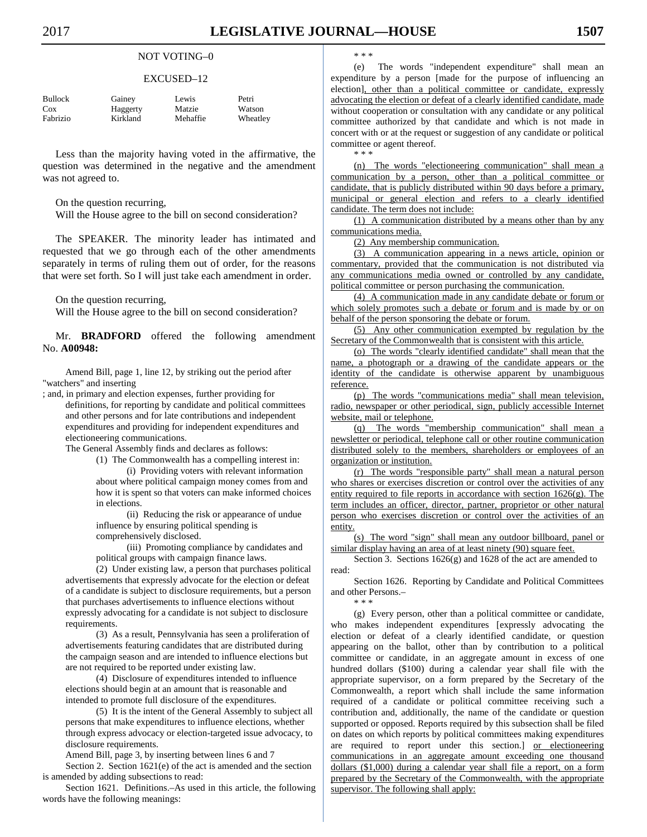#### NOT VOTING–0

#### EXCUSED–12

| Bullock  | Gainey   | Lewis    | Petri    |
|----------|----------|----------|----------|
| Cox      | Haggerty | Matzie   | Watson   |
| Fabrizio | Kirkland | Mehaffie | Wheatley |

 Less than the majority having voted in the affirmative, the question was determined in the negative and the amendment was not agreed to.

On the question recurring,

Will the House agree to the bill on second consideration?

 The SPEAKER. The minority leader has intimated and requested that we go through each of the other amendments separately in terms of ruling them out of order, for the reasons that were set forth. So I will just take each amendment in order.

On the question recurring,

Will the House agree to the bill on second consideration?

 Mr. **BRADFORD** offered the following amendment No. **A00948:** 

Amend Bill, page 1, line 12, by striking out the period after "watchers" and inserting

; and, in primary and election expenses, further providing for definitions, for reporting by candidate and political committees and other persons and for late contributions and independent expenditures and providing for independent expenditures and electioneering communications.

The General Assembly finds and declares as follows:

(1) The Commonwealth has a compelling interest in: (i) Providing voters with relevant information about where political campaign money comes from and how it is spent so that voters can make informed choices in elections.

(ii) Reducing the risk or appearance of undue influence by ensuring political spending is comprehensively disclosed.

(iii) Promoting compliance by candidates and political groups with campaign finance laws.

(2) Under existing law, a person that purchases political advertisements that expressly advocate for the election or defeat of a candidate is subject to disclosure requirements, but a person that purchases advertisements to influence elections without expressly advocating for a candidate is not subject to disclosure requirements.

(3) As a result, Pennsylvania has seen a proliferation of advertisements featuring candidates that are distributed during the campaign season and are intended to influence elections but are not required to be reported under existing law.

(4) Disclosure of expenditures intended to influence elections should begin at an amount that is reasonable and intended to promote full disclosure of the expenditures.

(5) It is the intent of the General Assembly to subject all persons that make expenditures to influence elections, whether through express advocacy or election-targeted issue advocacy, to disclosure requirements.

Amend Bill, page 3, by inserting between lines 6 and 7 Section 2. Section 1621(e) of the act is amended and the section is amended by adding subsections to read:

Section 1621. Definitions.–As used in this article, the following words have the following meanings:

\* \* \*

\* \* \*

(e) The words "independent expenditure" shall mean an expenditure by a person [made for the purpose of influencing an election], other than a political committee or candidate, expressly advocating the election or defeat of a clearly identified candidate, made without cooperation or consultation with any candidate or any political committee authorized by that candidate and which is not made in concert with or at the request or suggestion of any candidate or political committee or agent thereof.

(n) The words "electioneering communication" shall mean a communication by a person, other than a political committee or candidate, that is publicly distributed within 90 days before a primary, municipal or general election and refers to a clearly identified candidate. The term does not include:

(1) A communication distributed by a means other than by any communications media.

(2) Any membership communication.

(3) A communication appearing in a news article, opinion or commentary, provided that the communication is not distributed via any communications media owned or controlled by any candidate, political committee or person purchasing the communication.

(4) A communication made in any candidate debate or forum or which solely promotes such a debate or forum and is made by or on behalf of the person sponsoring the debate or forum.

(5) Any other communication exempted by regulation by the Secretary of the Commonwealth that is consistent with this article.

(o) The words "clearly identified candidate" shall mean that the name, a photograph or a drawing of the candidate appears or the identity of the candidate is otherwise apparent by unambiguous reference.

(p) The words "communications media" shall mean television, radio, newspaper or other periodical, sign, publicly accessible Internet website, mail or telephone.

(q) The words "membership communication" shall mean a newsletter or periodical, telephone call or other routine communication distributed solely to the members, shareholders or employees of an organization or institution.

(r) The words "responsible party" shall mean a natural person who shares or exercises discretion or control over the activities of any entity required to file reports in accordance with section 1626(g). The term includes an officer, director, partner, proprietor or other natural person who exercises discretion or control over the activities of an entity.

(s) The word "sign" shall mean any outdoor billboard, panel or similar display having an area of at least ninety (90) square feet.

Section 3. Sections  $1626(g)$  and  $1628$  of the act are amended to read:

Section 1626. Reporting by Candidate and Political Committees and other Persons.– \* \* \*

(g) Every person, other than a political committee or candidate, who makes independent expenditures [expressly advocating the election or defeat of a clearly identified candidate, or question appearing on the ballot, other than by contribution to a political committee or candidate, in an aggregate amount in excess of one hundred dollars (\$100) during a calendar year shall file with the appropriate supervisor, on a form prepared by the Secretary of the Commonwealth, a report which shall include the same information required of a candidate or political committee receiving such a contribution and, additionally, the name of the candidate or question supported or opposed. Reports required by this subsection shall be filed on dates on which reports by political committees making expenditures are required to report under this section.] or electioneering communications in an aggregate amount exceeding one thousand dollars (\$1,000) during a calendar year shall file a report, on a form prepared by the Secretary of the Commonwealth, with the appropriate supervisor. The following shall apply: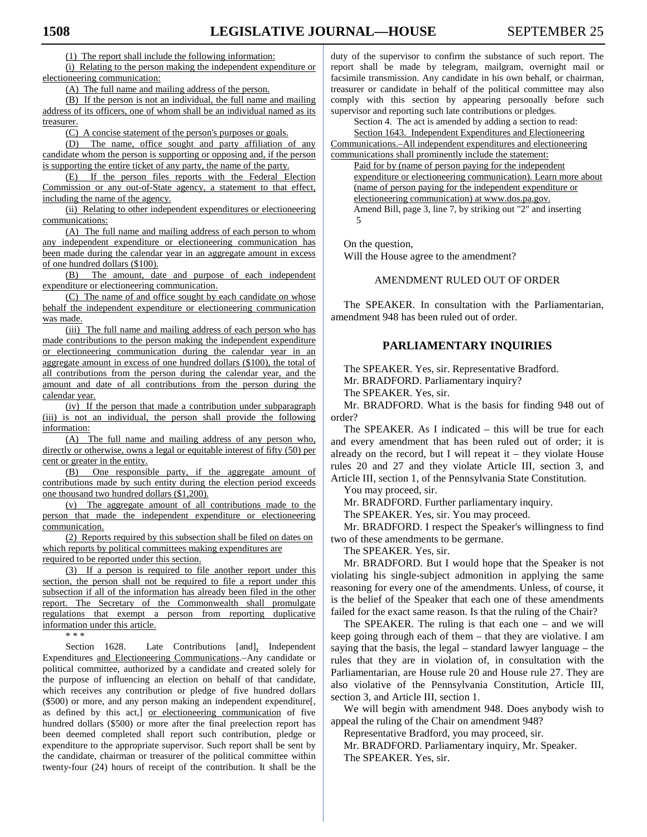(1) The report shall include the following information:

(i) Relating to the person making the independent expenditure or electioneering communication:

(A) The full name and mailing address of the person.

(B) If the person is not an individual, the full name and mailing address of its officers, one of whom shall be an individual named as its treasurer.

(C) A concise statement of the person's purposes or goals.

(D) The name, office sought and party affiliation of any candidate whom the person is supporting or opposing and, if the person is supporting the entire ticket of any party, the name of the party.

(E) If the person files reports with the Federal Election Commission or any out-of-State agency, a statement to that effect, including the name of the agency.

(ii) Relating to other independent expenditures or electioneering communications:

(A) The full name and mailing address of each person to whom any independent expenditure or electioneering communication has been made during the calendar year in an aggregate amount in excess of one hundred dollars (\$100).

(B) The amount, date and purpose of each independent expenditure or electioneering communication.

(C) The name of and office sought by each candidate on whose behalf the independent expenditure or electioneering communication was made.

(iii) The full name and mailing address of each person who has made contributions to the person making the independent expenditure or electioneering communication during the calendar year in an aggregate amount in excess of one hundred dollars (\$100), the total of all contributions from the person during the calendar year, and the amount and date of all contributions from the person during the calendar year.

(iv) If the person that made a contribution under subparagraph (iii) is not an individual, the person shall provide the following information:

(A) The full name and mailing address of any person who, directly or otherwise, owns a legal or equitable interest of fifty (50) per cent or greater in the entity.

(B) One responsible party, if the aggregate amount of contributions made by such entity during the election period exceeds one thousand two hundred dollars (\$1,200).

(v) The aggregate amount of all contributions made to the person that made the independent expenditure or electioneering communication.

(2) Reports required by this subsection shall be filed on dates on which reports by political committees making expenditures are required to be reported under this section.

(3) If a person is required to file another report under this section, the person shall not be required to file a report under this subsection if all of the information has already been filed in the other report. The Secretary of the Commonwealth shall promulgate regulations that exempt a person from reporting duplicative information under this article.

\* \* \*

Section 1628. Late Contributions [and], Independent Expenditures and Electioneering Communications.–Any candidate or political committee, authorized by a candidate and created solely for the purpose of influencing an election on behalf of that candidate, which receives any contribution or pledge of five hundred dollars (\$500) or more, and any person making an independent expenditure[, as defined by this act,] or electioneering communication of five hundred dollars (\$500) or more after the final preelection report has been deemed completed shall report such contribution, pledge or expenditure to the appropriate supervisor. Such report shall be sent by the candidate, chairman or treasurer of the political committee within twenty-four (24) hours of receipt of the contribution. It shall be the duty of the supervisor to confirm the substance of such report. The report shall be made by telegram, mailgram, overnight mail or facsimile transmission. Any candidate in his own behalf, or chairman, treasurer or candidate in behalf of the political committee may also comply with this section by appearing personally before such supervisor and reporting such late contributions or pledges.

Section 4. The act is amended by adding a section to read: Section 1643. Independent Expenditures and Electioneering

Communications.–All independent expenditures and electioneering communications shall prominently include the statement:

Paid for by (name of person paying for the independent expenditure or electioneering communication). Learn more about (name of person paying for the independent expenditure or electioneering communication) at www.dos.pa.gov. Amend Bill, page 3, line 7, by striking out "2" and inserting 5

On the question,

Will the House agree to the amendment?

AMENDMENT RULED OUT OF ORDER

 The SPEAKER. In consultation with the Parliamentarian, amendment 948 has been ruled out of order.

# **PARLIAMENTARY INQUIRIES**

 The SPEAKER. Yes, sir. Representative Bradford. Mr. BRADFORD. Parliamentary inquiry?

The SPEAKER. Yes, sir.

 Mr. BRADFORD. What is the basis for finding 948 out of order?

 The SPEAKER. As I indicated – this will be true for each and every amendment that has been ruled out of order; it is already on the record, but I will repeat it  $-$  they violate House rules 20 and 27 and they violate Article III, section 3, and Article III, section 1, of the Pennsylvania State Constitution.

You may proceed, sir.

Mr. BRADFORD. Further parliamentary inquiry.

The SPEAKER. Yes, sir. You may proceed.

 Mr. BRADFORD. I respect the Speaker's willingness to find two of these amendments to be germane.

The SPEAKER. Yes, sir.

 Mr. BRADFORD. But I would hope that the Speaker is not violating his single-subject admonition in applying the same reasoning for every one of the amendments. Unless, of course, it is the belief of the Speaker that each one of these amendments failed for the exact same reason. Is that the ruling of the Chair?

 The SPEAKER. The ruling is that each one – and we will keep going through each of them – that they are violative. I am saying that the basis, the legal – standard lawyer language – the rules that they are in violation of, in consultation with the Parliamentarian, are House rule 20 and House rule 27. They are also violative of the Pennsylvania Constitution, Article III, section 3, and Article III, section 1.

 We will begin with amendment 948. Does anybody wish to appeal the ruling of the Chair on amendment 948?

Representative Bradford, you may proceed, sir.

 Mr. BRADFORD. Parliamentary inquiry, Mr. Speaker. The SPEAKER. Yes, sir.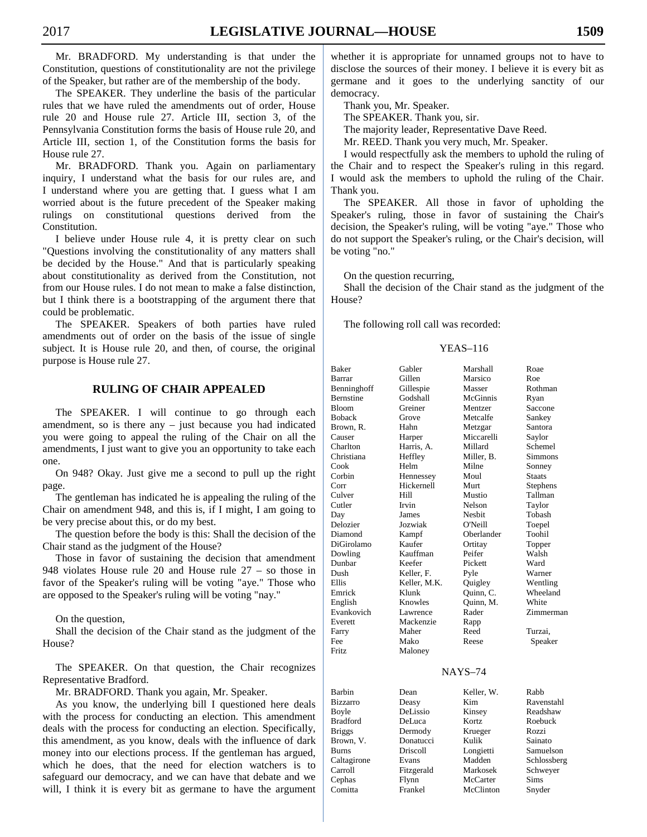Mr. BRADFORD. My understanding is that under the Constitution, questions of constitutionality are not the privilege of the Speaker, but rather are of the membership of the body.

 The SPEAKER. They underline the basis of the particular rules that we have ruled the amendments out of order, House rule 20 and House rule 27. Article III, section 3, of the Pennsylvania Constitution forms the basis of House rule 20, and Article III, section 1, of the Constitution forms the basis for House rule 27.

 Mr. BRADFORD. Thank you. Again on parliamentary inquiry, I understand what the basis for our rules are, and I understand where you are getting that. I guess what I am worried about is the future precedent of the Speaker making rulings on constitutional questions derived from the Constitution.

 I believe under House rule 4, it is pretty clear on such "Questions involving the constitutionality of any matters shall be decided by the House." And that is particularly speaking about constitutionality as derived from the Constitution, not from our House rules. I do not mean to make a false distinction, but I think there is a bootstrapping of the argument there that could be problematic.

 The SPEAKER. Speakers of both parties have ruled amendments out of order on the basis of the issue of single subject. It is House rule 20, and then, of course, the original purpose is House rule 27.

# **RULING OF CHAIR APPEALED**

 The SPEAKER. I will continue to go through each amendment, so is there any – just because you had indicated you were going to appeal the ruling of the Chair on all the amendments, I just want to give you an opportunity to take each one.

 On 948? Okay. Just give me a second to pull up the right page.

 The gentleman has indicated he is appealing the ruling of the Chair on amendment 948, and this is, if I might, I am going to be very precise about this, or do my best.

 The question before the body is this: Shall the decision of the Chair stand as the judgment of the House?

 Those in favor of sustaining the decision that amendment 948 violates House rule 20 and House rule 27 – so those in favor of the Speaker's ruling will be voting "aye." Those who are opposed to the Speaker's ruling will be voting "nay."

On the question,

 Shall the decision of the Chair stand as the judgment of the House?

 The SPEAKER. On that question, the Chair recognizes Representative Bradford.

Mr. BRADFORD. Thank you again, Mr. Speaker.

 As you know, the underlying bill I questioned here deals with the process for conducting an election. This amendment deals with the process for conducting an election. Specifically, this amendment, as you know, deals with the influence of dark money into our elections process. If the gentleman has argued, which he does, that the need for election watchers is to safeguard our democracy, and we can have that debate and we will, I think it is every bit as germane to have the argument whether it is appropriate for unnamed groups not to have to disclose the sources of their money. I believe it is every bit as germane and it goes to the underlying sanctity of our democracy.

Thank you, Mr. Speaker.

The SPEAKER. Thank you, sir.

The majority leader, Representative Dave Reed.

Mr. REED. Thank you very much, Mr. Speaker.

 I would respectfully ask the members to uphold the ruling of the Chair and to respect the Speaker's ruling in this regard. I would ask the members to uphold the ruling of the Chair. Thank you.

 The SPEAKER. All those in favor of upholding the Speaker's ruling, those in favor of sustaining the Chair's decision, the Speaker's ruling, will be voting "aye." Those who do not support the Speaker's ruling, or the Chair's decision, will be voting "no."

On the question recurring,

 Shall the decision of the Chair stand as the judgment of the House?

The following roll call was recorded:

#### YEAS–116

| <b>Baker</b>     | Gabler       | Marshall      | Roae          |
|------------------|--------------|---------------|---------------|
| Barrar           | Gillen       | Marsico       | Roe           |
| Benninghoff      | Gillespie    | Masser        | Rothman       |
| <b>Bernstine</b> | Godshall     | McGinnis      | Ryan          |
| <b>Bloom</b>     | Greiner      | Mentzer       | Saccone       |
| <b>Boback</b>    | Grove        | Metcalfe      | Sankey        |
| Brown, R.        | Hahn         | Metzgar       | Santora       |
| Causer           | Harper       | Miccarelli    | Saylor        |
| Charlton         | Harris, A.   | Millard       | Schemel       |
| Christiana       | Heffley      | Miller, B.    | Simmons       |
| Cook             | Helm         | Milne         | Sonney        |
| Corbin           | Hennessey    | Moul          | <b>Staats</b> |
| Corr             | Hickernell   | Murt          | Stephens      |
| Culver           | Hill         | Mustio        | Tallman       |
| Cutler           | Irvin        | Nelson        | Taylor        |
| Day              | James        | <b>Nesbit</b> | Tobash        |
| Delozier         | Jozwiak      | O'Neill       | Toepel        |
| Diamond          | Kampf        | Oberlander    | Toohil        |
| DiGirolamo       | Kaufer       | Ortitay       | Topper        |
| Dowling          | Kauffman     | Peifer        | Walsh         |
| Dunbar           | Keefer       | Pickett       | Ward          |
| Dush             | Keller, F.   | Pyle          | Warner        |
| Ellis            | Keller, M.K. | Quigley       | Wentling      |
| Emrick           | Klunk        | Ouinn, C.     | Wheeland      |
| English          | Knowles      | Ouinn, M.     | White         |
| Evankovich       | Lawrence     | Rader         | Zimmerman     |
| Everett          | Mackenzie    | Rapp          |               |
| Farry            | Maher        | Reed          | Turzai,       |
| Fee              | Mako         | Reese         | Speaker       |
| <b>Fritz</b>     | Maloney      |               |               |

#### NAYS–74

| Barbin          | Dean       | Keller, W. | Rabb        |
|-----------------|------------|------------|-------------|
| Bizzarro        | Deasy      | Kim        | Ravenstahl  |
| Boyle           | DeLissio   | Kinsey     | Readshaw    |
| <b>Bradford</b> | DeLuca     | Kortz      | Roebuck     |
| <b>Briggs</b>   | Dermody    | Krueger    | Rozzi       |
| Brown, V.       | Donatucci  | Kulik      | Sainato     |
| <b>Burns</b>    | Driscoll   | Longietti  | Samuelson   |
| Caltagirone     | Evans      | Madden     | Schlossberg |
| Carroll         | Fitzgerald | Markosek   | Schwever    |
| Cephas          | Flynn      | McCarter   | <b>Sims</b> |
| Comitta         | Frankel    | McClinton  | Snyder      |
|                 |            |            |             |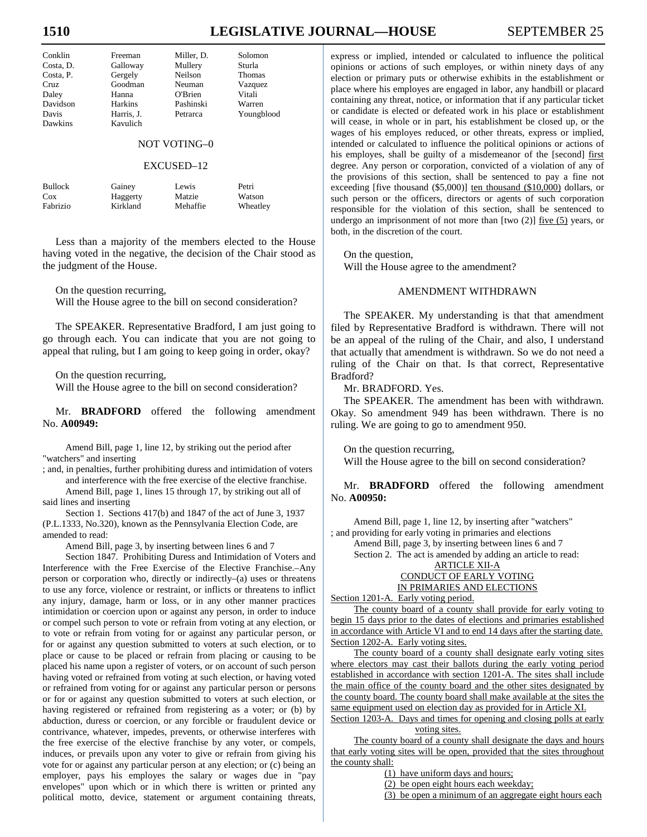# 1510 **LEGISLATIVE JOURNAL—HOUSE** SEPTEMBER 25

| Conklin   | Freeman    | Miller. D. | Solomon       |
|-----------|------------|------------|---------------|
| Costa, D. | Galloway   | Mullery    | Sturla        |
| Costa, P. | Gergely    | Neilson    | <b>Thomas</b> |
| Cruz.     | Goodman    | Neuman     | Vazquez       |
| Daley     | Hanna      | O'Brien    | Vitali        |
| Davidson  | Harkins    | Pashinski  | Warren        |
| Davis     | Harris, J. | Petrarca   | Youngblood    |
| Dawkins   | Kavulich   |            |               |

# NOT VOTING–0

# EXCUSED–12

| <b>Bullock</b> | Gainey   | Lewis    | Petri    |
|----------------|----------|----------|----------|
| Cox            | Haggerty | Matzie   | Watson   |
| Fabrizio       | Kirkland | Mehaffie | Wheatley |

 Less than a majority of the members elected to the House having voted in the negative, the decision of the Chair stood as the judgment of the House.

On the question recurring,

Will the House agree to the bill on second consideration?

 The SPEAKER. Representative Bradford, I am just going to go through each. You can indicate that you are not going to appeal that ruling, but I am going to keep going in order, okay?

On the question recurring,

Will the House agree to the bill on second consideration?

 Mr. **BRADFORD** offered the following amendment No. **A00949:** 

Amend Bill, page 1, line 12, by striking out the period after "watchers" and inserting

; and, in penalties, further prohibiting duress and intimidation of voters and interference with the free exercise of the elective franchise.

Amend Bill, page 1, lines 15 through 17, by striking out all of said lines and inserting

Section 1. Sections 417(b) and 1847 of the act of June 3, 1937 (P.L.1333, No.320), known as the Pennsylvania Election Code, are amended to read:

Amend Bill, page 3, by inserting between lines 6 and 7

Section 1847. Prohibiting Duress and Intimidation of Voters and Interference with the Free Exercise of the Elective Franchise.–Any person or corporation who, directly or indirectly–(a) uses or threatens to use any force, violence or restraint, or inflicts or threatens to inflict any injury, damage, harm or loss, or in any other manner practices intimidation or coercion upon or against any person, in order to induce or compel such person to vote or refrain from voting at any election, or to vote or refrain from voting for or against any particular person, or for or against any question submitted to voters at such election, or to place or cause to be placed or refrain from placing or causing to be placed his name upon a register of voters, or on account of such person having voted or refrained from voting at such election, or having voted or refrained from voting for or against any particular person or persons or for or against any question submitted to voters at such election, or having registered or refrained from registering as a voter; or (b) by abduction, duress or coercion, or any forcible or fraudulent device or contrivance, whatever, impedes, prevents, or otherwise interferes with the free exercise of the elective franchise by any voter, or compels, induces, or prevails upon any voter to give or refrain from giving his vote for or against any particular person at any election; or (c) being an employer, pays his employes the salary or wages due in "pay envelopes" upon which or in which there is written or printed any political motto, device, statement or argument containing threats, express or implied, intended or calculated to influence the political opinions or actions of such employes, or within ninety days of any election or primary puts or otherwise exhibits in the establishment or place where his employes are engaged in labor, any handbill or placard containing any threat, notice, or information that if any particular ticket or candidate is elected or defeated work in his place or establishment will cease, in whole or in part, his establishment be closed up, or the wages of his employes reduced, or other threats, express or implied, intended or calculated to influence the political opinions or actions of his employes, shall be guilty of a misdemeanor of the [second] first degree. Any person or corporation, convicted of a violation of any of the provisions of this section, shall be sentenced to pay a fine not exceeding [five thousand (\$5,000)] ten thousand (\$10,000) dollars, or such person or the officers, directors or agents of such corporation responsible for the violation of this section, shall be sentenced to undergo an imprisonment of not more than [two  $(2)$ ] five  $(5)$  years, or both, in the discretion of the court.

 On the question, Will the House agree to the amendment?

# AMENDMENT WITHDRAWN

 The SPEAKER. My understanding is that that amendment filed by Representative Bradford is withdrawn. There will not be an appeal of the ruling of the Chair, and also, I understand that actually that amendment is withdrawn. So we do not need a ruling of the Chair on that. Is that correct, Representative Bradford?

Mr. BRADFORD. Yes.

 The SPEAKER. The amendment has been with withdrawn. Okay. So amendment 949 has been withdrawn. There is no ruling. We are going to go to amendment 950.

On the question recurring,

Will the House agree to the bill on second consideration?

 Mr. **BRADFORD** offered the following amendment No. **A00950:** 

Amend Bill, page 1, line 12, by inserting after "watchers" ; and providing for early voting in primaries and elections

Amend Bill, page 3, by inserting between lines 6 and 7 Section 2. The act is amended by adding an article to read: ARTICLE XII-A

#### CONDUCT OF EARLY VOTING IN PRIMARIES AND ELECTIONS

Section 1201-A. Early voting period.

The county board of a county shall provide for early voting to begin 15 days prior to the dates of elections and primaries established in accordance with Article VI and to end 14 days after the starting date. Section 1202-A. Early voting sites.

The county board of a county shall designate early voting sites where electors may cast their ballots during the early voting period established in accordance with section 1201-A. The sites shall include the main office of the county board and the other sites designated by the county board. The county board shall make available at the sites the same equipment used on election day as provided for in Article XI.

Section 1203-A. Days and times for opening and closing polls at early voting sites.

The county board of a county shall designate the days and hours that early voting sites will be open, provided that the sites throughout the county shall:

(1) have uniform days and hours;

(2) be open eight hours each weekday;

(3) be open a minimum of an aggregate eight hours each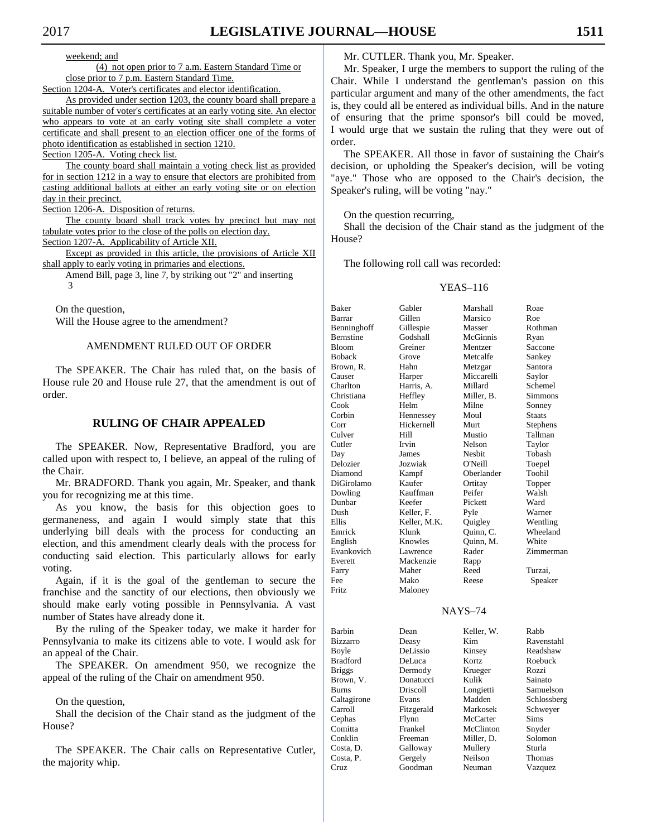weekend; and

(4) not open prior to 7 a.m. Eastern Standard Time or close prior to 7 p.m. Eastern Standard Time.

Section 1204-A. Voter's certificates and elector identification.

As provided under section 1203, the county board shall prepare a suitable number of voter's certificates at an early voting site. An elector who appears to vote at an early voting site shall complete a voter certificate and shall present to an election officer one of the forms of photo identification as established in section 1210.

Section 1205-A. Voting check list.

The county board shall maintain a voting check list as provided for in section 1212 in a way to ensure that electors are prohibited from casting additional ballots at either an early voting site or on election day in their precinct.

Section 1206-A. Disposition of returns.

The county board shall track votes by precinct but may not tabulate votes prior to the close of the polls on election day. Section 1207-A. Applicability of Article XII.

Except as provided in this article, the provisions of Article XII

shall apply to early voting in primaries and elections.

Amend Bill, page 3, line 7, by striking out "2" and inserting 3

 On the question, Will the House agree to the amendment?

# AMENDMENT RULED OUT OF ORDER

 The SPEAKER. The Chair has ruled that, on the basis of House rule 20 and House rule 27, that the amendment is out of order.

# **RULING OF CHAIR APPEALED**

 The SPEAKER. Now, Representative Bradford, you are called upon with respect to, I believe, an appeal of the ruling of the Chair.

 Mr. BRADFORD. Thank you again, Mr. Speaker, and thank you for recognizing me at this time.

 As you know, the basis for this objection goes to germaneness, and again I would simply state that this underlying bill deals with the process for conducting an election, and this amendment clearly deals with the process for conducting said election. This particularly allows for early voting.

 Again, if it is the goal of the gentleman to secure the franchise and the sanctity of our elections, then obviously we should make early voting possible in Pennsylvania. A vast number of States have already done it.

 By the ruling of the Speaker today, we make it harder for Pennsylvania to make its citizens able to vote. I would ask for an appeal of the Chair.

 The SPEAKER. On amendment 950, we recognize the appeal of the ruling of the Chair on amendment 950.

#### On the question,

 Shall the decision of the Chair stand as the judgment of the House?

 The SPEAKER. The Chair calls on Representative Cutler, the majority whip.

Mr. CUTLER. Thank you, Mr. Speaker.

 Mr. Speaker, I urge the members to support the ruling of the Chair. While I understand the gentleman's passion on this particular argument and many of the other amendments, the fact is, they could all be entered as individual bills. And in the nature of ensuring that the prime sponsor's bill could be moved, I would urge that we sustain the ruling that they were out of order.

 The SPEAKER. All those in favor of sustaining the Chair's decision, or upholding the Speaker's decision, will be voting "aye." Those who are opposed to the Chair's decision, the Speaker's ruling, will be voting "nay."

On the question recurring,

 Shall the decision of the Chair stand as the judgment of the House?

The following roll call was recorded:

#### YEAS–116

| Baker           | Gabler              | Marshall   | Roae             |
|-----------------|---------------------|------------|------------------|
| Barrar          | Gillen              | Marsico    | Roe              |
| Benninghoff     | Gillespie           | Masser     | Rothman          |
| Bernstine       | Godshall            | McGinnis   | Ryan             |
| <b>Bloom</b>    | Greiner             | Mentzer    | Saccone          |
| <b>Boback</b>   | Grove               | Metcalfe   | Sankey           |
| Brown, R.       | Hahn                | Metzgar    | Santora          |
| Causer          | Harper              | Miccarelli | Saylor           |
| Charlton        | Harris, A.          | Millard    | Schemel          |
| Christiana      | Heffley             | Miller, B. | Simmons          |
| Cook            | Helm                | Milne      | Sonney           |
| Corbin          | Hennessey           | Moul       | Staats           |
| Corr            | Hickernell          | Murt       | Stephens         |
| Culver          | Hill                | Mustio     | Tallman          |
|                 |                     | Nelson     |                  |
| Cutler          | Irvin               |            | Taylor           |
| Day             | James               | Nesbit     | Tobash           |
| Delozier        | Jozwiak             | O'Neill    | Toepel           |
| Diamond         | Kampf               | Oberlander | Toohil           |
| DiGirolamo      | Kaufer              | Ortitay    | Topper           |
| Dowling         | Kauffman            | Peifer     | Walsh            |
| Dunbar          | Keefer              | Pickett    | Ward             |
| Dush            | Keller, F.          | Pyle       | Warner           |
| Ellis           | Keller, M.K.        | Quigley    | Wentling         |
| Emrick          | Klunk               | Quinn, C.  | Wheeland         |
| English         | Knowles             | Ouinn, M.  | White            |
| Evankovich      | Lawrence            | Rader      | Zimmerman        |
| Everett         | Mackenzie           | Rapp       |                  |
| Farry           | Maher               | Reed       | Turzai,          |
| Fee             | Mako                | Reese      | Speaker          |
| Fritz           | Maloney             |            |                  |
|                 |                     |            |                  |
|                 |                     | $NAYS-74$  |                  |
| Barbin          | Dean                | Keller, W. | Rabb             |
| <b>Bizzarro</b> | Deasy               | Kim        | Ravenstahl       |
| Boyle           | DeLissio            | Kinsey     | Readshaw         |
| <b>Bradford</b> | DeLuca              | Kortz      | Roebuck          |
| <b>Briggs</b>   | Dermody             | Krueger    | Rozzi            |
| Brown, V.       | Donatucci           | Kulik      | Sainato          |
| Burns           | Driscoll            | Longietti  | Samuelson        |
| Caltagirone     | Evans               | Madden     | Schlossberg      |
| Carroll         |                     | Markosek   |                  |
| Cephas          | Fitzgerald<br>Flynn | McCarter   | Schweyer<br>Sims |
| Comitta         | Frankel             | McClinton  |                  |
|                 |                     |            | Snyder           |
| Conklin         | Freeman             | Miller, D. | Solomon          |
| Costa, D.       | Galloway            | Mullery    | Sturla           |
| Costa, P.       | Gergely             | Neilson    | Thomas           |
| Cruz            | Goodman             | Neuman     | Vazquez          |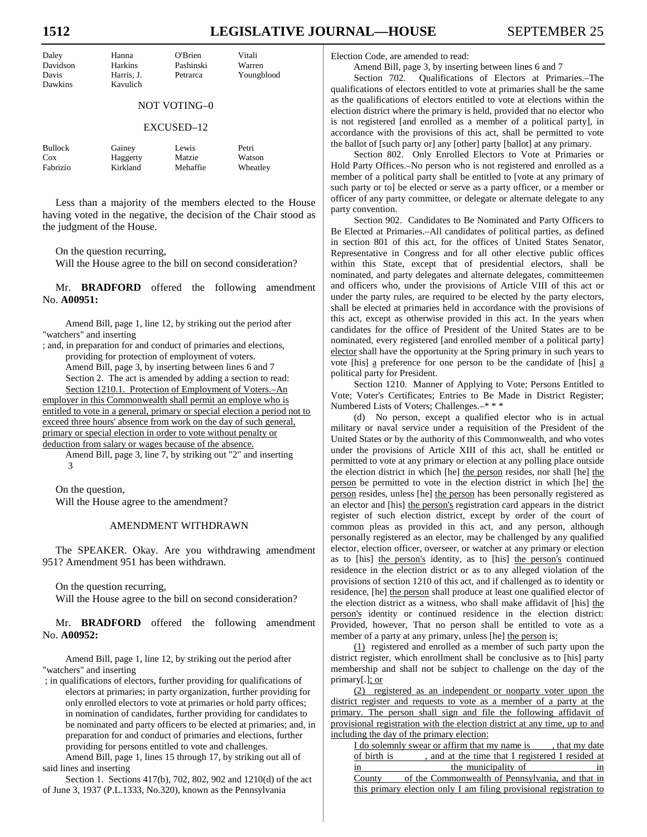# **1512 LEGISLATIVE JOURNAL—HOUSE** SEPTEMBER 25

| Daley    | Hanna      | O'Brien   | Vitali     |
|----------|------------|-----------|------------|
| Davidson | Harkins    | Pashinski | Warren     |
| Davis    | Harris, J. | Petrarca  | Youngblood |
| Dawkins  | Kavulich   |           |            |
|          |            |           |            |

# NOT VOTING–0

#### EXCUSED–12

| Bullock  | Gainey   | Lewis    | Petri    |
|----------|----------|----------|----------|
| Cox      | Haggerty | Matzie   | Watson   |
| Fabrizio | Kirkland | Mehaffie | Wheatley |

 Less than a majority of the members elected to the House having voted in the negative, the decision of the Chair stood as the judgment of the House.

On the question recurring,

Will the House agree to the bill on second consideration?

 Mr. **BRADFORD** offered the following amendment No. **A00951:** 

Amend Bill, page 1, line 12, by striking out the period after "watchers" and inserting

; and, in preparation for and conduct of primaries and elections, providing for protection of employment of voters. Amend Bill, page 3, by inserting between lines 6 and 7 Section 2. The act is amended by adding a section to read: Section 1210.1. Protection of Employment of Voters.–An employer in this Commonwealth shall permit an employe who is entitled to vote in a general, primary or special election a period not to exceed three hours' absence from work on the day of such general, primary or special election in order to vote without penalty or deduction from salary or wages because of the absence.

Amend Bill, page 3, line 7, by striking out "2" and inserting 3

 On the question, Will the House agree to the amendment?

#### AMENDMENT WITHDRAWN

 The SPEAKER. Okay. Are you withdrawing amendment 951? Amendment 951 has been withdrawn.

On the question recurring,

Will the House agree to the bill on second consideration?

 Mr. **BRADFORD** offered the following amendment No. **A00952:** 

Amend Bill, page 1, line 12, by striking out the period after "watchers" and inserting

 ; in qualifications of electors, further providing for qualifications of electors at primaries; in party organization, further providing for only enrolled electors to vote at primaries or hold party offices; in nomination of candidates, further providing for candidates to be nominated and party officers to be elected at primaries; and, in preparation for and conduct of primaries and elections, further providing for persons entitled to vote and challenges.

Amend Bill, page 1, lines 15 through 17, by striking out all of said lines and inserting

Section 1. Sections 417(b), 702, 802, 902 and 1210(d) of the act of June 3, 1937 (P.L.1333, No.320), known as the Pennsylvania

Election Code, are amended to read:

Amend Bill, page 3, by inserting between lines 6 and 7

Section 702. Qualifications of Electors at Primaries.–The qualifications of electors entitled to vote at primaries shall be the same as the qualifications of electors entitled to vote at elections within the election district where the primary is held, provided that no elector who is not registered [and enrolled as a member of a political party], in accordance with the provisions of this act, shall be permitted to vote the ballot of [such party or] any [other] party [ballot] at any primary.

Section 802. Only Enrolled Electors to Vote at Primaries or Hold Party Offices.–No person who is not registered and enrolled as a member of a political party shall be entitled to [vote at any primary of such party or to] be elected or serve as a party officer, or a member or officer of any party committee, or delegate or alternate delegate to any party convention.

Section 902. Candidates to Be Nominated and Party Officers to Be Elected at Primaries.–All candidates of political parties, as defined in section 801 of this act, for the offices of United States Senator, Representative in Congress and for all other elective public offices within this State, except that of presidential electors, shall be nominated, and party delegates and alternate delegates, committeemen and officers who, under the provisions of Article VIII of this act or under the party rules, are required to be elected by the party electors, shall be elected at primaries held in accordance with the provisions of this act, except as otherwise provided in this act. In the years when candidates for the office of President of the United States are to be nominated, every registered [and enrolled member of a political party] elector shall have the opportunity at the Spring primary in such years to vote [his] a preference for one person to be the candidate of [his] a political party for President.

Section 1210. Manner of Applying to Vote; Persons Entitled to Vote; Voter's Certificates; Entries to Be Made in District Register; Numbered Lists of Voters; Challenges.–\* \* \*

(d) No person, except a qualified elector who is in actual military or naval service under a requisition of the President of the United States or by the authority of this Commonwealth, and who votes under the provisions of Article XIII of this act, shall be entitled or permitted to vote at any primary or election at any polling place outside the election district in which [he] the person resides, nor shall [he] the person be permitted to vote in the election district in which [he] the person resides, unless [he] the person has been personally registered as an elector and [his] the person's registration card appears in the district register of such election district, except by order of the court of common pleas as provided in this act, and any person, although personally registered as an elector, may be challenged by any qualified elector, election officer, overseer, or watcher at any primary or election as to [his] the person's identity, as to [his] the person's continued residence in the election district or as to any alleged violation of the provisions of section 1210 of this act, and if challenged as to identity or residence, [he] the person shall produce at least one qualified elector of the election district as a witness, who shall make affidavit of [his] the person's identity or continued residence in the election district: Provided, however, That no person shall be entitled to vote as a member of a party at any primary, unless [he] the person is:

(1) registered and enrolled as a member of such party upon the district register, which enrollment shall be conclusive as to [his] party membership and shall not be subject to challenge on the day of the primary[.]; or

(2) registered as an independent or nonparty voter upon the district register and requests to vote as a member of a party at the primary. The person shall sign and file the following affidavit of provisional registration with the election district at any time, up to and including the day of the primary election:

|             | I do solemnly swear or affirm that my name is                      | , that my date |
|-------------|--------------------------------------------------------------------|----------------|
| of birth is | , and at the time that I registered I resided at                   |                |
| 1n          | the municipality of                                                | 1n             |
| County      | of the Commonwealth of Pennsylvania, and that in                   |                |
|             | this primary election only I am filing provisional registration to |                |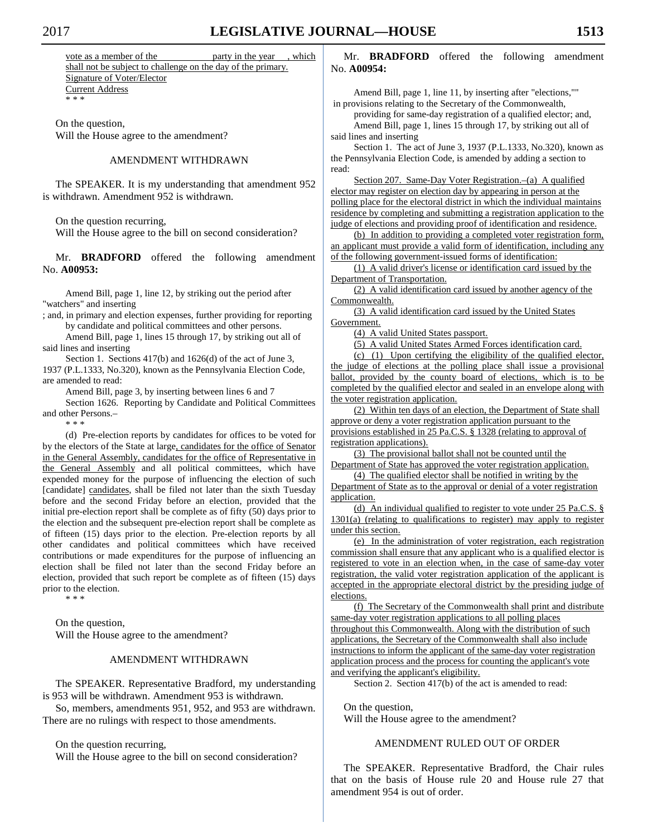vote as a member of the party in the year, which shall not be subject to challenge on the day of the primary. Signature of Voter/Elector Current Address \* \* \*

 On the question, Will the House agree to the amendment?

## AMENDMENT WITHDRAWN

 The SPEAKER. It is my understanding that amendment 952 is withdrawn. Amendment 952 is withdrawn.

On the question recurring,

Will the House agree to the bill on second consideration?

 Mr. **BRADFORD** offered the following amendment No. **A00953:** 

Amend Bill, page 1, line 12, by striking out the period after "watchers" and inserting

; and, in primary and election expenses, further providing for reporting by candidate and political committees and other persons.

Amend Bill, page 1, lines 15 through 17, by striking out all of said lines and inserting

Section 1. Sections 417(b) and 1626(d) of the act of June 3, 1937 (P.L.1333, No.320), known as the Pennsylvania Election Code, are amended to read:

Amend Bill, page 3, by inserting between lines 6 and 7

Section 1626. Reporting by Candidate and Political Committees and other Persons.–

\* \* \*

(d) Pre-election reports by candidates for offices to be voted for by the electors of the State at large, candidates for the office of Senator in the General Assembly, candidates for the office of Representative in the General Assembly and all political committees, which have expended money for the purpose of influencing the election of such [candidate] candidates, shall be filed not later than the sixth Tuesday before and the second Friday before an election, provided that the initial pre-election report shall be complete as of fifty (50) days prior to the election and the subsequent pre-election report shall be complete as of fifteen (15) days prior to the election. Pre-election reports by all other candidates and political committees which have received contributions or made expenditures for the purpose of influencing an election shall be filed not later than the second Friday before an election, provided that such report be complete as of fifteen (15) days prior to the election.

\* \* \*

 On the question, Will the House agree to the amendment?

# AMENDMENT WITHDRAWN

 The SPEAKER. Representative Bradford, my understanding is 953 will be withdrawn. Amendment 953 is withdrawn.

 So, members, amendments 951, 952, and 953 are withdrawn. There are no rulings with respect to those amendments.

On the question recurring,

Will the House agree to the bill on second consideration?

 Mr. **BRADFORD** offered the following amendment No. **A00954:** 

Amend Bill, page 1, line 11, by inserting after "elections,"" in provisions relating to the Secretary of the Commonwealth,

providing for same-day registration of a qualified elector; and, Amend Bill, page 1, lines 15 through 17, by striking out all of said lines and inserting

Section 1. The act of June 3, 1937 (P.L.1333, No.320), known as the Pennsylvania Election Code, is amended by adding a section to read:

Section 207. Same-Day Voter Registration.–(a) A qualified elector may register on election day by appearing in person at the polling place for the electoral district in which the individual maintains residence by completing and submitting a registration application to the judge of elections and providing proof of identification and residence.

(b) In addition to providing a completed voter registration form, an applicant must provide a valid form of identification, including any of the following government-issued forms of identification:

(1) A valid driver's license or identification card issued by the Department of Transportation.

(2) A valid identification card issued by another agency of the Commonwealth.

(3) A valid identification card issued by the United States Government.

(4) A valid United States passport.

(5) A valid United States Armed Forces identification card.

(c) (1) Upon certifying the eligibility of the qualified elector, the judge of elections at the polling place shall issue a provisional ballot, provided by the county board of elections, which is to be completed by the qualified elector and sealed in an envelope along with the voter registration application.

(2) Within ten days of an election, the Department of State shall approve or deny a voter registration application pursuant to the provisions established in 25 Pa.C.S. § 1328 (relating to approval of registration applications).

(3) The provisional ballot shall not be counted until the Department of State has approved the voter registration application.

(4) The qualified elector shall be notified in writing by the Department of State as to the approval or denial of a voter registration application.

(d) An individual qualified to register to vote under 25 Pa.C.S. § 1301(a) (relating to qualifications to register) may apply to register under this section.

(e) In the administration of voter registration, each registration commission shall ensure that any applicant who is a qualified elector is registered to vote in an election when, in the case of same-day voter registration, the valid voter registration application of the applicant is accepted in the appropriate electoral district by the presiding judge of elections.

(f) The Secretary of the Commonwealth shall print and distribute same-day voter registration applications to all polling places throughout this Commonwealth. Along with the distribution of such applications, the Secretary of the Commonwealth shall also include instructions to inform the applicant of the same-day voter registration application process and the process for counting the applicant's vote and verifying the applicant's eligibility.

Section 2. Section 417(b) of the act is amended to read:

 On the question, Will the House agree to the amendment?

# AMENDMENT RULED OUT OF ORDER

 The SPEAKER. Representative Bradford, the Chair rules that on the basis of House rule 20 and House rule 27 that amendment 954 is out of order.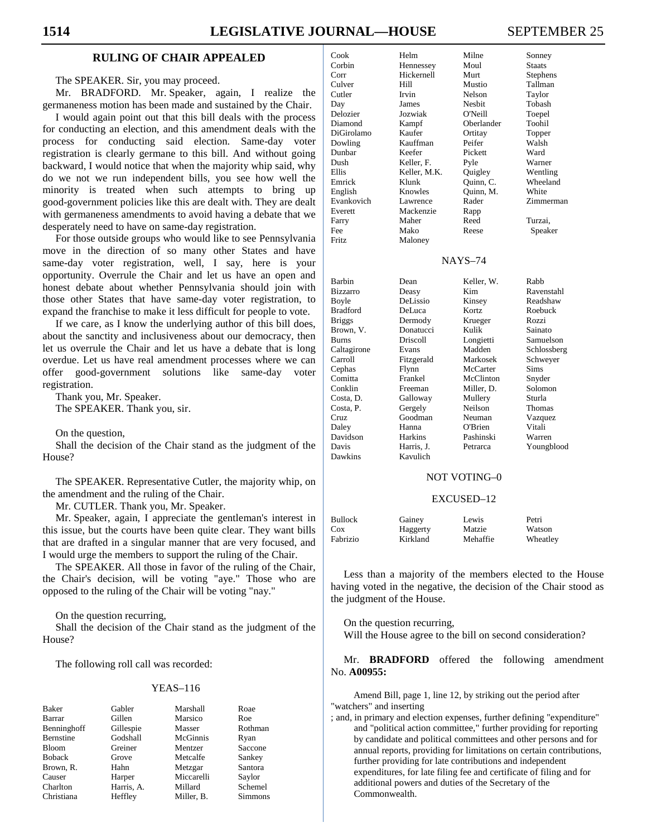# **RULING OF CHAIR APPEALED**

The SPEAKER. Sir, you may proceed.

 Mr. BRADFORD. Mr. Speaker, again, I realize the germaneness motion has been made and sustained by the Chair.

 I would again point out that this bill deals with the process for conducting an election, and this amendment deals with the process for conducting said election. Same-day voter registration is clearly germane to this bill. And without going backward, I would notice that when the majority whip said, why do we not we run independent bills, you see how well the minority is treated when such attempts to bring up good-government policies like this are dealt with. They are dealt with germaneness amendments to avoid having a debate that we desperately need to have on same-day registration.

 For those outside groups who would like to see Pennsylvania move in the direction of so many other States and have same-day voter registration, well, I say, here is your opportunity. Overrule the Chair and let us have an open and honest debate about whether Pennsylvania should join with those other States that have same-day voter registration, to expand the franchise to make it less difficult for people to vote.

 If we care, as I know the underlying author of this bill does, about the sanctity and inclusiveness about our democracy, then let us overrule the Chair and let us have a debate that is long overdue. Let us have real amendment processes where we can offer good-government solutions like same-day voter registration.

 Thank you, Mr. Speaker. The SPEAKER. Thank you, sir.

On the question,

 Shall the decision of the Chair stand as the judgment of the House?

 The SPEAKER. Representative Cutler, the majority whip, on the amendment and the ruling of the Chair.

Mr. CUTLER. Thank you, Mr. Speaker.

 Mr. Speaker, again, I appreciate the gentleman's interest in this issue, but the courts have been quite clear. They want bills that are drafted in a singular manner that are very focused, and I would urge the members to support the ruling of the Chair.

 The SPEAKER. All those in favor of the ruling of the Chair, the Chair's decision, will be voting "aye." Those who are opposed to the ruling of the Chair will be voting "nay."

On the question recurring,

 Shall the decision of the Chair stand as the judgment of the House?

The following roll call was recorded:

#### YEAS–116

| <b>Baker</b>     | Gabler     | Marshall   | Roae           |
|------------------|------------|------------|----------------|
| Barrar           | Gillen     | Marsico    | Roe            |
| Benninghoff      | Gillespie  | Masser     | Rothman        |
| <b>Bernstine</b> | Godshall   | McGinnis   | Ryan           |
| <b>Bloom</b>     | Greiner    | Mentzer    | Saccone        |
| <b>Boback</b>    | Grove      | Metcalfe   | Sankey         |
| Brown, R.        | Hahn       | Metzgar    | Santora        |
| Causer           | Harper     | Miccarelli | Saylor         |
| Charlton         | Harris, A. | Millard    | Schemel        |
| Christiana       | Heffley    | Miller. B. | <b>Simmons</b> |

| Cook           | Helm         | Milne         | Sonney        |
|----------------|--------------|---------------|---------------|
| Corbin         | Hennessey    | Moul          | <b>Staats</b> |
| Corr           | Hickernell   | Murt          | Stephens      |
| Culver         | Hill         | Mustio        | Tallman       |
| Cutler         | Irvin        | Nelson        | Taylor        |
| Day            | James        | <b>Nesbit</b> | Tobash        |
| Delozier       | Jozwiak      | O'Neill       | Toepel        |
| Diamond        | Kampf        | Oberlander    | Toohil        |
| DiGirolamo     | Kaufer       | Ortitay       | Topper        |
| Dowling        | Kauffman     | Peifer        | Walsh         |
| Dunbar         | Keefer       | Pickett       | Ward          |
| Dush           | Keller, F.   | Pyle          | Warner        |
| <b>Ellis</b>   | Keller, M.K. | Quigley       | Wentling      |
| Emrick         | Klunk        | Ouinn, C.     | Wheeland      |
| English        | Knowles      | Ouinn, M.     | White         |
| Evankovich     | Lawrence     | Rader         | Zimmerman     |
| Everett        | Mackenzie    | Rapp          |               |
| Farry          | Maher        | Reed          | Turzai,       |
| Fee            | Mako         | Reese         | Speaker       |
| <b>Fritz</b>   | Maloney      |               |               |
|                |              |               |               |
| <b>NAYS-74</b> |              |               |               |

| Barbin          | Dean            | Keller, W. | Rabb        |
|-----------------|-----------------|------------|-------------|
| Bizzarro        | Deasy           | Kim        | Ravenstahl  |
| Boyle           | DeLissio        | Kinsey     | Readshaw    |
| <b>Bradford</b> | DeLuca          | Kortz      | Roebuck     |
| <b>Briggs</b>   | Dermody         | Krueger    | Rozzi       |
| Brown, V.       | Donatucci       | Kulik      | Sainato     |
| <b>Burns</b>    | <b>Driscoll</b> | Longietti  | Samuelson   |
| Caltagirone     | Evans           | Madden     | Schlossberg |
| Carroll         | Fitzgerald      | Markosek   | Schweyer    |
| Cephas          | Flynn           | McCarter   | Sims        |
| Comitta         | Frankel         | McClinton  | Snyder      |
| Conklin         | Freeman         | Miller, D. | Solomon     |
| Costa, D.       | Galloway        | Mullery    | Sturla      |
| Costa, P.       | Gergely         | Neilson    | Thomas      |
| Cruz            | Goodman         | Neuman     | Vazquez     |
| Daley           | Hanna           | O'Brien    | Vitali      |
| Davidson        | <b>Harkins</b>  | Pashinski  | Warren      |
| Davis           | Harris, J.      | Petrarca   | Youngblood  |
| Dawkins         | Kavulich        |            |             |

#### NOT VOTING–0

#### EXCUSED–12

| <b>Bullock</b> | Gainey   | Lewis    | Petri    |
|----------------|----------|----------|----------|
| Cox            | Haggerty | Matzie   | Watson   |
| Fabrizio       | Kirkland | Mehaffie | Wheatley |

 Less than a majority of the members elected to the House having voted in the negative, the decision of the Chair stood as the judgment of the House.

 On the question recurring, Will the House agree to the bill on second consideration?

 Mr. **BRADFORD** offered the following amendment No. **A00955:** 

Amend Bill, page 1, line 12, by striking out the period after "watchers" and inserting

; and, in primary and election expenses, further defining "expenditure" and "political action committee," further providing for reporting by candidate and political committees and other persons and for annual reports, providing for limitations on certain contributions, further providing for late contributions and independent expenditures, for late filing fee and certificate of filing and for additional powers and duties of the Secretary of the Commonwealth.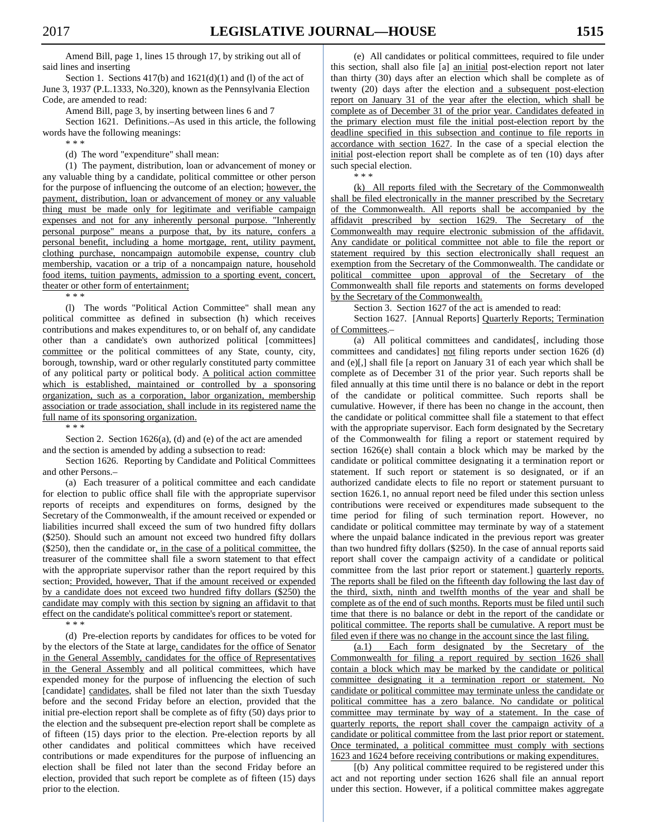Amend Bill, page 1, lines 15 through 17, by striking out all of said lines and inserting

Section 1. Sections  $417(b)$  and  $1621(d)(1)$  and (1) of the act of June 3, 1937 (P.L.1333, No.320), known as the Pennsylvania Election Code, are amended to read:

Amend Bill, page 3, by inserting between lines 6 and 7

Section 1621. Definitions.–As used in this article, the following words have the following meanings:

\* \* \*

(d) The word "expenditure" shall mean:

(1) The payment, distribution, loan or advancement of money or any valuable thing by a candidate, political committee or other person for the purpose of influencing the outcome of an election; however, the payment, distribution, loan or advancement of money or any valuable thing must be made only for legitimate and verifiable campaign expenses and not for any inherently personal purpose. "Inherently personal purpose" means a purpose that, by its nature, confers a personal benefit, including a home mortgage, rent, utility payment, clothing purchase, noncampaign automobile expense, country club membership, vacation or a trip of a noncampaign nature, household food items, tuition payments, admission to a sporting event, concert, theater or other form of entertainment;

\* \* \*

(l) The words "Political Action Committee" shall mean any political committee as defined in subsection (h) which receives contributions and makes expenditures to, or on behalf of, any candidate other than a candidate's own authorized political [committees] committee or the political committees of any State, county, city, borough, township, ward or other regularly constituted party committee of any political party or political body. A political action committee which is established, maintained or controlled by a sponsoring organization, such as a corporation, labor organization, membership association or trade association, shall include in its registered name the full name of its sponsoring organization.

\* \* \*

Section 2. Section 1626(a), (d) and (e) of the act are amended and the section is amended by adding a subsection to read:

Section 1626. Reporting by Candidate and Political Committees and other Persons.–

(a) Each treasurer of a political committee and each candidate for election to public office shall file with the appropriate supervisor reports of receipts and expenditures on forms, designed by the Secretary of the Commonwealth, if the amount received or expended or liabilities incurred shall exceed the sum of two hundred fifty dollars (\$250). Should such an amount not exceed two hundred fifty dollars  $($250)$ , then the candidate or, in the case of a political committee, the treasurer of the committee shall file a sworn statement to that effect with the appropriate supervisor rather than the report required by this section: Provided, however, That if the amount received or expended by a candidate does not exceed two hundred fifty dollars (\$250) the candidate may comply with this section by signing an affidavit to that effect on the candidate's political committee's report or statement.

\* \* \*

(d) Pre-election reports by candidates for offices to be voted for by the electors of the State at large, candidates for the office of Senator in the General Assembly, candidates for the office of Representatives in the General Assembly and all political committees, which have expended money for the purpose of influencing the election of such [candidate] candidates, shall be filed not later than the sixth Tuesday before and the second Friday before an election, provided that the initial pre-election report shall be complete as of fifty (50) days prior to the election and the subsequent pre-election report shall be complete as of fifteen (15) days prior to the election. Pre-election reports by all other candidates and political committees which have received contributions or made expenditures for the purpose of influencing an election shall be filed not later than the second Friday before an election, provided that such report be complete as of fifteen (15) days prior to the election.

(e) All candidates or political committees, required to file under this section, shall also file [a] an initial post-election report not later than thirty (30) days after an election which shall be complete as of twenty (20) days after the election and a subsequent post-election report on January 31 of the year after the election, which shall be complete as of December 31 of the prior year. Candidates defeated in the primary election must file the initial post-election report by the deadline specified in this subsection and continue to file reports in accordance with section 1627. In the case of a special election the initial post-election report shall be complete as of ten (10) days after such special election.

\* \* \*

(k) All reports filed with the Secretary of the Commonwealth shall be filed electronically in the manner prescribed by the Secretary of the Commonwealth. All reports shall be accompanied by the affidavit prescribed by section 1629. The Secretary of the Commonwealth may require electronic submission of the affidavit. Any candidate or political committee not able to file the report or statement required by this section electronically shall request an exemption from the Secretary of the Commonwealth. The candidate or political committee upon approval of the Secretary of the Commonwealth shall file reports and statements on forms developed by the Secretary of the Commonwealth.

Section 3. Section 1627 of the act is amended to read:

Section 1627. [Annual Reports] Quarterly Reports; Termination of Committees.–

(a) All political committees and candidates[, including those committees and candidates] not filing reports under section 1626 (d) and (e)[,] shall file [a report on January 31 of each year which shall be complete as of December 31 of the prior year. Such reports shall be filed annually at this time until there is no balance or debt in the report of the candidate or political committee. Such reports shall be cumulative. However, if there has been no change in the account, then the candidate or political committee shall file a statement to that effect with the appropriate supervisor. Each form designated by the Secretary of the Commonwealth for filing a report or statement required by section 1626(e) shall contain a block which may be marked by the candidate or political committee designating it a termination report or statement. If such report or statement is so designated, or if an authorized candidate elects to file no report or statement pursuant to section 1626.1, no annual report need be filed under this section unless contributions were received or expenditures made subsequent to the time period for filing of such termination report. However, no candidate or political committee may terminate by way of a statement where the unpaid balance indicated in the previous report was greater than two hundred fifty dollars (\$250). In the case of annual reports said report shall cover the campaign activity of a candidate or political committee from the last prior report or statement.] quarterly reports. The reports shall be filed on the fifteenth day following the last day of the third, sixth, ninth and twelfth months of the year and shall be complete as of the end of such months. Reports must be filed until such time that there is no balance or debt in the report of the candidate or political committee. The reports shall be cumulative. A report must be filed even if there was no change in the account since the last filing.

(a.1) Each form designated by the Secretary of the Commonwealth for filing a report required by section 1626 shall contain a block which may be marked by the candidate or political committee designating it a termination report or statement. No candidate or political committee may terminate unless the candidate or political committee has a zero balance. No candidate or political committee may terminate by way of a statement. In the case of quarterly reports, the report shall cover the campaign activity of a candidate or political committee from the last prior report or statement. Once terminated, a political committee must comply with sections 1623 and 1624 before receiving contributions or making expenditures.

[(b) Any political committee required to be registered under this act and not reporting under section 1626 shall file an annual report under this section. However, if a political committee makes aggregate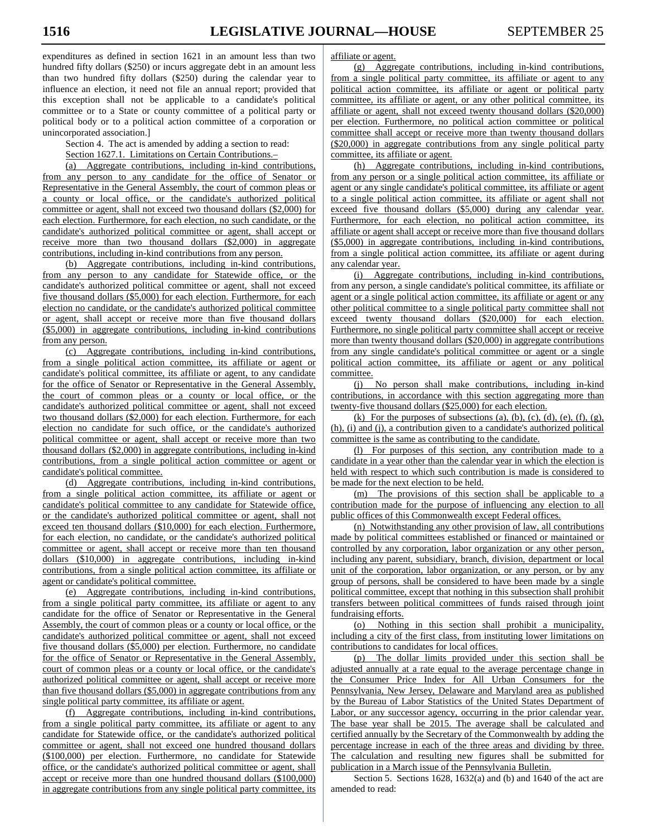expenditures as defined in section 1621 in an amount less than two hundred fifty dollars (\$250) or incurs aggregate debt in an amount less than two hundred fifty dollars (\$250) during the calendar year to influence an election, it need not file an annual report; provided that this exception shall not be applicable to a candidate's political committee or to a State or county committee of a political party or political body or to a political action committee of a corporation or unincorporated association.]

Section 4. The act is amended by adding a section to read:

Section 1627.1. Limitations on Certain Contributions.–

(a) Aggregate contributions, including in-kind contributions, from any person to any candidate for the office of Senator or Representative in the General Assembly, the court of common pleas or a county or local office, or the candidate's authorized political committee or agent, shall not exceed two thousand dollars (\$2,000) for each election. Furthermore, for each election, no such candidate, or the candidate's authorized political committee or agent, shall accept or receive more than two thousand dollars (\$2,000) in aggregate contributions, including in-kind contributions from any person.

(b) Aggregate contributions, including in-kind contributions, from any person to any candidate for Statewide office, or the candidate's authorized political committee or agent, shall not exceed five thousand dollars (\$5,000) for each election. Furthermore, for each election no candidate, or the candidate's authorized political committee or agent, shall accept or receive more than five thousand dollars (\$5,000) in aggregate contributions, including in-kind contributions from any person.

(c) Aggregate contributions, including in-kind contributions, from a single political action committee, its affiliate or agent or candidate's political committee, its affiliate or agent, to any candidate for the office of Senator or Representative in the General Assembly, the court of common pleas or a county or local office, or the candidate's authorized political committee or agent, shall not exceed two thousand dollars (\$2,000) for each election. Furthermore, for each election no candidate for such office, or the candidate's authorized political committee or agent, shall accept or receive more than two thousand dollars (\$2,000) in aggregate contributions, including in-kind contributions, from a single political action committee or agent or candidate's political committee.

(d) Aggregate contributions, including in-kind contributions, from a single political action committee, its affiliate or agent or candidate's political committee to any candidate for Statewide office, or the candidate's authorized political committee or agent, shall not exceed ten thousand dollars (\$10,000) for each election. Furthermore, for each election, no candidate, or the candidate's authorized political committee or agent, shall accept or receive more than ten thousand dollars (\$10,000) in aggregate contributions, including in-kind contributions, from a single political action committee, its affiliate or agent or candidate's political committee.

(e) Aggregate contributions, including in-kind contributions, from a single political party committee, its affiliate or agent to any candidate for the office of Senator or Representative in the General Assembly, the court of common pleas or a county or local office, or the candidate's authorized political committee or agent, shall not exceed five thousand dollars (\$5,000) per election. Furthermore, no candidate for the office of Senator or Representative in the General Assembly, court of common pleas or a county or local office, or the candidate's authorized political committee or agent, shall accept or receive more than five thousand dollars (\$5,000) in aggregate contributions from any single political party committee, its affiliate or agent.

(f) Aggregate contributions, including in-kind contributions, from a single political party committee, its affiliate or agent to any candidate for Statewide office, or the candidate's authorized political committee or agent, shall not exceed one hundred thousand dollars (\$100,000) per election. Furthermore, no candidate for Statewide office, or the candidate's authorized political committee or agent, shall accept or receive more than one hundred thousand dollars (\$100,000) in aggregate contributions from any single political party committee, its affiliate or agent.

(g) Aggregate contributions, including in-kind contributions, from a single political party committee, its affiliate or agent to any political action committee, its affiliate or agent or political party committee, its affiliate or agent, or any other political committee, its affiliate or agent, shall not exceed twenty thousand dollars (\$20,000) per election. Furthermore, no political action committee or political committee shall accept or receive more than twenty thousand dollars (\$20,000) in aggregate contributions from any single political party committee, its affiliate or agent.

(h) Aggregate contributions, including in-kind contributions, from any person or a single political action committee, its affiliate or agent or any single candidate's political committee, its affiliate or agent to a single political action committee, its affiliate or agent shall not exceed five thousand dollars (\$5,000) during any calendar year. Furthermore, for each election, no political action committee, its affiliate or agent shall accept or receive more than five thousand dollars (\$5,000) in aggregate contributions, including in-kind contributions, from a single political action committee, its affiliate or agent during any calendar year.

(i) Aggregate contributions, including in-kind contributions, from any person, a single candidate's political committee, its affiliate or agent or a single political action committee, its affiliate or agent or any other political committee to a single political party committee shall not exceed twenty thousand dollars (\$20,000) for each election. Furthermore, no single political party committee shall accept or receive more than twenty thousand dollars (\$20,000) in aggregate contributions from any single candidate's political committee or agent or a single political action committee, its affiliate or agent or any political committee.

(j) No person shall make contributions, including in-kind contributions, in accordance with this section aggregating more than twenty-five thousand dollars (\$25,000) for each election.

(k) For the purposes of subsections (a), (b), (c), (d), (e), (f), (g), (h), (i) and (j), a contribution given to a candidate's authorized political committee is the same as contributing to the candidate.

(l) For purposes of this section, any contribution made to a candidate in a year other than the calendar year in which the election is held with respect to which such contribution is made is considered to be made for the next election to be held.

(m) The provisions of this section shall be applicable to a contribution made for the purpose of influencing any election to all public offices of this Commonwealth except Federal offices.

(n) Notwithstanding any other provision of law, all contributions made by political committees established or financed or maintained or controlled by any corporation, labor organization or any other person, including any parent, subsidiary, branch, division, department or local unit of the corporation, labor organization, or any person, or by any group of persons, shall be considered to have been made by a single political committee, except that nothing in this subsection shall prohibit transfers between political committees of funds raised through joint fundraising efforts.

(o) Nothing in this section shall prohibit a municipality, including a city of the first class, from instituting lower limitations on contributions to candidates for local offices.

(p) The dollar limits provided under this section shall be adjusted annually at a rate equal to the average percentage change in the Consumer Price Index for All Urban Consumers for the Pennsylvania, New Jersey, Delaware and Maryland area as published by the Bureau of Labor Statistics of the United States Department of Labor, or any successor agency, occurring in the prior calendar year. The base year shall be 2015. The average shall be calculated and certified annually by the Secretary of the Commonwealth by adding the percentage increase in each of the three areas and dividing by three. The calculation and resulting new figures shall be submitted for publication in a March issue of the Pennsylvania Bulletin.

Section 5. Sections 1628, 1632(a) and (b) and 1640 of the act are amended to read: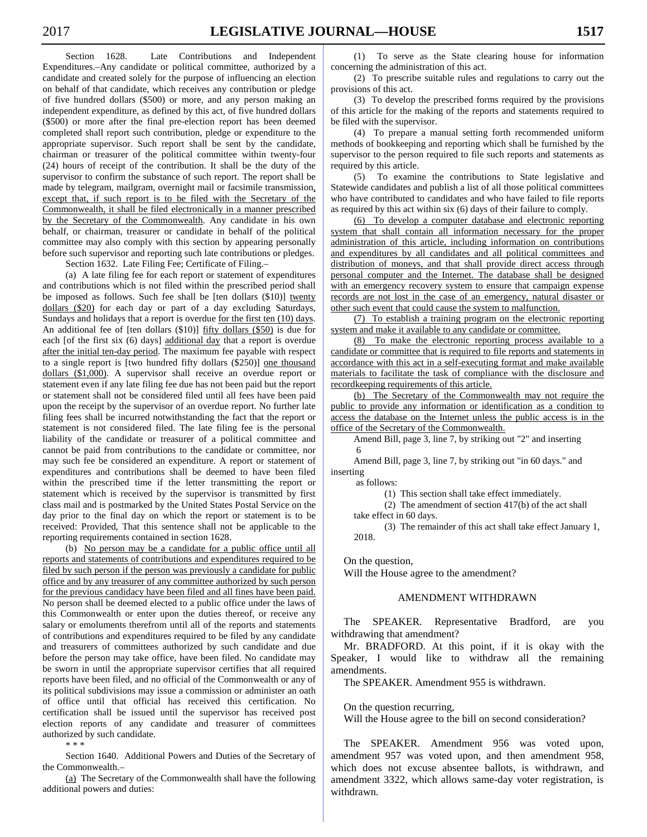Section 1628. Late Contributions and Independent Expenditures.–Any candidate or political committee, authorized by a candidate and created solely for the purpose of influencing an election on behalf of that candidate, which receives any contribution or pledge of five hundred dollars (\$500) or more, and any person making an independent expenditure, as defined by this act, of five hundred dollars (\$500) or more after the final pre-election report has been deemed completed shall report such contribution, pledge or expenditure to the appropriate supervisor. Such report shall be sent by the candidate, chairman or treasurer of the political committee within twenty-four (24) hours of receipt of the contribution. It shall be the duty of the supervisor to confirm the substance of such report. The report shall be made by telegram, mailgram, overnight mail or facsimile transmission, except that, if such report is to be filed with the Secretary of the Commonwealth, it shall be filed electronically in a manner prescribed by the Secretary of the Commonwealth. Any candidate in his own behalf, or chairman, treasurer or candidate in behalf of the political committee may also comply with this section by appearing personally before such supervisor and reporting such late contributions or pledges. Section 1632. Late Filing Fee; Certificate of Filing.–

(a) A late filing fee for each report or statement of expenditures and contributions which is not filed within the prescribed period shall be imposed as follows. Such fee shall be [ten dollars (\$10)] twenty dollars (\$20) for each day or part of a day excluding Saturdays, Sundays and holidays that a report is overdue for the first ten (10) days. An additional fee of [ten dollars (\$10)] fifty dollars (\$50) is due for each [of the first six (6) days] additional day that a report is overdue after the initial ten-day period. The maximum fee payable with respect to a single report is [two hundred fifty dollars (\$250)] one thousand dollars (\$1,000). A supervisor shall receive an overdue report or statement even if any late filing fee due has not been paid but the report or statement shall not be considered filed until all fees have been paid upon the receipt by the supervisor of an overdue report. No further late filing fees shall be incurred notwithstanding the fact that the report or statement is not considered filed. The late filing fee is the personal liability of the candidate or treasurer of a political committee and cannot be paid from contributions to the candidate or committee, nor may such fee be considered an expenditure. A report or statement of expenditures and contributions shall be deemed to have been filed within the prescribed time if the letter transmitting the report or statement which is received by the supervisor is transmitted by first class mail and is postmarked by the United States Postal Service on the day prior to the final day on which the report or statement is to be received: Provided, That this sentence shall not be applicable to the reporting requirements contained in section 1628.

(b) No person may be a candidate for a public office until all reports and statements of contributions and expenditures required to be filed by such person if the person was previously a candidate for public office and by any treasurer of any committee authorized by such person for the previous candidacy have been filed and all fines have been paid. No person shall be deemed elected to a public office under the laws of this Commonwealth or enter upon the duties thereof, or receive any salary or emoluments therefrom until all of the reports and statements of contributions and expenditures required to be filed by any candidate and treasurers of committees authorized by such candidate and due before the person may take office, have been filed. No candidate may be sworn in until the appropriate supervisor certifies that all required reports have been filed, and no official of the Commonwealth or any of its political subdivisions may issue a commission or administer an oath of office until that official has received this certification. No certification shall be issued until the supervisor has received post election reports of any candidate and treasurer of committees authorized by such candidate.

\* \* \*

Section 1640. Additional Powers and Duties of the Secretary of the Commonwealth.–

(a) The Secretary of the Commonwealth shall have the following additional powers and duties:

(1) To serve as the State clearing house for information concerning the administration of this act.

(2) To prescribe suitable rules and regulations to carry out the provisions of this act.

(3) To develop the prescribed forms required by the provisions of this article for the making of the reports and statements required to be filed with the supervisor.

(4) To prepare a manual setting forth recommended uniform methods of bookkeeping and reporting which shall be furnished by the supervisor to the person required to file such reports and statements as required by this article.

(5) To examine the contributions to State legislative and Statewide candidates and publish a list of all those political committees who have contributed to candidates and who have failed to file reports as required by this act within six (6) days of their failure to comply.

(6) To develop a computer database and electronic reporting system that shall contain all information necessary for the proper administration of this article, including information on contributions and expenditures by all candidates and all political committees and distribution of moneys, and that shall provide direct access through personal computer and the Internet. The database shall be designed with an emergency recovery system to ensure that campaign expense records are not lost in the case of an emergency, natural disaster or other such event that could cause the system to malfunction.

(7) To establish a training program on the electronic reporting system and make it available to any candidate or committee.

(8) To make the electronic reporting process available to a candidate or committee that is required to file reports and statements in accordance with this act in a self-executing format and make available materials to facilitate the task of compliance with the disclosure and recordkeeping requirements of this article.

(b) The Secretary of the Commonwealth may not require the public to provide any information or identification as a condition to access the database on the Internet unless the public access is in the office of the Secretary of the Commonwealth.

Amend Bill, page 3, line 7, by striking out "2" and inserting 6

Amend Bill, page 3, line 7, by striking out "in 60 days." and inserting

as follows:

(1) This section shall take effect immediately.

(2) The amendment of section 417(b) of the act shall take effect in 60 days.

(3) The remainder of this act shall take effect January 1, 2018.

On the question,

Will the House agree to the amendment?

#### AMENDMENT WITHDRAWN

 The SPEAKER. Representative Bradford, are you withdrawing that amendment?

 Mr. BRADFORD. At this point, if it is okay with the Speaker, I would like to withdraw all the remaining amendments.

The SPEAKER. Amendment 955 is withdrawn.

On the question recurring,

Will the House agree to the bill on second consideration?

 The SPEAKER. Amendment 956 was voted upon, amendment 957 was voted upon, and then amendment 958, which does not excuse absentee ballots, is withdrawn, and amendment 3322, which allows same-day voter registration, is withdrawn.